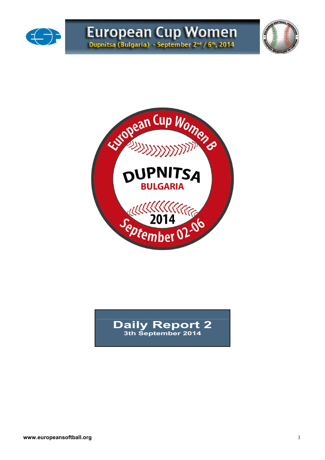





## **Daily Report 2 3th September 2014**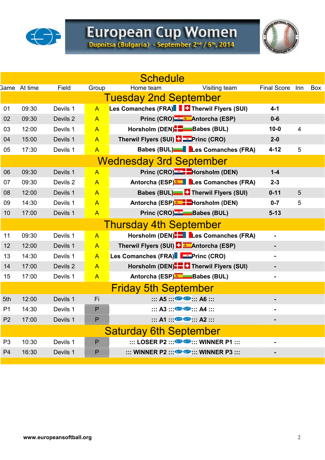

# European Cup Women<br>Dupnitsa (Bulgaria) - September 2nd / 6th, 2014



|                |                     |          |                | <b>Schedule</b>                                                                 |                    |     |            |
|----------------|---------------------|----------|----------------|---------------------------------------------------------------------------------|--------------------|-----|------------|
|                | <b>Same</b> At time | Field    | Group          | Visiting team<br>Home team                                                      | <b>Final Score</b> | Inn | <b>Box</b> |
|                |                     |          |                | <b>Tuesday 2nd September</b>                                                    |                    |     |            |
| 01             | 09:30               | Devils 1 | $\overline{A}$ | Les Comanches (FRA)   Therwil Flyers (SUI)                                      | $4 - 1$            |     |            |
| 02             | 09:30               | Devils 2 | $\overline{A}$ | Princ (CRO) & Antorcha (ESP)                                                    | $0 - 6$            |     |            |
| 03             | 12:00               | Devils 1 | $\overline{A}$ | Horsholm (DEN) <b>B</b> Babes (BUL)                                             | $10 - 0$           | 4   |            |
| 04             | 15:00               | Devils 1 | $\overline{A}$ | Therwil Flyers (SUI) <b>Li</b> Frinc (CRO)                                      | $2 - 0$            |     |            |
| 05             | 17:30               | Devils 1 | $\overline{A}$ | Babes (BUL)   Les Comanches (FRA)                                               | $4 - 12$           | 5   |            |
|                |                     |          |                | <b>Wednesday 3rd September</b>                                                  |                    |     |            |
| 06             | 09:30               | Devils 1 | $\overline{A}$ | Princ (CRO) <sup>-2</sup> -Horsholm (DEN)                                       | $1 - 4$            |     |            |
| 07             | 09:30               | Devils 2 | $\overline{A}$ | Antorcha (ESP) <sup>*</sup> Les Comanches (FRA)                                 | $2 - 3$            |     |            |
| 08             | 12:00               | Devils 1 | $\overline{A}$ | <b>Babes (BUL) C</b> Therwil Flyers (SUI)                                       | $0 - 11$           | 5   |            |
| 09             | 14:30               | Devils 1 | $\overline{A}$ | Antorcha (ESP) <sup>&amp;</sup> Horsholm (DEN)                                  | $0 - 7$            | 5   |            |
| 10             | 17:00               | Devils 1 | $\overline{A}$ | Princ (CRO) Babes (BUL)                                                         | $5 - 13$           |     |            |
|                |                     |          |                | <b>Thursday 4th September</b>                                                   |                    |     |            |
| 11             | 09:30               | Devils 1 | $\overline{A}$ | Horsholm (DEN). Les Comanches (FRA)                                             | $\blacksquare$     |     |            |
| 12             | 12:00               | Devils 1 | $\mathsf{A}$   | Therwil Flyers (SUI) <b>F Antorcha</b> (ESP)                                    |                    |     |            |
| 13             | 14:30               | Devils 1 | $\overline{A}$ | Les Comanches (FRA) FEPrinc (CRO)                                               | $\blacksquare$     |     |            |
| 14             | 17:00               | Devils 2 | $\overline{A}$ | Horsholm (DEN) <sup>-</sup> Therwil Flyers (SUI)                                | ٠                  |     |            |
| 15             | 17:00               | Devils 1 | $\overline{A}$ | Antorcha (ESP) Babes (BUL)                                                      |                    |     |            |
|                |                     |          |                | <b>Friday 5th September</b>                                                     |                    |     |            |
| 5th            | 12:00               | Devils 1 | Fi             | $\cdots$ A5 $\cdots$ $\bigoplus$ $\bigoplus$ $\cdots$ A6 $\cdots$               |                    |     |            |
| P <sub>1</sub> | 14:30               | Devils 1 | P              | $\cdots$ A3 $\cdots$ $\bigoplus$ $\bigoplus$ $\cdots$ A4 $\cdots$               |                    |     |            |
| P <sub>2</sub> | 17:00               | Devils 1 | P              | $\cdots$ A1 $\cdots$ $\bullet$ $\bullet$ $\cdots$ A2 $\cdots$                   | -                  |     |            |
|                |                     |          |                | <b>Saturday 6th September</b>                                                   |                    |     |            |
| P <sub>3</sub> | 10:30               | Devils 1 | P              | $\ldots$ LOSER P2 $\cdots$ $\bullet$ $\bullet$ $\cdots$ WINNER P1 $\ldots$      | $\blacksquare$     |     |            |
| P <sub>4</sub> | 16:30               | Devils 1 | P              | $\cdots$ WINNER P2 $\cdots$ $\bigoplus$ $\bigoplus$ $\cdots$ WINNER P3 $\cdots$ |                    |     |            |
|                |                     |          |                |                                                                                 |                    |     |            |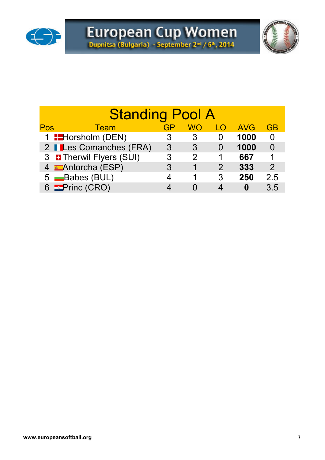



|     | <b>Standing Pool A</b>                                       |    |    |    |            |               |  |  |  |  |  |  |  |  |  |
|-----|--------------------------------------------------------------|----|----|----|------------|---------------|--|--|--|--|--|--|--|--|--|
| Pos | Team                                                         | GP | WO | LO | <b>AVG</b> | <b>GB</b>     |  |  |  |  |  |  |  |  |  |
|     | 1 <b>:</b> Horsholm (DEN)<br>1000<br>3<br>3                  |    |    |    |            |               |  |  |  |  |  |  |  |  |  |
|     | 2 <b>ILes Comanches (FRA)</b><br>1000<br>3<br>3              |    |    |    |            |               |  |  |  |  |  |  |  |  |  |
|     | 3 <b>D</b> Therwil Flyers (SUI)<br>667<br>3<br>$\mathcal{P}$ |    |    |    |            |               |  |  |  |  |  |  |  |  |  |
|     | 4 Antorcha (ESP)                                             | 3  | 1  | 2  | 333        | $\mathcal{P}$ |  |  |  |  |  |  |  |  |  |
|     | 5 Babes (BUL)                                                |    |    | 3  | 250        | 2.5           |  |  |  |  |  |  |  |  |  |
|     | 6 <b>EPrinc (CRO)</b>                                        |    |    |    |            | 3.5           |  |  |  |  |  |  |  |  |  |
|     |                                                              |    |    |    |            |               |  |  |  |  |  |  |  |  |  |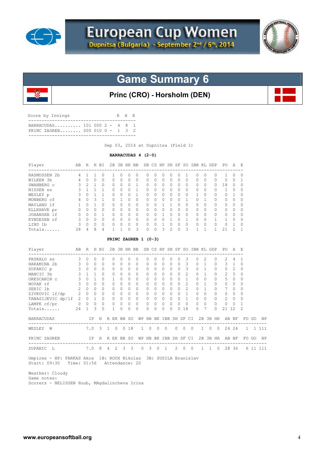



# **Game Summary 6**

## **Princ (CRO) - Horsholm (DEN)**

| BARRACUDAS 101 000 $2 - 4 8 1$<br>PRINC ZAGREB 000 010 0 - 1 3 2 | Score by Innings |  |  | R H E |  |
|------------------------------------------------------------------|------------------|--|--|-------|--|
|                                                                  |                  |  |  |       |  |

Sep 03, 2014 at Dupnitsa (Field 1)

#### **BARRACUDAS 4 (2-0)**

| Player            | AB  | R | H | <b>BT</b> | 2B | 3B.      |              | HR BB        |              | SB CS     |           | HP SH SF     |              | -SO      | <b>TBB</b> | KT.          | GDP | PO.          | A        | E.           |
|-------------------|-----|---|---|-----------|----|----------|--------------|--------------|--------------|-----------|-----------|--------------|--------------|----------|------------|--------------|-----|--------------|----------|--------------|
| RASMUSSEN 2b      | 4   |   |   | 0         |    | 0        | <sup>0</sup> | <sup>0</sup> | 0            | $\bigcap$ | $\Omega$  |              | $^{(1)}$     |          | Ω          | $\Omega$     | n   |              | 0        | $\Omega$     |
| WILKEN 3b         | 4   |   | O | $\Omega$  | 0  | 0        | $\bigcap$    | $\Omega$     | $\bigcap$    | 0         | $\Omega$  |              | O            | $\Omega$ | O          | 0            | O   | <sup>0</sup> | 0        |              |
| SWANBERG c        | 3   | 2 |   | $\Omega$  | Λ  | 0        | <sup>0</sup> |              | <sup>0</sup> | $\cap$    | $\Omega$  | U            | O            | $\Omega$ | $\Omega$   | $\Omega$     | O   | 8            | O        | 0            |
| NISSEN SS         | २   |   |   |           | 0  | 0        | 0            |              | <sup>0</sup> | O.        | $\Omega$  | <sup>n</sup> | <sup>n</sup> | $\Omega$ | O          | $\Omega$     | U   |              | O        | $\Omega$     |
| WESLEY p          | 3   |   |   |           | O. | 0        | O            |              | 0            | 0         | $\Omega$  |              | Ω            | $\Omega$ |            | O            | 0   | Λ            |          | O            |
| MONBERG cf        | 4   |   | २ |           | Λ  |          | $\Omega$     | $\Omega$     | 0            | $\cap$    | $\cap$    | <sup>n</sup> | U            |          | U          |              | O   | U            | O        | $\Omega$     |
| MAYLAND 1f        |     |   |   | $\Omega$  | 0  | O        | <sup>0</sup> | <sup>0</sup> | 0            | $\cap$    |           |              | n            | $\Omega$ | U          | O            | O   | <sup>0</sup> | O        | O            |
| ELLEHAVE pr       |     |   | O | $\Omega$  | O  | $\Omega$ | <sup>0</sup> | $\Omega$     | $\Omega$     | $\cap$    | $\bigcap$ |              | $\Omega$     | $\Omega$ | $\cap$     | $\Omega$     | O   | U            | $\Omega$ | $\Omega$     |
| JOHANSEN<br>- 1 f | 0   |   | U |           | Λ  | 0        | <sup>0</sup> | $\Omega$     | 0            | U         |           | $\cap$       | $\cap$       | $\Omega$ | U          | <sup>0</sup> | O   | U            | O        | $\Omega$     |
| KYNDESEN rf       | 3   |   | U | $\Omega$  | 0  | 0        | $\Omega$     | n            | 0            | $\cap$    | $\cap$    |              | Ω            |          | $\cap$     | 0            |     |              | Ω        | <sup>0</sup> |
| LIND 1b           | C.  |   | U | $\Omega$  | Λ  | U        | ∩            | $\Omega$     | $\Omega$     | $\cap$    |           |              | Λ            | $\Omega$ | $\cap$     | $\Omega$     | O   | Λ            |          | $\Omega$     |
| Totals            | 2.8 | 4 | 8 | 4         |    |          | U            | 3            | $\Omega$     | $\cap$    | ₹         | 2            |              | 3        |            |              |     | 21           |          | 1            |

#### **PRINC ZAGREB 1 (0-3)**

| Player                       | AB            | R            |           | H BI                    |   |               | 2B 3B HR BB |                 |              |          |           |           |          |                 |                |           | SB CS HP SH SF SO IBB KL GDP |                |           | PO.            | A              | - F      |    |           |
|------------------------------|---------------|--------------|-----------|-------------------------|---|---------------|-------------|-----------------|--------------|----------|-----------|-----------|----------|-----------------|----------------|-----------|------------------------------|----------------|-----------|----------------|----------------|----------|----|-----------|
| PRSKALO SS                   | 3             | <sup>0</sup> | $\cap$    | 0                       |   |               |             | <sup>0</sup>    | $\Omega$     |          | O         | 0         | Ω        |                 |                |           |                              | 2              | $\Omega$  |                | 4              |          |    |           |
| HARAMINA 2b                  | 3             | $\cap$       | $\Omega$  | $\Omega$                |   | $\Omega$      | $\bigcap$   | $\Omega$        | $\Omega$     | $\Omega$ | $\Omega$  | 0         | $\Omega$ | $\cap$          | 3              |           | $\cap$                       |                | $\Omega$  | 3              | 1              | $\Omega$ |    |           |
| ZUPANIC p                    | 3             | $\bigcap$    | $\cap$    | $\bigcap$               |   |               | $\bigcap$   | <sup>0</sup>    | $\Omega$     | 0        | $\bigcap$ | $\Omega$  | $\Omega$ |                 | 3              |           | $\cap$                       |                | $\Omega$  | $\Omega$       | $\mathfrak{D}$ | $\Omega$ |    |           |
| MANCIC 3b                    | 3             |              |           | $\Omega$                |   |               |             | $\Omega$        | $\Omega$     | 0        | 0         | 0         | 0        |                 | $\mathcal{L}$  |           | O.                           |                | $\Omega$  | $\mathfrak{D}$ | 5              | $\Omega$ |    |           |
| ORESCANIN C                  | 3             | $\Omega$     |           | $\Omega$                |   |               | $\Omega$    | $\Omega$        | <sup>0</sup> | 0        | $\Omega$  | 0         | $\Omega$ |                 |                |           | $\cap$                       |                | $\Omega$  | 5              | 0              | 0        |    |           |
| NOVAK rf                     | 3             | $\bigcap$    | $\cap$    | $\Omega$                |   |               | $\cap$      | $\Omega$        | $\Omega$     | 0        | $\Omega$  | 0         | $\Omega$ | <sup>n</sup>    | $\mathfrak{D}$ |           | 0                            |                | $\Omega$  | $\Omega$       | $\Omega$       | $\Omega$ |    |           |
| SERIC 1b                     | $\mathcal{L}$ | <sup>0</sup> | $\bigcap$ | <sup>0</sup>            |   |               |             | <sup>0</sup>    | $\Omega$     | 0        | O.        | 0         | O        |                 | $\mathfrak{D}$ |           | O.                           |                | $\bigcap$ |                | <sup>0</sup>   | $\Omega$ |    |           |
| ZIVKOVIC lf/dp               | 2             | $\Omega$     | $\Omega$  | $\Omega$                |   |               |             | $\Omega$        | 0            | 0        | $\Omega$  | 0         | 0        |                 |                |           | 0                            | $\Omega$       | $\Omega$  | 0              | 0              | 0        |    |           |
| TANASIJEVIC dp/lf            | $\mathcal{L}$ | $\Omega$     |           | $\Omega$                |   | $\Omega$      | $\bigcap$   | $\Omega$        | $\Omega$     | 0        | $\Omega$  | 0         | $\Omega$ | <sup>n</sup>    |                |           | $\cap$                       | $\bigcap$      | $\Omega$  | $\mathfrak{D}$ | $\Omega$       | $\Omega$ |    |           |
| LAMPE cf/pr                  | 0             | $\Omega$     | $\Omega$  | $\Omega$                |   |               | $\Omega$    | $\Omega$        | $\Omega$     | 0        | $\Omega$  | $\Omega$  | 0        |                 | $\bigcap$      |           | O.                           | $\cap$         | $\Omega$  | $\Omega$       | $\Omega$       |          |    |           |
| Totals                       | 24            |              | 3         | 0                       |   |               |             | 0               | $\Omega$     | 0        | 0         | 0         | 0        | 0               | 18             |           | 0                            |                | 0         | 21             | 12             | 2        |    |           |
| <b>BARRACUDAS</b>            |               |              | IP        | H                       |   |               | R ER BB     | SO.             | WΡ           | HB       |           | BK IBB    |          | SH SF           |                | CI.       |                              |                | 2B 3B HR  | AB             | BF             | FO.      | GO | <b>NP</b> |
| WESLEY<br>W                  |               | 7.0          |           | $\overline{\mathbf{3}}$ |   | $\mathbf{0}$  |             | 0 <sub>18</sub> | 1.           | $\Omega$ | $\Omega$  | $\bigcap$ |          | $\Omega$        | $\Omega$       | $\bigcap$ | $\mathbf{1}$                 | $\Omega$       | $\Omega$  |                | 24 24          | Т.       |    | 1 111     |
| PRINC ZAGREB                 |               |              | ΙP        | H                       |   |               | R ER BB     | -SO             | WΡ           | HB       |           |           |          | BK IBB SH SF CI |                |           |                              |                | 2B 3B HR  |                | AB BF          | FO.      | GO | <b>NP</b> |
| ZUPANIC L                    |               | 7.0          |           | 8                       | 4 | $\mathcal{L}$ | 3           | $\mathbf{3}$    | $\Omega$     | 3        | $\Omega$  | 1         |          | $\mathcal{L}$   | $\Omega$       | $\Omega$  | $\mathbf{1}$                 | $\overline{1}$ | $\Omega$  | 28             | 36             |          |    | 6 11 111  |
| $Ilmn, so = UP$ , $IDQNQNca$ |               |              |           |                         |   |               |             |                 |              |          |           |           |          |                 |                |           |                              |                |           |                |                |          |    |           |

 Umpires - HP: FARKAS Akos 1B: ROUX Nikolas 3B: SUSILA Branislav Start: 09:30 Time: 01:56 Attendance: 20

 Weather: Cloudy Game notes: Scorers - NELISSEN Huub, MAgdalincheva Irina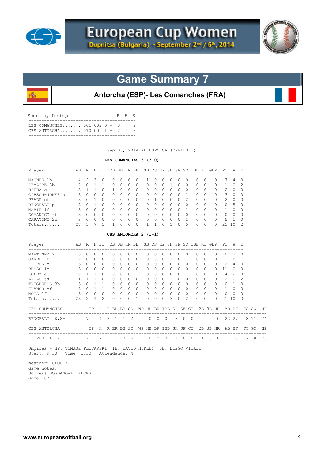

殲



# **Game Summary 7**

**Antorcha (ESP)- Les Comanches (FRA)**

| Score by Innings                                                     |  | R H E |  |
|----------------------------------------------------------------------|--|-------|--|
| T.E.S. COMANCHES 001 002 0 - 3 7 2<br>CBS ANTORCHA 010 000 1 - 2 4 3 |  |       |  |
|                                                                      |  |       |  |

Sep 03, 2014 at DUPNICA (DEVILS 2)

## **LES COMANCHES 3 (3-0)**

| Player                                                        | AB R H BI          |                             |                |                     |                 |          |              |                          | 2B 3B HR BB SB CS HP SH SF SO IBB KL GDP PO |                                                        |                           |                |                      |          |                     |                |                                     |          |            |                |                                      | A              | - E         |       |    |
|---------------------------------------------------------------|--------------------|-----------------------------|----------------|---------------------|-----------------|----------|--------------|--------------------------|---------------------------------------------|--------------------------------------------------------|---------------------------|----------------|----------------------|----------|---------------------|----------------|-------------------------------------|----------|------------|----------------|--------------------------------------|----------------|-------------|-------|----|
| MAGNEE 1b                                                     | $4 \quad$          |                             |                | $2 \quad 3 \quad 0$ | $\circ$         |          | $\Omega$     | $\Omega$                 | $\circ$                                     | 1                                                      | $\Omega$                  | $\Omega$       | $\circ$              | $\Omega$ |                     | $\Omega$       | $\circ$                             | $\Omega$ |            | $\mathbf{0}$   |                                      | 4              | $\Omega$    |       |    |
| LEMAIRE 3b                                                    |                    | $2 \t 0 \t 1$               |                | 1                   | 0               |          | $\Omega$     | $\Omega$                 | $\circ$                                     | $\Omega$                                               | $\Omega$                  | $\Omega$       | $\mathbf{1}$         | $\Omega$ |                     | $\Omega$       | $\circ$                             | $\Omega$ |            | $\circ$        | $\mathbf{1}$                         | $\Omega$       | 2           |       |    |
| RIERA C                                                       | 3                  | $\overline{1}$              | $\overline{1}$ | $\Omega$            | 1               |          | $\Omega$     | $\Omega$                 | $\circ$                                     | $\mathbf{0}$                                           | $\Omega$                  |                | $0\quad 0$           | $\Omega$ | $\overline{0}$      |                | $\circ$                             | $\Omega$ |            | $\circ$        | 2                                    | $\circ$        | $\circ$     |       |    |
| GIBSON-JONES SS                                               | $\mathbf{3}$       |                             | $0\quad 0$     | $\Omega$            | 0               |          | $\Omega$     | 0                        | 0                                           | $\mathbf{0}$                                           | $\circ$                   |                | $\circ$<br>$\circ$   | $\Omega$ | $\overline{1}$      |                | 0                                   | $\Omega$ |            | $\circ$        | 3                                    | $\circ$        | $\circ$     |       |    |
| PRADE cf                                                      | $\mathbf{3}$       |                             | $0 \quad 1$    | $\Omega$            | $\circ$         |          | $\Omega$     | $\Omega$                 | $\circ$                                     | $\mathbf{0}$                                           | $\mathbf{1}$              |                | $\Omega$<br>$\Omega$ | $\Omega$ |                     | $\mathfrak{D}$ | $\Omega$                            | $\Omega$ |            | $\circ$        | 2                                    | $\Omega$       | $\Omega$    |       |    |
| BENCHALI p 3 0 1                                              |                    |                             |                | $\Omega$            | 0               |          | $\Omega$     | $\overline{\phantom{0}}$ | $\circ$                                     | $\mathbf{0}$                                           | $\Omega$                  |                | $0\quad 0$           | $\Omega$ |                     | $\Omega$       | $\Omega$                            | $\Omega$ |            | $\circ$        | $\circ$                              | - 5            | 0           |       |    |
| MARIE 1f                                                      |                    | 3 0 0                       |                | $\Omega$            | $\Omega$        |          | $\Omega$     | $\Omega$                 | $\Omega$                                    | $\Omega$                                               | $\Omega$                  |                | $0 \quad 0$          | $\Omega$ | $\overline{1}$      |                | $\Omega$                            | $\Omega$ |            | $\Omega$       | 1                                    | $\Omega$       | $\Omega$    |       |    |
| 3 0 0 0<br>DOMANICO rf                                        |                    |                             |                |                     |                 | $\Omega$ | $0 \quad 0$  |                          | $\bigcirc$                                  | $\Omega$                                               | $\bigcirc$                |                | $0 \quad 0$          |          | $0 \quad 0$         |                | $\begin{matrix} 0 & 0 \end{matrix}$ |          |            | $\overline{0}$ | $0 \quad 0$                          |                | $\Omega$    |       |    |
| CARATINI 2b                                                   |                    | 3 0 0 0                     |                |                     | $\circ$         |          | $\Omega$     | $\circ$                  | $\overline{0}$                              | $\circ$                                                | $\circ$                   | $\overline{0}$ | $\circ$              | $\circ$  | $\overline{1}$      |                | $0\quad 0$                          |          |            | $\overline{0}$ | 5 <sub>1</sub>                       |                | $\Omega$    |       |    |
| Totals                                                        |                    | $27 \quad 3 \quad 7$        |                | $\mathbf{1}$        | $\mathbf{1}$    |          | $\Omega$     | $\Omega$                 | $\Omega$                                    | $\mathbf{1}$                                           | $\mathbf{1}$              | $\Omega$       | $\mathbf{1}$         | $\Omega$ |                     | $5 -$          | $\Omega$                            | $\Omega$ |            | $\Omega$       | 21 10                                |                | 2           |       |    |
|                                                               |                    |                             |                |                     |                 |          |              |                          | CBS ANTORCHA 2 (1-1)                        |                                                        |                           |                |                      |          |                     |                |                                     |          |            |                |                                      |                |             |       |    |
| Player                                                        | AB                 |                             |                | R H BI              |                 |          |              |                          | 2B 3B HR BB SB CS HP SH SF SO IBB KL GDP    |                                                        |                           |                |                      |          |                     |                |                                     |          |            |                | PO.                                  | AF             |             |       |    |
| --------------------<br>$\sim$ 3<br>MARTINEZ 2b               |                    | $\circ$                     | 0              | $\circ$             | 0               |          | $\mathbf{0}$ | $\circ$                  | $\circ$                                     | 0                                                      | 0                         | $\circ$        | 0                    | $\circ$  |                     | $\circ$        | 0                                   | $\circ$  |            | $\circ$        | 0                                    | 3              | $\mathbf 0$ |       |    |
| GARDE rf                                                      |                    | $2 \quad 0$                 | $\Omega$       | $\Omega$            | $\Omega$        |          | $\Omega$     | $\Omega$                 | $\Omega$                                    | $\mathbf{0}$                                           | $\Omega$                  | $\Omega$       |                      | 1        | $0\quad1$           |                | $0\quad 0$                          |          |            | 0              | 1                                    | $\circ$        | 1           |       |    |
| FLORES p                                                      | 3                  |                             |                | $0 \quad 0 \quad 0$ | $\circ$         |          | $\Omega$     | $\bigcirc$               | $\bigcirc$                                  | 0                                                      | $\Omega$                  |                | $\Omega$             | $\circ$  | $0 \quad 0$         |                | $\circ$                             | $\Omega$ |            | $\Omega$       | 2                                    | $\overline{4}$ | 0           |       |    |
| BUSSO 1b                                                      | 3                  |                             |                | $0 \quad 0 \quad 0$ | $\Omega$        |          | $\Omega$     | $\bigcirc$               | $\overline{0}$                              | $\mathbf{0}$                                           | $\Omega$                  | $\Omega$       | $\circ$              |          | $0 \quad 0$         |                | $\circ$                             | $\Omega$ |            | $\circ$        | 11                                   | $\circ$        | 0           |       |    |
| LOPEZ c                                                       | $\overline{2}$     |                             |                | $1\quad1\quad0$     | $\circ$         |          | $\Omega$     | $\bigcirc$               | $\mathbf{1}$                                | $\mathbf{0}$                                           | $\Omega$                  |                | $0\quad 0$           |          | $0 \quad 1$         |                | $\circ$                             | $\Omega$ |            | $\circ$        | $\overline{4}$                       | 2              | 0           |       |    |
| ARIAS ss                                                      |                    | $1 \quad 1 \quad 1 \quad 0$ |                |                     | $\Omega$        |          | $\Omega$     | $\bigcirc$               | $\Omega$                                    | $\mathbf{0}$                                           | $\Omega$                  | $\Omega$       | $\overline{2}$       | $\Omega$ | $\bigcirc$          |                | $\Omega$                            | $\Omega$ |            | 0              | 2                                    | $\Omega$       | 2           |       |    |
| TRIGUEROS 3b                                                  |                    | 3 0 1 1                     |                |                     | $\circ$         |          | $\Omega$     | $\bigcirc$               | $\circ$                                     | $\circ$                                                | $\bigcirc$                |                | $0\quad 0$           |          | $0 \quad 0$         |                | $\circ$                             | $\Omega$ |            | 0              | $0\quad 1$                           |                | $\Omega$    |       |    |
| FRANCO cf                                                     | 3 0 1 1 0 0        |                             |                |                     |                 |          |              | $\overline{0}$           | $\circ$                                     | $\circ$                                                | $\bigcirc$                |                | $0\quad 0$           | $\Omega$ | $\bigcirc$          |                | $\overline{0}$                      | $\cap$   |            | $\circ$        | 1                                    | $\Omega$       | $\circ$     |       |    |
| MOYA lf                                                       | $\mathcal{S}$      |                             |                | $0\quad 0\quad 0$   | $\Omega$        |          | $\Omega$     | $\Omega$                 | $\Omega$                                    | 0                                                      | $\Omega$                  | $\Omega$       | $\Omega$             | $\Omega$ |                     | $\Omega$       | $\Omega$                            | $\Omega$ |            | $\Omega$       | 0                                    | $\Omega$       | $\Omega$    |       |    |
| Totals                                                        | 23                 | 2                           | $\overline{4}$ | $\mathfrak{D}$      | $\Omega$        |          | $\Omega$     | $\Omega$                 | $\mathbf{1}$                                | $\Omega$                                               | $\cap$                    | $\Omega$       | 3                    | $\Omega$ |                     | $\mathfrak{D}$ | $\Omega$                            | $\Omega$ |            | $\Omega$       | 21 10                                |                | 3           |       |    |
| LES COMANCHES TP H R ER BB SO                                 | ------------------ |                             |                |                     |                 |          |              |                          |                                             |                                                        |                           |                |                      |          |                     |                |                                     |          |            |                | WP HB BK IBB SH SF CI 2B 3B HR AB BF |                |             | FO GO | ΝP |
| BENCHALI W, 2-0 7.0 4 2 1                                     |                    |                             |                |                     |                 |          |              | $1 \quad 2$              |                                             | $\circ$                                                | $\overline{0}$<br>$\circ$ | $\overline{0}$ |                      |          | $3 \quad 0$         | $\overline{0}$ |                                     |          | $0\quad 0$ | $\overline{0}$ |                                      | 23 27          |             | 8 1 1 | 74 |
| CBS ANTORCHA                                                  |                    |                             |                |                     | IP H R ER BB SO |          |              |                          |                                             | WP HB BK IBB SH SF CI                                  |                           |                |                      |          |                     |                |                                     |          |            |                | 2B 3B HR AB BF                       |                |             | FO GO | ΝP |
| FLORES L, 1-1 7.0 7 3 3 0 5                                   |                    |                             |                |                     |                 |          |              |                          |                                             | $\begin{array}{ccccccccc}\n0 & 0 & 0 & 0\n\end{array}$ |                           |                |                      |          | $1 \quad 0 \quad 0$ |                |                                     |          |            |                | 1 0 0 27 28                          |                |             | 7 8   | 76 |
| IT' IID FOILLOR DILIFICATIE 1D DAIIED HIDIEU OD DIROO HIFRAIR |                    |                             |                |                     |                 |          |              |                          |                                             |                                                        |                           |                |                      |          |                     |                |                                     |          |            |                |                                      |                |             |       |    |

 Umpires - HP: TOMASZ PLUTARSKI 1B: DAVID HURLEY 3B: DIEGO VITALE Start: 9|30 Time: 1:30 Attendance: 4

 Weather: CLOUDY Game notes: Scorers BOGDANOVA, ALEKS Game: 07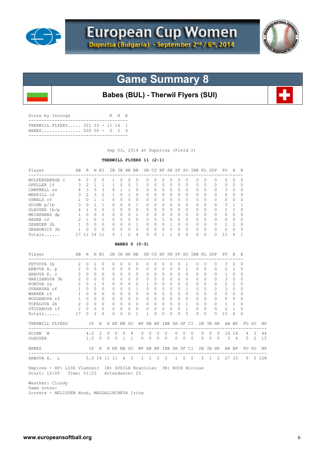



# **Game Summary 8**

**Babes (BUL) - Therwil Flyers (SUI)**

| Score by Innings |                                                          |  |  | R H E |  |
|------------------|----------------------------------------------------------|--|--|-------|--|
|                  | THERWILL FLYERS 321 23 - 11 14 1<br>BABES 000 00 - 0 2 0 |  |  |       |  |
|                  |                                                          |  |  |       |  |

Sep 03, 2014 at Dupnitsa (Field 2)

## **THERWILL FLYERS 11 (2-1)**

| Player                                                            |                                                          | AB R H BI   |                |                  |          |                |                |                | 2B 3B HR BB SB CS HP SH SF SO IBB KL GDP PO |                       |                      |                |                      |           |             |                |                |          |          |          |                | A              | - E          |                |         |
|-------------------------------------------------------------------|----------------------------------------------------------|-------------|----------------|------------------|----------|----------------|----------------|----------------|---------------------------------------------|-----------------------|----------------------|----------------|----------------------|-----------|-------------|----------------|----------------|----------|----------|----------|----------------|----------------|--------------|----------------|---------|
| WOLFENSBERGE c 4                                                  |                                                          | 2           | 2              | $\Omega$         |          | 1              | $\Omega$       | $\Omega$       | $\Omega$                                    | $\Omega$              | $\Omega$             | $\Omega$       | $\Omega$             | $\Omega$  |             | $\Omega$       | $\Omega$       | $\Omega$ |          | $\Omega$ | 5              | $\Omega$       | $\Omega$     |                |         |
| GFELLER 1f                                                        | $\mathbf{3}$                                             | 2           | $\mathbf{1}$   | 1                |          | $\mathbf{1}$   | $\Omega$       | $\Omega$       | 1                                           | $\Omega$              | $\Omega$             | $\Omega$       | $\Omega$             | $\Omega$  |             | $\Omega$       | $\Omega$       | $\Omega$ |          | $\Omega$ | $\Omega$       | $\Omega$       | $\Omega$     |                |         |
| CAMPBELL SS 4 3 3                                                 |                                                          |             |                | 3                |          | 0              | $\overline{1}$ | 1              | $\Omega$                                    | $\Omega$              | $\bigcap$            | $\Omega$       | $\Omega$             | $\bigcap$ |             | $\Omega$       | $\Omega$       | $\Omega$ |          | 0        | 3              | 2              | $\Omega$     |                |         |
| MERRILL cf                                                        | 3                                                        |             | $2 \quad 3$    | 2                |          | $\mathbf{1}$   | $\Omega$       | $\mathbf{1}$   | 0                                           | $\mathbf{0}$          | $\Omega$             | $\circ$        | $\circ$              | $\Omega$  |             | $\Omega$       | 0              | $\Omega$ |          | 0        | $\circ$        | $\Omega$       | $\mathbf{0}$ |                |         |
| OSWALD cf                                                         | $\overline{1}$                                           |             | $0 \quad 1$    | $\mathbf{1}$     |          | $\Omega$       | $\Omega$       | $\bigcap$      | $\Omega$                                    | $\Omega$              | $\cap$               | $\Omega$       | $\Omega$             | $\cap$    |             | $\Omega$       | $\Omega$       | $\Omega$ |          | $\Omega$ | $\Omega$       | $\Omega$       | $\Omega$     |                |         |
| $3 \t0 \t1$<br>GUINN p/1b                                         |                                                          |             |                | $\mathbf{1}$     |          | $\Omega$       | $\Omega$       | $\Omega$       | $\mathbf{1}$                                | $\Omega$              | $\Omega$             | $\Omega$       | $\Omega$             | $\Omega$  |             | $\Omega$       | $\Omega$       | $\Omega$ |          | $\Omega$ | 3              | 1              | 1            |                |         |
| GLAUSER 1b/p                                                      | $4 \quad 1 \quad 3$                                      |             |                | $\overline{c}$   |          | $\overline{2}$ | $\Omega$       | $\Omega$       | $\Omega$                                    | $\Omega$              | $\Omega$             | $\Omega$       | $\Omega$             | $\Omega$  |             | $\Omega$       | 0              | $\Omega$ |          | 0        | $\overline{c}$ | $\mathbf{1}$   | $\Omega$     |                |         |
| MEIERHANS dp                                                      | $\begin{array}{ccccccccc}\n1 & 0 & 0 & \n\end{array}$    |             |                | $\Omega$         |          | 0              | $\Omega$       | $\Omega$       | $\mathbf{1}$                                | $\Omega$              | $\Omega$             |                | $\Omega$<br>$\circ$  | $\Omega$  |             | $\Omega$       | $\circ$        | $\Omega$ |          | 0        | $\mathbf{0}$   | $\Omega$       | $\Omega$     |                |         |
| HAGER rf                                                          | $\begin{array}{cccc} 2 & 1 & 0 \\ 1 & 0 & 0 \end{array}$ |             |                | 1                |          | $\Omega$       | $\bigcirc$     | $\Omega$       | $\overline{0}$                              | $\Omega$              | $\Omega$             | $\overline{1}$ | $\Omega$             | $\Omega$  |             | $\Omega$       | $\Omega$       | $\Omega$ |          | 0        | 0              | $\circ$        | $\Omega$     |                |         |
| ZEHNDER 2b                                                        | $1 \quad 0 \quad 0$                                      |             |                | $\bigcap$        |          | $\Omega$       | $\Omega$       | $\Omega$       | <sup>1</sup>                                | 0                     | $\Omega$             | $\Omega$       | $\mathbf{1}$         | $\Omega$  |             | $\Omega$       | $\circ$        | $\Omega$ |          | $\circ$  | $\overline{2}$ | $\overline{c}$ | $\Omega$     |                |         |
| GRABOWICZ 3b                                                      | $\overline{1}$                                           | $\circ$     | $\Omega$       | $\bigcirc$       |          | $\Omega$       | $\Omega$       | $\circ$        | $\Omega$                                    | $\Omega$              | $\Omega$             |                | $\Omega$<br>$\Omega$ | $\Omega$  |             | $\Omega$       | 0              | $\Omega$ |          | $\Omega$ | $\circ$        | $\bigcirc$     | $\circ$      |                |         |
| Totals                                                            |                                                          | 27 11 14 11 |                |                  |          | 5              | $\mathbf{1}$   | $\overline{2}$ | $\overline{4}$                              | $\Omega$              | $\bigcap$            | $\mathbf{1}$   | $\mathbf{1}$         | $\Omega$  |             | $\Omega$       | $\Omega$       | $\Omega$ |          | $\cap$   | 15             | 6              | -1           |                |         |
|                                                                   |                                                          |             |                |                  |          |                |                |                | BABES 0 (0-3)                               |                       |                      |                |                      |           |             |                |                |          |          |          |                |                |              |                |         |
| <b>Example 2018</b><br>Player<br>---------------------            |                                                          |             |                | R H BI           |          |                |                |                | 2B 3B HR BB SB CS HP SH SF SO IBB KL GDP    |                       |                      |                |                      |           |             |                |                |          |          |          | PO A E         |                |              |                |         |
| FETVOVA 1b                                                        | $\overline{2}$                                           | $\circ$     | $\mathbf{1}$   | $\Omega$         |          | 0              | $\Omega$       | $\Omega$       | $\Omega$                                    | 0                     | $\Omega$             | $\Omega$       | $\Omega$             | $\Omega$  |             | 1              | 0              | $\Omega$ |          | $\Omega$ | 3              | $\Omega$       | $\Omega$     |                |         |
| ARBOVA A. p 2 0 0                                                 |                                                          |             |                | $\Omega$         |          | 0              | $\Omega$       | $\Omega$       | $\circ$                                     | $\mathbf{0}$          | $\Omega$             | $\circ$        | $\Omega$             | $\Omega$  |             | $\overline{1}$ | 0              | $\Omega$ |          | 0        | $\circ$        | 2              | $\circ$      |                |         |
| ARBOVA K. C                                                       | $2^{\circ}$                                              | $\cap$      | $\bigcap$      | $\cap$           |          | $\Omega$       | $\Omega$       | $\Omega$       | $\Omega$                                    | $\Omega$              | $\cap$               | $\Omega$       | $\Omega$             | $\Omega$  |             | $\Omega$       | $\Omega$       | $\Omega$ |          | $\Omega$ | $\mathbf{1}$   | $\Omega$       | $\Omega$     |                |         |
| HARIZANOVA 3b                                                     | $\overline{2}$                                           |             | $0 \quad 0$    | $\Omega$         |          | $\Omega$       | $\Omega$       | $\Omega$       | $\Omega$                                    | $\Omega$              | $\Omega$             | $\Omega$       | $\Omega$             | $\Omega$  |             | $\Omega$       | $\Omega$       | $\Omega$ |          | $\Omega$ | 3              | $\Omega$       | $\Omega$     |                |         |
| KONOVA SS                                                         | $\overline{2}$                                           |             | $0 \quad 1$    | $\cap$           |          | $\Omega$       | $\Omega$       | $\Omega$       | $\Omega$                                    | $\mathbf{1}$          | $\Omega$             | $\Omega$       | $\Omega$             | $\Omega$  |             | $\Omega$       | $\Omega$       | $\Omega$ |          | $\circ$  | 2              | 2              | $\Omega$     |                |         |
| OVNARSKA cf 1                                                     |                                                          |             | 0 <sub>0</sub> | $\bigcap$        |          | $\Omega$       | $\Omega$       | $\Omega$       | $\mathbf{1}$                                | $\Omega$              | $\Omega$             | $\Omega$       | $\Omega$             | $\Omega$  |             | 1              | $\Omega$       | $\Omega$ |          | 0        | 3              | $\Omega$       | $\Omega$     |                |         |
|                                                                   |                                                          |             |                | $\cap$           |          | $\Omega$       | $\Omega$       | $\Omega$       | $\Omega$                                    | $\Omega$              | $\Omega$             |                | $\Omega$<br>$\Omega$ | $\Omega$  |             | $\Omega$       | $\Omega$       | $\Omega$ |          | 0        | $\Omega$       | $\Omega$       | $\Omega$     |                |         |
| WARREN rf 1 0 0<br>BOGDANOVA rf 1 0 0<br>TOPALOVA 2b 2 0 0        |                                                          |             |                | $\Omega$         |          | $\Omega$       | $\Omega$       | $\Omega$       | $\Omega$                                    | $\circ$               | $\Omega$             | $\Omega$       | $\Omega$             | $\Omega$  |             | $\Omega$       | $\Omega$       | $\Omega$ |          | $\circ$  | $\circ$        | $\Omega$       | $\Omega$     |                |         |
|                                                                   |                                                          |             |                | $\Omega$         |          | $\Omega$       | $\Omega$       | $\bigcirc$     | $\bigcirc$                                  | 0                     | $\bigcirc$           | $\Omega$       | $\circ$              |           | $0 \quad 1$ |                | $\overline{0}$ | $\Omega$ |          | $\Omega$ | $\mathbf{1}$   | $\mathbf{1}$   | $\Omega$     |                |         |
| STOYANOVA 1f                                                      | 2                                                        | $\Omega$    | $\Omega$       | $\Omega$         |          | $\Omega$       | $\Omega$       | $\Omega$       | $\Omega$                                    | $\Omega$              | $\Omega$             | $\Omega$       | $\Omega$             | $\Omega$  |             | $\mathbf{1}$   | $\Omega$       | $\Omega$ |          | $\Omega$ | $\overline{c}$ | 1              | $\Omega$     |                |         |
| Totals                                                            | 17                                                       | $\circ$     | 2              | $\Omega$         |          | $\Omega$       | $\Omega$       | $\Omega$       | $\mathbf{1}$                                | $\mathbf{1}$          | $\Omega$             | $\Omega$       | 0                    | $\Omega$  |             | 5              | $\Omega$       | $\Omega$ |          | $\Omega$ | 15             | 6              | $\Omega$     |                |         |
| THERWILL FLYERS                                                   |                                                          |             |                | IP H R ER BB SO  |          |                |                |                |                                             | WP HB BK IBB SH SF CI |                      |                |                      |           |             |                |                |          |          |          | 2B 3B HR AB BF |                |              | FO GO          | ΝP      |
| GUINN W                                                           |                                                          |             | 4.0            | 2                | 0        | 0              | 0              | 4              |                                             | 0                     | 0<br>0               |                | $\Omega$             | 0         | 0           | 0              |                | 0        | 0        | $\Omega$ |                | 14 14          | 4            | 3              | 44      |
| GLAUSER                                                           |                                                          | 1.0         |                | $\Omega$         | $\Omega$ | $\Omega$       | $\mathbf{1}$   | $\mathbf{1}$   |                                             | $\Omega$              | $\Omega$<br>$\Omega$ |                | $\Omega$             | $\Omega$  | $\Omega$    | $\Omega$       |                | $\Omega$ | $\Omega$ | $\Omega$ | $\mathcal{E}$  | 4              | $\Omega$     | $\overline{2}$ | 1.5     |
| <b>BABES</b>                                                      |                                                          |             |                | IP H R ER BB SO  |          |                |                |                |                                             | WP HB BK IBB SH SF CI |                      |                |                      |           |             |                |                |          |          |          | 2B 3B HR AB BF |                |              | FO GO          | ΝP      |
| ARBOVA A. L                                                       |                                                          |             |                | 5.0 14 11 11 4 0 |          |                |                |                |                                             | 1                     | $1 \quad 0$          | $\overline{0}$ |                      |           | $1 \quad 0$ | $\overline{0}$ |                | 5        |          |          | 1 2 27 33      |                |              | 9              | 5 1 2 8 |
| Umpires - HP: LISS Vladimir 1B: SUSILA Branislav 3B: ROUX Nicolas |                                                          |             |                |                  |          |                |                |                |                                             |                       |                      |                |                      |           |             |                |                |          |          |          |                |                |              |                |         |

Start: 12:00 Time: 01:23 Attendance: 25

 Weather: Cloudy Game notes: Scorers - NELISSEN Huub, MAGDALINCHEVA Irina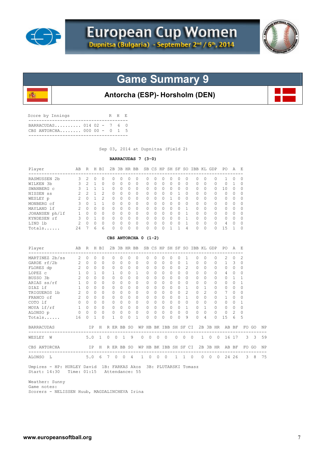

殲



# **Game Summary 9**

## **Antorcha (ESP)- Horsholm (DEN)**

| Score by Innings                                         |  | R H E |  |
|----------------------------------------------------------|--|-------|--|
| BARRACUDAS 014 02 - 7 6 0<br>CBS ANTORCHA 000 00 - $0$ 1 |  |       |  |
|                                                          |  |       |  |

Sep 03, 2014 at Dupnitsa (Field 2)

## **BARRACUDAS 7 (3-0)**

| Player         | AΒ            | R      | H      | ВI            | 2В       | 3B           | HR               | BB       |                  |                  |         | SB CS HP SH SF   |   | SO.       | IBB | KL       | GDP      | PO. | A                | Е         |
|----------------|---------------|--------|--------|---------------|----------|--------------|------------------|----------|------------------|------------------|---------|------------------|---|-----------|-----|----------|----------|-----|------------------|-----------|
| RASMUSSEN 2b   | 3.            | 2      |        |               |          | $^{()}$      |                  |          | $\left( \right)$ | $\left( \right)$ | $^{()}$ | $\left( \right)$ |   |           |     |          | 0        |     | $\left( \right)$ | $\left($  |
| WILKEN 3b      | 3             | 2      |        | O             | 0        | 0            | $\left( \right)$ | $\Omega$ | $\Omega$         | $\Omega$         | 0       | 0                | 0 | $\Omega$  | O   | 0        | 0        |     |                  | 0         |
| SWANBERG c     |               |        |        |               |          | 0            |                  | $\Omega$ | <sup>0</sup>     | $\Omega$         | 0       | O                | 0 | $\Omega$  | O   | 0        | O        |     | O                | 0         |
| NISSEN SS      | 2             | っ      |        | $\mathcal{L}$ | O.       | 0            | 0                | $\Omega$ | 0                | $\Omega$         | 0       | O                |   | $\bigcap$ | O.  | 0        | 0        | 0   | 0                | 0         |
| WESLEY p       | $\mathcal{P}$ | $\cap$ |        | $\mathcal{L}$ | $\Omega$ | <sup>0</sup> | 0                | $\Omega$ | $\cap$           | $\bigcap$        | O       |                  |   | $\Omega$  | U   | O.       | $\Omega$ | Λ   | O                | $\Omega$  |
| MONBERG cf     | 3             | $\cap$ |        |               | O.       | <sup>0</sup> | O                | $\Omega$ | $\cap$           | $\bigcap$        | 0       | <sup>0</sup>     | O | $\Omega$  | U   | $\Omega$ | $\Omega$ | Λ   | $\Omega$         | $\Omega$  |
| MAYLAND 1f     | 2             | $\cap$ | $\cap$ | $\bigcap$     | O.       | <sup>0</sup> | $\Omega$         | $\Omega$ | $\bigcap$        | $\bigcap$        | O       | $\cap$           | O |           | ∩   | $\cap$   | $\Omega$ | ∩   | <sup>0</sup>     | $\Omega$  |
| JOHANSEN ph/lf |               | $\cap$ | $\cap$ | $\bigcap$     | U        | <sup>0</sup> | $\Omega$         | $\Omega$ | $\cap$           | $\cap$           | U       | $\cap$           | ∩ |           |     | $\cap$   | $\Omega$ | Λ   | ∩                | $\bigcap$ |
| KYNDESEN rf    | 3             | $\cap$ |        | $\cap$        | U        | <sup>0</sup> | $\cap$           | $\Omega$ | $\cap$           | $\cap$           | O       | $\cap$           | ∩ |           | U   | $\cap$   | $\Omega$ | U   | U                | $\Omega$  |
| LIND 1b        | $\mathcal{P}$ | $\cap$ | $\cap$ | <sup>0</sup>  | U        | <sup>0</sup> | ∩                | $\Omega$ | $\cap$           | $\bigcap$        | U       | $\cap$           |   |           | U   | O.       | $\Omega$ | 4   | $\Omega$         | $\bigcap$ |
| Totals         | 24            |        | 6      | 6             |          | O            |                  |          |                  | $\cap$           | U       |                  |   | 4         | U   | O        | U        | 15  |                  | ∩         |

#### **CBS ANTORCHA 0 (1-2)**

| Player                                                                                                     |                 | AB R H BI   |              |          |   |              |                 |                | 2B 3B HR BB SB CS HP SH SF SO IBB KL GDP |                          |                |                |                      |           |                     |          |                |                | PO<br>----------------- | A            |                                                     |                  |           |
|------------------------------------------------------------------------------------------------------------|-----------------|-------------|--------------|----------|---|--------------|-----------------|----------------|------------------------------------------|--------------------------|----------------|----------------|----------------------|-----------|---------------------|----------|----------------|----------------|-------------------------|--------------|-----------------------------------------------------|------------------|-----------|
| MARTINEZ 2b/ss                                                                                             | $2^{\circ}$     | $\Omega$    | $\Omega$     | $\Omega$ |   | $\bigcap$    |                 | $\Omega$       | $\Omega$                                 | $\Omega$                 | $\Omega$       | $\Omega$       | $\Omega$             | $\Omega$  |                     | $\Omega$ | $\Omega$       | $\Omega$       | $2^{1}$                 | $\Omega$     | 2                                                   |                  |           |
| GARDE rf/2b                                                                                                | $2\quad 0$      |             | $\Omega$     | $\Omega$ |   | <sup>n</sup> | $\cap$          | $\Omega$       | $\Omega$                                 | $\Omega$                 | $\Omega$       | $\cap$         | $\Omega$             | $\cap$    | $\mathbf{1}$        | $\Omega$ | $\Omega$       | $\Omega$       | 1                       | 3            | $\Omega$                                            |                  |           |
| FLORES dp 2 0                                                                                              |                 |             | $\Omega$     | $\Omega$ |   | $\bigcap$    | $\cap$          | $\Omega$       | $\Omega$                                 | $\cap$                   | $\Omega$       |                | $\Omega$<br>$\Omega$ | $\bigcap$ | 2                   | $\cap$   | $\Omega$       | $\Omega$       | $\Omega$                | $\Omega$     | $\Omega$                                            |                  |           |
| LOPEZ c                                                                                                    | 1               | $\bigcap$   | $\mathbf{1}$ | $\Omega$ |   |              | $\Omega$        | $\Omega$       | 1                                        | $\Omega$                 | $\Omega$       | $\Omega$       | $\Omega$             | $\Omega$  | $\Omega$            | $\Omega$ | $\Omega$       | $\Omega$       | 4                       | $\Omega$     | $\Omega$                                            |                  |           |
| BUSSO 3b 2                                                                                                 |                 | $\Omega$    | $\Omega$     | $\Omega$ |   | $\Omega$     | $\Omega$        | $\bigcap$      | $\Omega$                                 | $\Omega$                 | $\Omega$       | $\overline{0}$ | $\Omega$             | $\Omega$  | $\Omega$            | $\Omega$ | $\Omega$       | $\Omega$       | $\Omega$                | $\mathbf{1}$ | $\mathbf{1}$                                        |                  |           |
| ARIAS ss/rf                                                                                                | 1               | $\bigcap$   | $\Omega$     | $\Omega$ |   | $\bigcap$    | $\Omega$        | $\Omega$       | $\Omega$                                 | 0                        | $\Omega$       | $\cap$         | $\Omega$             | $\Omega$  | $\Omega$            | $\Omega$ | $\Omega$       | $\Omega$       | $\Omega$                | $\Omega$     | -1                                                  |                  |           |
| DIAZ lf                                                                                                    | $\mathbf{1}$    | $\Omega$    | $\cap$       | $\Omega$ |   |              | $\cap$          | $\cap$         | $\Omega$                                 | $\Omega$                 | $\Omega$       | $\Omega$       | $\Omega$             | $\cap$    | $\mathbf{1}$        | $\cap$   | 1              | $\Omega$       | $\Omega$                | $\Omega$     |                                                     |                  |           |
| TRIGUEROS 1b                                                                                               | $2\quad 0$      |             | $\cap$       | $\Omega$ |   |              | $\bigcap$       | $\bigcap$      | $\bigcap$                                | $\Omega$                 | $\cap$         | $\Omega$       | $\Omega$             | $\Omega$  | $\mathcal{L}$       | $\Omega$ | $\mathfrak{D}$ | $\Omega$       | 7                       | $\Omega$     | O                                                   |                  |           |
| FRANCO cf                                                                                                  | $2^{\circ}$     | $\bigcap$   | $\cap$       | $\Omega$ |   | $\bigcap$    | $\Omega$        | $\Omega$       | $\Omega$                                 | $\Omega$                 | $\Omega$       | $\Omega$       | $\Omega$             | $\Omega$  | $\mathbf{1}$        | $\Omega$ | $\Omega$       | $\Omega$       | $\mathbf{1}$            | $\Omega$     | O                                                   |                  |           |
| COTO lf                                                                                                    |                 | $0\quad 0$  | $\cap$       | $\Omega$ |   | $\Omega$     | $\cap$          | $\Omega$       | $\Omega$                                 | $\Omega$                 | $\Omega$       |                | $\Omega$<br>$\Omega$ | $\Omega$  | $\cap$              | $\Omega$ | $\Omega$       | $\Omega$       | $\Omega$                | $\bigcap$    | -1                                                  |                  |           |
| MOYA lf/rf                                                                                                 |                 | $1 \quad 0$ | $\Omega$     | $\circ$  |   | $\Omega$     | $\overline{0}$  | $\circ$        | $\Omega$                                 | $\Omega$                 | $\Omega$       |                | $\circ$<br>$\Omega$  | $\Omega$  | $\mathbf{1}$        | $\Omega$ | $\mathbf{1}$   | $\Omega$       | $\circ$                 | $\Omega$     | $\Omega$                                            |                  |           |
| ALONSO p 0 0 0 0                                                                                           |                 |             |              | $\circ$  |   | $\circ$      | $0\quad 0$      |                | $\overline{0}$                           | $\circ$                  | $\circ$        |                | $0\quad 0$           | $\Omega$  | $\Omega$            |          | $0\quad 0$     | $\overline{0}$ | $\circ$                 | 2            | $\Omega$                                            |                  |           |
| Totals                                                                                                     | 16              | $\Omega$    | $\mathbf{1}$ | $\Omega$ |   | $\mathbf{1}$ | $\Omega$        | $\Omega$       | $\overline{1}$                           | $\Omega$                 | $\Omega$       | $\Omega$       | $\Omega$             | $\Omega$  | 9                   | $\Omega$ | 4              | $\Omega$       | 15                      | 6            | 5                                                   |                  |           |
| <b>BARRACUDAS</b>                                                                                          |                 |             |              |          |   |              | IP H R ER BB SO |                |                                          | WP HB BK IBB SH SF CI    |                |                |                      |           |                     |          |                |                | 2B 3B HR AB BF          |              |                                                     | FO GO            | <b>NP</b> |
| WESLEY W                                                                                                   | 5.0 1 0 0 1 9   |             |              |          |   |              |                 |                |                                          | $0\quad 0\quad 0\quad 0$ |                |                |                      |           | $0 \quad 0 \quad 0$ |          |                |                |                         |              | 1 0 0 16 17 3 3 59                                  |                  |           |
| CBS ANTORCHA<br>--------------------------------                                                           | IP H R ER BB SO |             |              |          |   |              |                 |                |                                          | WP HB BK IBB SH SF CI    |                |                |                      |           |                     |          |                |                |                         |              | 2B 3B HR AB BF FO GO<br>--------------------------- |                  | ΝP        |
| ALONSO L                                                                                                   | 5.06            |             |              |          | 7 | $\Omega$     | $\Omega$        | $\overline{4}$ | $\mathbf{1}$                             | $\Omega$                 | $\overline{0}$ | $\bigcirc$     |                      |           | $1 \quad 1 \quad 0$ |          |                |                | 0 0 0 24 26             |              |                                                     | $3 \overline{8}$ | 75        |
| Umpires - HP: HURLEY David 1B: FARKAS Akos 3B: PLUTARSKI Tomasz<br>Start: 14:30 Time: 01:15 Attendance: 55 |                 |             |              |          |   |              |                 |                |                                          |                          |                |                |                      |           |                     |          |                |                |                         |              |                                                     |                  |           |

 Weather: Sunny Game notes: Scorers - NELISSEN Huub, MAGDALINCHEVA Irina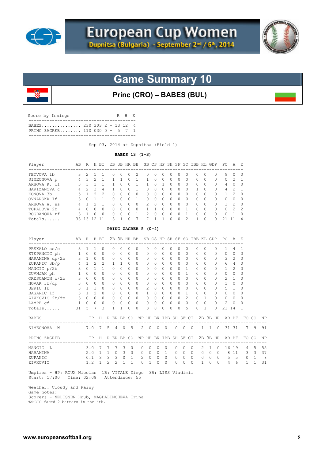



# **Game Summary 10**

**Princ (CRO) – BABES (BUL)**

| Score by Innings               | R H E |  |
|--------------------------------|-------|--|
| PRINC ZAGREB 110 030 0 - 5 7 1 |       |  |

Sep 03, 2014 at Dupnitsa (Field 1)

### **BABES 13 (1-3)**

| Player       | AВ | R  | H        | BT.            | 2B |                  | 3B HR BB     |               |              |          | SB CS HP SH SF SO |              |           |              |          | IBB KL GDP | PО       | А          | Ε              |
|--------------|----|----|----------|----------------|----|------------------|--------------|---------------|--------------|----------|-------------------|--------------|-----------|--------------|----------|------------|----------|------------|----------------|
| FETVOVA 1b   | 3. |    |          |                |    | $\left( \right)$ |              | $^{(1)}$      | $\cup$       | $^{(1)}$ | $\cup$            |              |           |              |          |            | 9        |            | 0              |
| SIMEONOVA p  | 4  | 3  | 2.       |                |    |                  |              |               | $\Omega$     | 0        | $\left( \right)$  | O            | $\Omega$  | $\bigcap$    | $^{(1)}$ | 0          | $\Omega$ | 2          |                |
| ARBOVA K. cf | २  | २  |          |                |    | <sup>0</sup>     | <sup>0</sup> |               | <sup>0</sup> |          | <sup>0</sup>      | <sup>n</sup> | $\Omega$  | $\cap$       | $\Box$   | $\Omega$   | 4        | $^{\circ}$ | $\Omega$       |
| HARIZANOVA C | 4  |    | 3        | 4              |    | U                |              | <sup>n</sup>  | O            | 0        | <sup>0</sup>      | ∩            | $\Omega$  |              | n        | $\Omega$   | 4        | っ          |                |
| KONOVA 3b    | 5. |    | っ        | $\mathfrak{D}$ |    | U                |              | 0             | O            | O.       | <sup>0</sup>      |              | $\bigcap$ | <sup>n</sup> | O.       |            |          | 2          | $\Omega$       |
| OVNARSKA 1f  | २  | Λ  |          |                |    | U                |              | U             | Ω            | U        |                   |              |           | $\cap$       |          |            | 0        |            | $\Omega$       |
| ARBOVA A. ss | 4  |    |          |                |    | O                |              | $\mathcal{L}$ | O            | U        |                   |              |           |              |          |            | 3        | 2          | $\Omega$       |
| TOPALOVA 2b  | 4  | Λ  | $^{(1)}$ | <sup>0</sup>   |    | 0                |              |               |              |          |                   |              |           |              | $^{(1)}$ |            | $\Omega$ | 2          | -2             |
| BOGDANOVA rf | २  |    |          | $\bigcap$      |    |                  |              |               | Λ            | n        |                   |              |           |              |          |            | 0        |            | $\Omega$       |
| Totals       | 33 | ्र |          |                | ২  |                  |              |               |              |          |                   |              |           |              |          |            |          |            | $\overline{4}$ |

### **PRINC ZAGREB 5 (0-4)**

| Player                | AB             | R            |                | H BI           |                |                         | 2B 3B HR BB   |              |          | SB CS        |          | HP              |          |           |              |           | SH SF SO IBB KL GDP |              |          | PO.           | A              | - F                          |                         |            |
|-----------------------|----------------|--------------|----------------|----------------|----------------|-------------------------|---------------|--------------|----------|--------------|----------|-----------------|----------|-----------|--------------|-----------|---------------------|--------------|----------|---------------|----------------|------------------------------|-------------------------|------------|
| PRSKALO ss/c          | 3              | 1            |                | $\Omega$       |                | $\Omega$                |               | $\Omega$     | $\Omega$ | $\Omega$     | 0        | $\Omega$        | 0        | $\Omega$  | $\Omega$     |           | $\Omega$            | $\Omega$     | $\Omega$ |               | 4              |                              |                         |            |
| STEPANCIC ph          | $\mathbf{1}$   | $\Omega$     | $\bigcap$      | $\Omega$       |                | 0                       | $\Omega$      | $\Omega$     | $\Omega$ | $\Omega$     | $\Omega$ | 0               | $\Omega$ | $\Omega$  | $\Omega$     |           | 0                   | $\bigcap$    | $\Omega$ | $\Omega$      | $\Omega$       | $\Omega$                     |                         |            |
| HARAMINA dp/2b        | 3 <sup>1</sup> | 1            | $\circ$        | $\circ$        |                | $\circ$                 | $\circ$       | $\circ$      | $\Omega$ | $\mathbf{0}$ | $\circ$  | $\Omega$        | $\circ$  | $\Omega$  | $\Omega$     |           | 0                   | $\Omega$     | 0        | 3             | 2              | $\Omega$                     |                         |            |
| ZUPANIC 3b/p          |                | $4 \quad 1$  | $\mathfrak{D}$ | 2              |                | $\mathbf{1}$            | $\mathbf{1}$  | 0            | $\Omega$ | $\Omega$     | $\Omega$ | $\Omega$        | 0        | $\bigcap$ | $\Omega$     |           | $\Omega$            | $\bigcap$    | 0        | 6             | $\overline{4}$ | $\Omega$                     |                         |            |
| MANCIC p/2b           | $\mathbf{3}$   | $\Omega$     |                | 1              |                | $\Omega$                | $\Omega$      | $\Omega$     | $\Omega$ | $\Omega$     | $\Omega$ | $\Omega$        | $\Omega$ | $\Omega$  |              |           | 0                   | $\bigcap$    | $\Omega$ |               | $\mathcal{L}$  | $\Omega$                     |                         |            |
| DUVNJAK ph            | $\mathbf{1}$   | $\bigcap$    | $\Omega$       | $\cap$         |                | $\bigcap$               | $\Omega$      | $\Omega$     | $\Omega$ | $\Omega$     | $\Omega$ | $\Omega$        | $\Omega$ | $\bigcap$ | 1            |           | <sup>0</sup>        | <sup>n</sup> | $\Omega$ | $\Omega$      | $\Omega$       | $\Omega$                     |                         |            |
| ORESCANIN c/2b        | 3              | $\Omega$     | $\Omega$       | $\Omega$       |                | $\Omega$                | $\Omega$      | $\Omega$     | $\Omega$ | $\Omega$     | $\Omega$ | $\Omega$        | 0        | $\Omega$  | $\Omega$     |           | $\Omega$            | $\Omega$     | $\Omega$ | $\mathbf{2}$  |                | $\Omega$                     |                         |            |
| NOVAK rf/dp           | 3              | $\Omega$     | $\Omega$       | $\Omega$       |                | $\Omega$                | $\Omega$      | $\Omega$     | $\Omega$ | $\Omega$     | $\Omega$ | $\Omega$        | $\Omega$ | $\bigcap$ | $\Omega$     |           | $\Omega$            | $\bigcap$    | $\Omega$ | $\mathbf{1}$  | 0              | $\Omega$                     |                         |            |
| SERIC 1b              | 3              | $\mathbf{1}$ | $\mathbf{1}$   | $\Omega$       |                | $\bigcap$               | $\Omega$      | $\Omega$     | $\Omega$ | 2            | $\Omega$ | $\Omega$        | $\Omega$ | $\bigcap$ | $\Omega$     |           | $\Omega$            | $\bigcap$    | $\Omega$ | 5.            | 1              | $\Omega$                     |                         |            |
| BAGARIC 1f            | 3              | $\mathbf{1}$ | $\mathfrak{D}$ | $\Omega$       |                | $\Omega$                | $\Omega$      | $\Omega$     | $\Omega$ | $\mathbf{1}$ | $\Omega$ | 0               | $\Omega$ | $\bigcap$ | 1            |           | 0                   | $\Omega$     | $\Omega$ | $\Omega$      | $\Omega$       | $\Omega$                     |                         |            |
| ZIVKOVIC 2b/dp        |                | $3 \quad 0$  | $\Omega$       | $\Omega$       |                | $\Omega$                | $\Omega$      | $\Omega$     | $\Omega$ | $\mathbf{0}$ | $\Omega$ | $\Omega$        | $\circ$  | $\Omega$  | 2            |           | $\circ$             |              | 0        | $\circ$       | $\Omega$       | $\Omega$                     |                         |            |
| LAMPE cf              | $\mathbf{1}$   | $\Omega$     | $\Omega$       | $\circ$        |                | $\circ$                 | $\circ$       | $\circ$      | $\circ$  | 0            | $\circ$  | $\mathbf{0}$    | $\circ$  | $\circ$   | $\mathbf{0}$ |           | $\circ$             | $\Omega$     | 0        | 2             | $\Omega$       | $\Omega$                     |                         |            |
| Totals                | 31             | 5            |                | 3              |                | 1                       | 1             | $\Omega$     | $\Omega$ | 3            | $\Omega$ | $\Omega$        | 0        | $\Omega$  | 5            |           | 0                   |              | $\Omega$ | 21            | 14             |                              |                         |            |
| <b>BABES</b>          |                |              | IP             | H              |                |                         | R ER BB SO    |              | WP       | HB           |          | BK IBB SH SF    |          |           |              | CI        |                     | 2B 3B HR     |          |               | AB BF          | FO                           | GO                      | ΝP         |
| SIMEONOVA<br>W        |                | 7.0          |                | 7              | -5             | $\overline{4}$          | $\circ$       | .5           | 2        | $\circ$      | $\circ$  | $\Omega$        |          | $\Omega$  | $\circ$      | $\Omega$  |                     | $1 \quad 1$  | $\Omega$ |               | 31 31          | -----------------------<br>7 | 9                       | 91         |
| PRINC ZAGREB          |                |              | IP             | H              |                |                         | R ER BB SO    |              | WΡ       |              |          | HB BK IBB SH SF |          |           |              | CI.       |                     | 2B 3B HR     |          |               | AB BF          | FO.                          | GO                      | ΝP         |
| MANCIC<br>$T_{\rm L}$ |                | 3.0          |                | 7              |                | 7                       | 3             | $\Omega$     | $\Omega$ | $\bigcap$    | $\Omega$ | $\Omega$        |          | 0         | $\Omega$     | $\bigcap$ | $\mathcal{L}$       | 1            | $\Omega$ | 16            | 19             | 4                            | 5                       | 55         |
| HARAMINA              |                | 2.0          |                | $\overline{1}$ | $\overline{1}$ | $\Omega$                | $\mathcal{B}$ | $\Omega$     | $\Omega$ | $\Omega$     | $\circ$  | $\mathbf{1}$    |          | $\Omega$  | $\Omega$     | $\Omega$  | $\Omega$            | $\circ$      | $\Omega$ | 8             | 11             | 3                            | $\overline{\mathbf{3}}$ | 37         |
| ZUPANIC               |                | 0.1          |                | 3              | $\mathbf{3}$   | $\overline{\mathbf{3}}$ | $\circ$       | $\mathbf{1}$ | 2        | $\circ$      | $\circ$  | $\Omega$        |          | 0         | $\circ$      | $\Omega$  | 0                   | $\circ$      |          | $\Omega$<br>5 | 5              | $\circ$                      | 1                       | $_{\rm 8}$ |
| ZIVKOVIC              |                | 1.2          |                | $\mathbf{1}$   | $\mathfrak{D}$ | $\mathfrak{D}$          | 1             | 1            | $\Omega$ | 1.           | $\cap$   | $\Omega$        |          | $\Omega$  | $\Omega$     | $\bigcap$ | 1                   | $\cap$       | $\Omega$ | 4             | 6              | 1                            | 1                       | 31         |

 Umpires - HP: ROUX Nicolas 1B: VITALE Diego 3B: LISS Vladimir Start: 17:00 Time: 02:08 Attendance: 55

Weather: Cloudy and Rainy

Game notes:

 Scorers - NELISSEN Huub, MAGDALINCHEVA Irina MANCIC faced 2 batters in the 4th.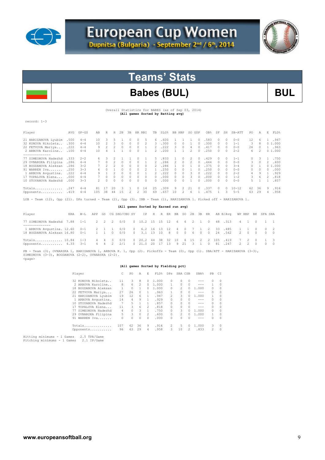



# **Teams' Stats**

# Babes (BUL) BUL

Overall Statistics for BABES (as of Sep 03, 2014) **(All games Sorted by Batting avg)** 

| Y<br>rn.<br>המ |  |
|----------------|--|
|                |  |

| Player                                                                                                                 | AVG   | $GP - GS$ | AB            | R            | Н      | 2B       | 3B       | HR RBI |          | TB.    | SLG%                                 |          | BB HBP       | SO GDP        |        | OB%  | SF        | SH       | $SB-ATT$  | PO. | Α        | Е.           | FLD%   |
|------------------------------------------------------------------------------------------------------------------------|-------|-----------|---------------|--------------|--------|----------|----------|--------|----------|--------|--------------------------------------|----------|--------------|---------------|--------|------|-----------|----------|-----------|-----|----------|--------------|--------|
| 21 HARIZANOVA Lyubim                                                                                                   | .500  | $4 - 4$   | 10            | 3            | 5.     |          | $\cap$   |        |          | 6.     | .600                                 |          |              |               | $\cap$ | .583 | O.        | 0        | $0 - 0$   | 12  | 6        |              | .947   |
| 32 KONOVA Nikoleta                                                                                                     | .300  | $4 - 4$   | 10            | 2            | 3      | 0        | $\Omega$ |        |          | 3      | .300                                 | $\cap$   | 0            |               |        | .300 | 0         | 0        | $1 - 1$   | 3   | 8        |              | 01.000 |
| 22 FETVOVA Mariya                                                                                                      | .222  | $4 - 4$   | 9             |              |        | $\Omega$ | $\cap$   |        |          |        | .222                                 | ₹        | $\cap$       | 4             |        | .417 | $\Box$    | $\Omega$ | $0 - 0$   | 26  | $\Omega$ |              | 1 .963 |
| 2 ARBOVA Karoline                                                                                                      | .100  | $4 - 4$   | 10            |              |        |          |          |        |          | 2      | .200                                 |          |              | $\mathcal{P}$ |        | .250 | $\Box$    | 0        | $2 - 2$   | 6   |          |              | 01.000 |
|                                                                                                                        |       |           |               |              |        |          |          |        |          |        |                                      |          |              |               |        |      |           |          |           |     |          |              |        |
| 77 SIMEONOVA Nadezhd                                                                                                   | .333  | $2 - 2$   | 6.            | 3            |        |          |          |        |          | 5.     | .833                                 |          | 0            | 2             | 0      | .429 | $\Box$    | $\Omega$ | $1 - 1$   | 0   | 3        |              | .750   |
| 29 OVNARSKA Filipina                                                                                                   | .286  | $4 - 4$   |               | $\Omega$     |        | 0        | $\Omega$ | 0      |          | 2.     | .286                                 |          | 0            |               | 0      | .444 | $\Box$    | 0        | $0 - 0$   | 3   | 0        | $\mathbf{2}$ | .600   |
| 18 BOGDANOVA Aleksan                                                                                                   | .286  | $3 - 2$   |               |              |        |          |          |        |          |        | .286                                 |          |              |               |        | .375 |           | n.       | $3 - 4$   | 0.  |          |              | 01.000 |
| 91 WARREN Iva                                                                                                          | .250  | $3 - 3$   |               |              |        |          |          |        |          |        | .250                                 |          |              |               |        | .250 | 0         | 0        | $0 - 0$   | 0   |          | 0.           | .000   |
| 1 ARBOVA Avgustina.                                                                                                    | .222  | $4 - 4$   | 9             |              |        | $\cap$   | $\cap$   |        |          | 2      | .222                                 | $\cap$   | <sup>0</sup> | २             | $\cap$ | .222 | $\bigcap$ | $\Omega$ | $2 - 2$   | 4   | 9        |              | .929   |
| 17 TOPALOVA Elena                                                                                                      | . 000 | $4 - 4$   |               |              |        | $\Omega$ | 0        |        | $\Omega$ | 0      | .000                                 | $\Omega$ | 0            | 3             | $\cap$ | .000 | $\bigcap$ | 0        | $1 - 2$   | 3.  | 6        | 2            | .818   |
| 10 STOYANOVA Nadezhd                                                                                                   | .000  | $3 - 3$   | $\mathcal{P}$ | <sup>0</sup> | $\cap$ | n        | $\cap$   |        | $\cap$   | $\cap$ | .000                                 | $\cap$   | <sup>0</sup> |               | $\cap$ | .000 | $\cap$    | n        | $0 - 0$   | 5.  |          |              | .857   |
| Totals                                                                                                                 | .247  | $4 - 4$   | 81            | 17           | 20     | २        |          | 0      | 14       | 25     | .309                                 | 9        | 2.           | 21            | $\cap$ | .337 | $\Omega$  | $\Omega$ | $10 - 12$ | 62  | 36       | 9            | .916   |
| Opponents                                                                                                              | .419  | $4 - 4$   | 105           | 38           | 44     | 15       | 2        | 2      | 30       | 69     | .657                                 | 10       | 2            | 6             |        | .475 |           | 3.       | $5 - 5$   | 63  | 29       | 4            | .958   |
| Team (12), Opp (21). DPs turned - Team (2), Opp (3). IBB - Team (1), HARIZANOVA 1. Picked off - HARIZANOVA 1.<br>LOB - |       |           |               |              |        |          |          |        |          |        |                                      |          |              |               |        |      |           |          |           |     |          |              |        |
|                                                                                                                        |       |           |               |              |        |          |          |        |          |        | (All games Sorted by Earned run avg) |          |              |               |        |      |           |          |           |     |          |              |        |

| Player                                                                                                                                                                                        |  |  | ERA W-L APP GS CG SHO/CBO SV IP H R ER BB SO 2B 3B HR AB B/Avq WP HBP BK SFA SHA |  |  |  |  |  |  |  |  |  |
|-----------------------------------------------------------------------------------------------------------------------------------------------------------------------------------------------|--|--|----------------------------------------------------------------------------------|--|--|--|--|--|--|--|--|--|
| 77 SIMEONOVA Nadezhd 7.88 1-1 2 2 2 0/0 0 10.2 15 15 12 6 6 2 1 0 48 313 4 1 0 1 1<br>-------------                                                                                           |  |  |                                                                                  |  |  |  |  |  |  |  |  |  |
| 1 ARBOVA Avqustina. 12.60 0-1  2  1  1  0/0  0  6.2  16  13  12  4  0  7  1  2  33  .485  1  1  0  0  2<br>18 BOGDANOVA Aleksan 16.80 0-1 1 1 0 0/0 0 3.1 13 10 8 0 0 6 0 0 24 .542 2 0 0 0 0 |  |  |                                                                                  |  |  |  |  |  |  |  |  |  |
| Totals 10.84 1-3 4 4 3 0/0 0 20.2 44 38 32 10 6 15 2 2 105 .419 7 2 0 1 3<br>Opponents 4.33 3-1 4 4 2 2/1 0 21.0 20 17 13 9 21 3 1 0 81 .247 2 2 0 0 0                                        |  |  |                                                                                  |  |  |  |  |  |  |  |  |  |

PB - Team (3), OVNARSKA 1, HARIZANOVA 1, ARBOVA K. 1, Opp (2). Pickoffs - Team (0), Opp (1). SBA/ATT - HARIZANOVA (3-3),<br>SIMEONOVA (3-3), BOGDANOVA (2-2), OVNARSKA (2-2). <page>

### **(All games Sorted by Fielding pct)**

| Player                   | C   | PO. | A             | F.             | FLD <sup>*</sup> | DPs            | SBA CSB        |              | SBA%    | PB            | СI       |
|--------------------------|-----|-----|---------------|----------------|------------------|----------------|----------------|--------------|---------|---------------|----------|
| 32 KONOVA Nikoleta       | 11  | 3   | 8             | 0              | 1,000            | $\Omega$       | 0              | $\Omega$     | $- - -$ | $\bigcap$     | 0        |
| 2 ARBOVA Karoline        | 8   | 6   | $\mathcal{L}$ | 0              | 1,000            |                | 0              | 0            | ---     |               | 0        |
| BOGDANOVA Aleksan<br>18. |     | 0   |               | $\Omega$       | 1,000            | 0              | $\mathfrak{D}$ | 0            | 1,000   | 0             | 0        |
| 22 FETVOVA Mariya        | 27  | 26  | 0             | 1              | .963             |                | 0              | 0            | $- - -$ | $\Omega$      | 0        |
| 21 HARIZANOVA Lyubim     | 19  | 12  | 6             | 1              | .947             | $\mathfrak{D}$ | 3              | 0            | 1,000   |               | $\Omega$ |
| 1 ARBOVA Avqustina.      | 14  | 4   | 9             |                | .929             | 0              | 0              | 0            | $- - -$ | $\Omega$      | 0        |
| STOYANOVA Nadezhd<br>10. |     | 5.  |               | 1              | .857             | 0              | 0              | 0            | ---     | $\Omega$      | 0        |
| 17 TOPALOVA Elena        | 11  | 3   | 6             | $\mathfrak{D}$ | .818             | 0              | 0              | 0            | ---     | $\Omega$      | 0        |
| 77 SIMEONOVA Nadezhd     | 4   | 0   | 3             | 1.             | .750             | 0              | 3              | 0            | 1,000   | $\bigcap$     | 0        |
| 29 OVNARSKA Filipina     | 5.  | 3   | $\Omega$      | $\mathcal{L}$  | .600             | 0              | $\mathfrak{D}$ | O.           | 1,000   |               | $\Omega$ |
| 91 WARREN Iva            | 0   | 0   | $\Omega$      | $\Omega$       | .000             | 0              | O.             | <sup>0</sup> | ---     | $\Omega$      | $\Omega$ |
| Totals                   | 107 | 62  | 36            | 9              | .916             | 2              | 5.             | 0            | 1,000   | 3             | $\Omega$ |
| Opponents                | 96  | 63  | 29            | 4              | .958             | 3              | 10             | 2            | .833    | $\mathcal{L}$ | $\Omega$ |
|                          |     |     |               |                |                  |                |                |              |         |               |          |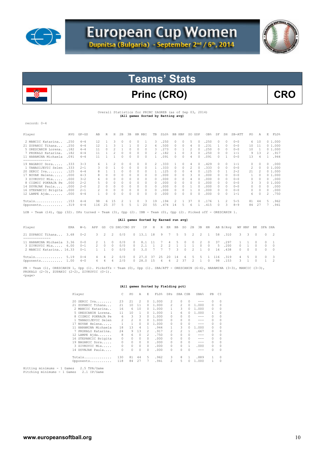



# Princ (CRO) CRO

#### Overall Statistics for PRINC ZAGREB (as of Sep 03, 2014) **(All games Sorted by Batting avg)**

record: 0-4

| Player               | AVG   | $GP - GS$ | AB            | R        | Н  | 2B       | 3B | HR.      | RBI      | TB             | SLG% | <b>BB</b> | HBP           | SO.                                                                                                                                                                                                                                                                                                                                                                                                                        | GDP           | OB%  | SF            | SH            | $SB-ATT$ | PO | Α        | E              | FLD%   |
|----------------------|-------|-----------|---------------|----------|----|----------|----|----------|----------|----------------|------|-----------|---------------|----------------------------------------------------------------------------------------------------------------------------------------------------------------------------------------------------------------------------------------------------------------------------------------------------------------------------------------------------------------------------------------------------------------------------|---------------|------|---------------|---------------|----------|----|----------|----------------|--------|
| 2 MANCIC Katarina    | .250  | $4 - 4$   | 12            |          | 3  |          |    |          |          | 3              | 250  |           |               | 5                                                                                                                                                                                                                                                                                                                                                                                                                          |               | .250 |               | 0             | $0 - 0$  | 6. | 10       |                | 01.000 |
| 21 ZUPANIC Tihana    | .250  | $4 - 4$   | 12            |          | ٦  |          |    | $\Omega$ | 2        | 6              | 500  | 0         | $\mathcal{O}$ | 4                                                                                                                                                                                                                                                                                                                                                                                                                          |               | .231 |               | 0             | $0 - 0$  | 10 | 11       |                | 01.000 |
| 5 ORESCANIN Lorena   | .182  | $4 - 4$   | 11            | $\Omega$ |    |          |    |          | 0        | 3              | 273  | 0         |               |                                                                                                                                                                                                                                                                                                                                                                                                                            |               | .250 | 0             | $\Omega$      | $0 - 0$  | 10 |          |                | 01.000 |
| 7 PRSKALO Katarina   | .182  | $4 - 4$   | 11            |          |    | $\Omega$ | 0  | 0        | $\Omega$ |                | .182 |           |               | 3                                                                                                                                                                                                                                                                                                                                                                                                                          | $\mathcal{O}$ | .250 | 0             | $\Omega$      | $1 - 1$  | 9  | 13       | 2              | .917   |
| 11 HARAMINA Michaela | .091  | $4 - 4$   | 11            |          |    | $\Omega$ |    | $\Omega$ | $\Omega$ |                | .091 | 0         |               | 4                                                                                                                                                                                                                                                                                                                                                                                                                          |               | .091 | 0             |               | $0 - 0$  | 13 |          |                | .944   |
| ----------------     |       |           |               |          |    |          |    |          |          |                |      |           |               |                                                                                                                                                                                                                                                                                                                                                                                                                            |               |      |               |               |          |    |          |                |        |
| 19 BAGARIC Dora      | .333  | $3 - 3$   | 6.            |          | 2  | $\Omega$ |    | $\Omega$ | $\Omega$ | $\overline{2}$ | 333  |           | $\cap$        | 4                                                                                                                                                                                                                                                                                                                                                                                                                          | $\Omega$      | .429 | $\mathcal{O}$ | $\Omega$      | $1 - 1$  | 0  |          | $\cap$         | .000   |
| 1 TANASIJEVIC Selen  | .333  | $2 - 1$   | 3             | $\Omega$ |    | $\Omega$ | 0  | $\Omega$ | $\Omega$ |                | 333  | 0         | $\mathcal{O}$ | $\mathfrak{D}_{1}^{2}(\mathfrak{D}_{1})=\mathfrak{D}_{2}^{2}(\mathfrak{D}_{2})=\mathfrak{D}_{2}^{2}(\mathfrak{D}_{1})=\mathfrak{D}_{2}^{2}(\mathfrak{D}_{2})=\mathfrak{D}_{2}^{2}(\mathfrak{D}_{1})=\mathfrak{D}_{2}^{2}(\mathfrak{D}_{2})=\mathfrak{D}_{2}^{2}(\mathfrak{D}_{1})=\mathfrak{D}_{2}^{2}(\mathfrak{D}_{2})=\mathfrak{D}_{2}^{2}(\mathfrak{D}_{1})=\mathfrak{D}_{2}^{2}(\mathfrak{D}_{2})=\mathfrak{D}_{2}^{$ | $\mathcal{O}$ | .333 | 0             | $\Omega$      | $0 - 0$  | 2  | $\Omega$ |                | 01.000 |
| 20 SERIC Iva         | .125  | $4 - 4$   |               |          |    |          |    | $\Omega$ | Ω        |                | .125 | 0         |               |                                                                                                                                                                                                                                                                                                                                                                                                                            |               | .125 |               |               | $2 - 2$  | 21 |          |                | 01.000 |
| 17 NOVAK Helena      | . 000 | $4 - 3$   |               |          |    | $\Omega$ |    | $\Omega$ | 0        | 0              | .000 | 0         |               | 3                                                                                                                                                                                                                                                                                                                                                                                                                          |               | .000 | 0             | $\Omega$      | $0 - 0$  | 1  |          |                | 01.000 |
| 3 ZIVKOVIC Mia       | .000  | $3 - 2$   | 6.            |          |    | $\Omega$ |    | $\Omega$ | $\Omega$ | $\Omega$       | .000 | 0         |               | 4                                                                                                                                                                                                                                                                                                                                                                                                                          |               | .000 | 0             | $\Omega$      | $0 - 0$  | 0  |          |                | .000   |
| 8 CIZMIC POKRAJA Pe  | .000  | $2 - 2$   |               | $\Omega$ | 0  | $\Omega$ |    | $\Omega$ | 0        | $\Omega$       | .000 | 0         |               |                                                                                                                                                                                                                                                                                                                                                                                                                            | $\mathcal{O}$ | .000 | 0             | $\Omega$      | $0 - 0$  | 3  | 3        |                | 01.000 |
| 14 DUVNJAK Paula     | .000  | $2 - 0$   |               | $\Omega$ |    | $\Omega$ |    | $\Omega$ | $\Omega$ | 0              | .000 | 0         |               |                                                                                                                                                                                                                                                                                                                                                                                                                            |               | .000 |               | $\Omega$      | $0 - 0$  | 0  |          |                | .000   |
| 16 STEPANCIC Brigita | .000  | $2 - 1$   | $\mathcal{L}$ | $\Omega$ |    | $\Omega$ |    | $\Omega$ | $\Omega$ | $\Omega$       | .000 | 0         |               |                                                                                                                                                                                                                                                                                                                                                                                                                            |               | .000 | <sup>0</sup>  | $\Omega$      | $0 - 0$  | 0  | $\Omega$ |                | .000   |
| 12 LAMPE Ajda        | .000  | $4 - 4$   |               |          | n  | $\cap$   |    | n        | $\Omega$ | O              | .000 | O         |               | $\cap$                                                                                                                                                                                                                                                                                                                                                                                                                     |               | .000 | <sup>0</sup>  | $\Omega$      | $1 - 1$  | 6  |          | $\mathfrak{D}$ | .750   |
| Totals               | .153  | $4 - 4$   | 98            | 6        | 15 |          |    | O.       | 3        | 19             | .194 | 2         |               | 37                                                                                                                                                                                                                                                                                                                                                                                                                         | $\mathcal{O}$ | .176 |               | $\mathcal{L}$ | $5 - 5$  | 81 | 44       | 5              | .962   |
| Opponents            | .319  | $4 - 4$   | 116           | 25       | 37 |          |    |          | 20       | 55             | .474 | 14        |               | Б                                                                                                                                                                                                                                                                                                                                                                                                                          |               | .415 |               | 3             | $8 - 9$  | 84 | 27       |                | .941   |

LOB - Team (14), Opp (32). DPs turned - Team (3), Opp (2). IBB - Team (0), Opp (2). Picked off - ORESCANIN 1.

## **(All games Sorted by Earned run avg)**

| Player                                                                        | ERA | W-T. |  | APP GS CG SHO/CBO SV IP H R ER BB SO 2B 3B HR AB B/Avg WP HBP |                 |  |  |  |  |                              |                     |  | BK SFA SHA |             |
|-------------------------------------------------------------------------------|-----|------|--|---------------------------------------------------------------|-----------------|--|--|--|--|------------------------------|---------------------|--|------------|-------------|
| 21 ZUPANIC Tihana 3.68 0-2 3 2 2 0/0 0 13.1 18 9 7 5 5 2 2 1 58 310 3 3 0 0 2 |     |      |  |                                                               |                 |  |  |  |  |                              |                     |  |            |             |
|                                                                               |     |      |  |                                                               |                 |  |  |  |  |                              |                     |  |            |             |
| 11 HARAMINA Michaela 3.36 0-0 2 1 0 0/0 0 8.1 11 7 4 5 0 0 2 0 37 .297        |     |      |  |                                                               |                 |  |  |  |  |                              |                     |  | 1 1 0 0 1  |             |
| 3 ZIVKOVIC Mia 6.00 0-1                                                       |     |      |  | 2 0 0 0/0                                                     |                 |  |  |  |  | 0 2.1 1 2 2 1 1 1 0 0 5 .200 | $0 \quad 1 \quad 0$ |  |            | $0 \quad 0$ |
| 2 MANCIC Katarina 16.33  0-1  1  1  0                                         |     |      |  | 0/0 0 3.0 7 7 7 3 0 2 1 0 16 .438                             |                 |  |  |  |  |                              |                     |  |            |             |
| Totals $5.19$ $0-4$                                                           |     |      |  | 4 4 2 0/0                                                     | 0 27.0 37 25 20 |  |  |  |  | 14  6  5  5  1  116  .319    |                     |  | 4 5 0 0 3  |             |
| Opponents $1.00$ $4-0$                                                        |     |      |  |                                                               |                 |  |  |  |  |                              |                     |  | 3 1 0 1 2  |             |

PB - Team (1), ORESCANIN 1, Opp (1). Pickoffs - Team (0), Opp (1). SBA/ATT - ORESCANIN (6-6), HARAMINA (3-3), MANCIC (3-3), PRSKALO (2-3), ZUPANIC (2-2), ZIVKOVIC (0-1). <page>

#### **(All games Sorted by Fielding pct)**

| Player                   | C              | PO       | Α        | E        | FLD%  | DPs            | SBA CSB        |    | SBA%    | PB.           | CI       |
|--------------------------|----------------|----------|----------|----------|-------|----------------|----------------|----|---------|---------------|----------|
| 20 SERIC Iva             | 23             | 21       | 2        | $\Omega$ | 1,000 | 2              | 0              | 0  |         | $\Omega$      | $\Omega$ |
| 21 ZUPANIC Tihana        | 21             | 10       | 11       | 0        | 1,000 | 2              | $\mathfrak{D}$ | 0  | 1,000   | $\mathcal{O}$ | 0        |
| 2 MANCIC Katarina        | 16             | 6        | 10       | 0        | 1,000 |                | 3              | 0  | 1,000   | $\mathcal{O}$ | 0        |
| 5 ORESCANIN Lorena.      | 11             | 10       |          | 0        | 1,000 |                | 6              | Ω  | 1,000   | 1.            | $\Omega$ |
| 8 CIZMIC POKRAJA Pe      | 6              | 3        | 3        | 0        | 1,000 | 0              | O.             | 0  | $- - -$ | $\mathcal{O}$ | $\Omega$ |
| TANASIJEVIC Selen        | $\mathfrak{D}$ | 2        | $\Omega$ | 0        | 1,000 | n              |                | 0  | $- - -$ | $\Omega$      | $\Omega$ |
| 17 NOVAK Helena          |                | 1        | 0        | 0        | 1,000 | n              | 0              | 0  | $- - -$ | $\mathcal{O}$ | $\Omega$ |
| HARAMINA Michaela<br>11. | 18             | 13       | 4        |          | .944  |                | 3              | 0  | 1,000   | $\mathcal{O}$ | $\Omega$ |
| PRSKALO Katarina.<br>7   | 24             | 9        | 13       | 2        | .917  | 2              | 2              | 1. | .667    | $\mathcal{O}$ | $\Omega$ |
| 12 LAMPE Ajda            | 8              | 6        | $\Omega$ | 2        | .750  |                |                | 0  | $- - -$ | $\Omega$      | $\Omega$ |
| 16 STEPANCIC Brigita     | 0              | $\Omega$ | 0        | $\Omega$ | .000  | n              | O.             | 0  | $- - -$ | $\mathcal{O}$ | $\Omega$ |
| 19 BAGARIC Dora          | 0              | 0        | 0        | 0        | .000  | 0              |                | 0  | $- - -$ | $\Omega$      | $\Omega$ |
| 3 ZIVKOVIC Mia           | 0              | 0        | $\Omega$ | $\Omega$ | .000  | 0              | n              |    | .000    | $\mathcal{O}$ | $\Omega$ |
| 14 DUVNJAK Paula         |                | 0        | 0        | 0        | .000  | 0              |                | 0  | $- - -$ | $\cap$        | $\Omega$ |
| Totals                   | 130            | 81       | 44       | 5        | .962  | 3              | 8              |    | .889    | 1.            | $\Omega$ |
| Opponents                | 118            | 84       | 27       | 7        | .941  | $\mathfrak{D}$ | 5              | 0  | 1,000   | 1             | 0        |
|                          |                |          |          |          |       |                |                |    |         |               |          |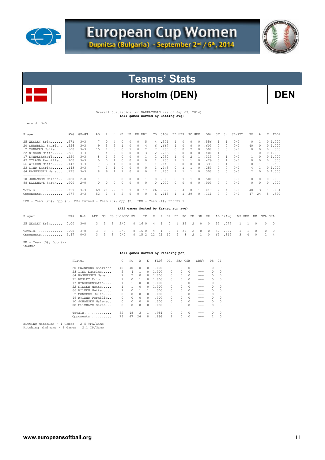



# Horsholm (DEN) DEN

Overall Statistics for BARRACUDAS (as of Sep 03, 2014) **(All games Sorted by Batting avg)** 

record: 3-0

| Player                                                                              | AVG  | $GP - GS$ | AB | R                        | Н  | 2B       | 3B       |          | HR RBI   | TB       | SLG% | BB.      | HBP        | SO.      | GDP      | OB%  | SF       | SH       | $SB-ATT$ | PO.           | Α        | E | FLD%   |
|-------------------------------------------------------------------------------------|------|-----------|----|--------------------------|----|----------|----------|----------|----------|----------|------|----------|------------|----------|----------|------|----------|----------|----------|---------------|----------|---|--------|
| 25 WESLEY Erin                                                                      | .571 | $3 - 3$   |    | $\Omega$                 | 4  |          | 0.       | $\Omega$ | 5.       | 4        | .571 |          | $\Box$     | 0        | $\Omega$ | .556 |          |          | $0 - 0$  | $\mathcal{O}$ |          |   | 01.000 |
| 20 SWANBERG Sharlene                                                                | .556 | $3 - 3$   | 9  | 5                        |    |          | 0        | 0        | 4        | 6.       | .667 |          | $^{\circ}$ | 0        | 0        | .600 | 0        | 0        | $0 - 0$  | 40            | 0        |   | 01.000 |
| 2 MONBERG Julie                                                                     | .500 | $3 - 3$   | 10 |                          |    |          |          | 0        |          |          | .700 | 0.       | 0          |          | $\Omega$ | .500 | 0        | 0        | $0 - 0$  | 0             |          | 0 | .000   |
| 22 NISSEN Mette                                                                     | .286 | $3 - 3$   |    | 4                        |    |          | 0        | 0        | ٦        |          | .286 | 2        | $\Box$     | 0        | $\Omega$ | .400 |          | n        | $0 - 0$  | $\mathbf{1}$  | 0        |   | 01.000 |
| 17 KYNDESENSofia                                                                    | .250 | $3 - 3$   |    |                          |    |          | 0        | 0        |          |          | .250 |          | 0          |          |          | .333 | O.       |          | $0 - 0$  |               | 0        |   | 01.000 |
| 49 MYLAND Pernille                                                                  | .200 | $3 - 3$   |    |                          |    |          |          | $\Omega$ |          |          | .200 |          |            |          |          | .429 | O.       |          | $0 - 0$  | $\Omega$      |          | 0 | .000   |
| 66 WILKEN Mette                                                                     | .143 | $3 - 3$   |    | $\overline{\mathcal{R}}$ |    |          | 0        | 0        |          |          | .143 | 2.       | $\Omega$   | 0        | $\Omega$ | .333 | O.       |          | $0 - 0$  | $\Omega$      |          |   | .500   |
| 23 LIND Katrine                                                                     | .143 | $3 - 3$   |    |                          |    |          | 0        | $\Omega$ | $\Omega$ |          | .143 | 0        |            |          | $\cap$   | .250 | O.       | $\cap$   | $0 - 0$  | 4             |          |   | 01.000 |
| 64 RASMUSSEN Nana                                                                   | .125 | $3 - 3$   |    | 6                        |    |          | O.       | $\Omega$ | $\Omega$ | 2        | .250 |          |            |          | $\cap$   | .300 | O.       | n        | $0 - 0$  | $\mathcal{L}$ | $\Omega$ |   | 01.000 |
| --------------<br>10 JOHANSEN Malene                                                | .000 | $2 - 0$   |    |                          |    | 0        | 0.       | 0        |          | $\Omega$ | .000 |          |            |          | $\Box$   | .500 | $\Omega$ | $\Omega$ | $0 - 0$  | $\Omega$      | 0        | 0 | .000   |
| 88 ELLEHAVE Sarah                                                                   | .000 | $2 - 0$   | n. | $\Omega$                 | O. | $\Omega$ | $\Omega$ | 0        | $\Omega$ | $\Omega$ | .000 | $\Omega$ | $\circ$    | $\Omega$ | $\circ$  | .000 | $\Omega$ | $\Omega$ | $0 - 0$  | $\Omega$      | $\Omega$ | 0 | .000   |
| Totals                                                                              | .319 | $3 - 3$   | 69 | 21                       | 22 |          |          | 0        |          | 26       | 377  | 9        | 4          | 8        |          | .417 | 2        | 4        | $0 - 0$  | 48            | 3        |   | .981   |
| Opponents                                                                           | .077 | $3 - 3$   | 52 |                          | 4  |          |          |          |          | 6.       | .115 |          |            | 39       |          | .111 | 0        | n        | $0 - 0$  | 47            | 24       | 8 | .899   |
| LOB - Team (20), Opp (5). DPs turned - Team (0), Opp (2). IBB - Team (1), WESLEY 1. |      |           |    |                          |    |          |          |          |          |          |      |          |            |          |          |      |          |          |          |               |          |   |        |

 **(All games Sorted by Earned run avg)** 

| Player                                                                                                                                        |  |  | ERA W-L APP GS CG SHO/CBO SV IP H R ER BB SO 2B 3B HR AB B/Avq WP HBP BK SFA SHA |  |  |  |  |  |  |  |  |  |
|-----------------------------------------------------------------------------------------------------------------------------------------------|--|--|----------------------------------------------------------------------------------|--|--|--|--|--|--|--|--|--|
| 25 WESLEY Erin 0.00 3-0 3 3 3 2/0 0 16.0 4 1 0 1 39 2 0 0 52 077 1 1 0 0 0                                                                    |  |  |                                                                                  |  |  |  |  |  |  |  |  |  |
| Totals 0.00 3-0 3 3 3 2/0 0 16.0 4 1 0 1 39 2 0 0 52 077 1 1 0 0 0<br>Opponents 4.47 0-3 3 3 3 0/0 0 15.2 22 21 10 9 8 2 1 0 69 319 3 4 0 2 4 |  |  |                                                                                  |  |  |  |  |  |  |  |  |  |

PB - Team (0), Opp (2). <page>

 **(All games Sorted by Fielding pct)** 

| Player               |                | PO. | A        | E.       | FLD%  | DPs                                                                                                                                                                                                                                                                                                                                                                                                                        | SBA CSB |          | SBA%    | PB.           | CT.      |
|----------------------|----------------|-----|----------|----------|-------|----------------------------------------------------------------------------------------------------------------------------------------------------------------------------------------------------------------------------------------------------------------------------------------------------------------------------------------------------------------------------------------------------------------------------|---------|----------|---------|---------------|----------|
| 20 SWANBERG Sharlene | 40             | 40  | $\Omega$ | $\Omega$ | 1.000 | 0                                                                                                                                                                                                                                                                                                                                                                                                                          | 0       | 0        |         | $\bigcap$     | 0        |
| 23 LIND Katrine      | 5              | 4   |          | 0        | 1,000 | 0                                                                                                                                                                                                                                                                                                                                                                                                                          | n       | 0        |         | $\bigcap$     | $\Omega$ |
| 64 RASMUSSEN Nana    | $\mathfrak{D}$ | 2   | $\Omega$ | 0.       | 1,000 | 0                                                                                                                                                                                                                                                                                                                                                                                                                          | 0       | 0        | $- - -$ | $\bigcap$     | 0        |
| 25 WESLEY Erin       |                | 0   |          | 0        | 1,000 | 0                                                                                                                                                                                                                                                                                                                                                                                                                          |         | 0        | ---     | $\bigcap$     | 0        |
| 17 KYNDESENSofia     |                | 1   | $\Omega$ | 0        | 1,000 | 0                                                                                                                                                                                                                                                                                                                                                                                                                          |         | 0        | $- - -$ | $\mathcal{O}$ | 0        |
| 22 NISSEN Mette      |                |     | $\Omega$ | 0        | 1,000 | n                                                                                                                                                                                                                                                                                                                                                                                                                          | O.      | 0        | ---     | $\cap$        | $\Omega$ |
| 66 WILKEN Mette      | $\mathfrak{D}$ | 0   |          |          | .500  | n                                                                                                                                                                                                                                                                                                                                                                                                                          | O.      | 0        |         | $\mathcal{O}$ | $\Omega$ |
| 2 MONBERG Julie      |                | 0   | $\Omega$ | $\Omega$ | .000  | 0                                                                                                                                                                                                                                                                                                                                                                                                                          | O.      | 0        | $- - -$ | $\mathcal{O}$ | 0        |
| 49 MYLAND Pernille   | 0              | 0   | 0        | $\Omega$ | .000  | 0                                                                                                                                                                                                                                                                                                                                                                                                                          |         | 0        | $- - -$ | $\mathcal{O}$ | 0        |
| 10 JOHANSEN Malene   | 0              | 0   | $\Omega$ | $\Omega$ | .000  | 0                                                                                                                                                                                                                                                                                                                                                                                                                          | O.      | 0        | $- - -$ | $\cap$        | $\Omega$ |
| 88 ELLEHAVE Sarah    |                | 0   | 0        | $\Omega$ | .000  | O.                                                                                                                                                                                                                                                                                                                                                                                                                         |         | 0        | ---     | $\Omega$      | $\Omega$ |
| Totals               | 52             | 48  | 3        |          | .981  | 0                                                                                                                                                                                                                                                                                                                                                                                                                          | 0       | $\Omega$ |         | $\mathcal{O}$ | $\Omega$ |
| Opponents            | 79             | 47  | 24       | 8        | .899  | $\mathfrak{D}_{1}^{2}(\mathfrak{D}_{1})=\mathfrak{D}_{2}^{2}(\mathfrak{D}_{2})=\mathfrak{D}_{2}^{2}(\mathfrak{D}_{1})=\mathfrak{D}_{2}^{2}(\mathfrak{D}_{2})=\mathfrak{D}_{2}^{2}(\mathfrak{D}_{1})=\mathfrak{D}_{2}^{2}(\mathfrak{D}_{2})=\mathfrak{D}_{2}^{2}(\mathfrak{D}_{1})=\mathfrak{D}_{2}^{2}(\mathfrak{D}_{2})=\mathfrak{D}_{2}^{2}(\mathfrak{D}_{1})=\mathfrak{D}_{2}^{2}(\mathfrak{D}_{2})=\mathfrak{D}_{2}^{$ | O.      | $\Omega$ |         | 2             | $\Omega$ |
|                      |                |     |          |          |       |                                                                                                                                                                                                                                                                                                                                                                                                                            |         |          |         |               |          |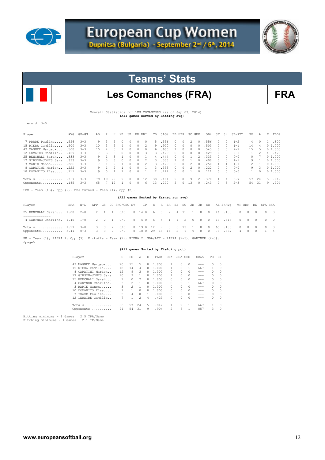



# Les Comanches (FRA) FRA

Overall Statistics for LES COMANCHES (as of Sep 03, 2014) **(All games Sorted by Batting avg)** 

record: 3-0

| Player               | AVG   | $GP - GS$ | AB  | R      | H  | 2B     | 3B         |          | HR RBI | TB             | <b>SLG%</b> |               | BB HBP   | SO GDP   |               | OB%   | SF       | SH       | SB-ATT  | PO.    | Α             | E. | FLD%      |
|----------------------|-------|-----------|-----|--------|----|--------|------------|----------|--------|----------------|-------------|---------------|----------|----------|---------------|-------|----------|----------|---------|--------|---------------|----|-----------|
| 7 PRADE Pauline      | .556  | $-3-3$    | 9   | 3      | 5. |        | $^{\circ}$ | n.       | 0      | .5.            | .556        | $\Omega$      | $\Box$   | 2        | $\Omega$      | .556  | $\Omega$ | $\Omega$ | $1 - 2$ | 4      | $\Omega$      | 1. | .800      |
| 15 RIERA Camille     | .500  | $3 - 3$   | 1 O | २      |    |        | $\Omega$   |          | 2      | 9              | .900        | $\Omega$      |          | $\Omega$ | $\Omega$      | .500  | $\Omega$ | $\Omega$ | $1 - 1$ | 14     | 4             |    | 01.000    |
| 49 MAGNEE Margaux    | .500  | $3 - 3$   | 10  |        |    |        | 0          | $\Omega$ | 0      | 6.             | .600        |               |          | $\Omega$ | $\Omega$      | .545  | $\Box$   | n.       | $2 - 2$ | 1.5    |               |    | 01.000    |
| 12 LEMAIRE Camille   | .429  | $3 - 3$   |     | ₹      | ₹  | $\cap$ | $\cap$     | O.       | 3      | 3.             | .429        | $\cap$        | $\cap$   | $\cap$   | $\Omega$      | .429  | $\Box$   | 3        | $0 - 0$ |        | $\mathcal{P}$ |    | 4.429     |
| 25 BENCHALI Sarah    | . 333 | $3 - 3$   | 9.  |        |    |        | $\cap$     |          |        | 4              | .444        | $\cap$        |          |          |               | .333  | $\cap$   | n.       | $0 - 0$ | $\cap$ |               |    | 01.000    |
| 17 GIBSON-JONES Sara | .333  | $3 - 3$   | 9.  | 3      | 3  |        | 0          |          |        | 3.             | .333        |               |          |          | $\Omega$      | . 400 | $\Box$   | n.       | $1 - 1$ | 9.     |               |    | 01.000    |
| 3 MARIE Manon        | .286  | $3 - 3$   |     |        |    |        | 0          |          |        | 3.             | .429        | $\cap$        |          | 2        | $\mathcal{O}$ | .250  |          |          | $1 - 1$ |        |               |    | 01.000    |
| 8 CARATINI Marion    | .222  | $3 - 3$   |     |        |    |        | 0          |          |        | 3              | .333        | $^{\circ}$    | $\Box$   | 2        | $\mathcal{O}$ | .222  | $\Box$   | 0        | $0 - 0$ | 9.     | 3             |    | 01.000    |
| 10 DOMANICO Elsa     | .111  | $3 - 3$   | 9   | $\cap$ |    |        | $\cap$     |          |        | $\overline{2}$ | .222        | $\cap$        | $\cap$   |          |               | 111   | $\cap$   | $\cap$   | $0 - 0$ |        | $\Omega$      |    | 0, 1, 000 |
| Totals               | .367  | $-3-3$    | 79  | 19     | 29 | 9      | 0          | 0.       | 12     | 38             | .481        | $\mathcal{P}$ | $\Omega$ | 9        |               | .378  |          | 4        | $6 - 7$ | 57     | - 2.4         |    | 5.942     |
| Opponents .185       |       | $3 - 3$   | 65  |        | 12 |        |            |          | 6      | 13             | .200        | $\mathcal{D}$ |          | 13       | $\mathcal{O}$ | . 243 | $\Omega$ | 3        | $2 - 3$ | .54    | -31           | 9  | .904      |
|                      |       |           |     |        |    |        |            |          |        |                |             |               |          |          |               |       |          |          |         |        |               |    |           |

 $LOB$  - Team  $(13)$ , Opp  $(9)$ . DPs turned - Team  $(1)$ , Opp  $(2)$ .

#### **(All games Sorted by Earned run avg)**

| Player                                                                                                                                         |  |  | ERA W-L APP GS CG SHO/CBO SV IP H R ER BB SO 2B 3B HR AB B/Avq WP HBP BK SFA SHA |  |  |  |  |  |  |  |  |  |
|------------------------------------------------------------------------------------------------------------------------------------------------|--|--|----------------------------------------------------------------------------------|--|--|--|--|--|--|--|--|--|
| 25 BENCHALI Sarah 1.00 2-0 2 1 1 0/0 0 14.0 6 3 2 4 11 1 0 0 46 130 0 0 0 0 3                                                                  |  |  |                                                                                  |  |  |  |  |  |  |  |  |  |
| 4 GARTNER Charline. 1.40 1-0 2 2 1 0/0 0 5.0 6 4 1 1 2 0 0 0 19 .316 0 0 0 0 0                                                                 |  |  |                                                                                  |  |  |  |  |  |  |  |  |  |
| Totals 1.11 3-0 3 3 2 0/0 0 19.0 12 7 3 5 13 1 0 0 65 185 0 0 0 0 3<br>Opponents 5.44 0-3 3 3 2 0/0 0 18.0 29 19 14 2 9 9 0 0 79 367 4 0 0 1 4 |  |  |                                                                                  |  |  |  |  |  |  |  |  |  |

PB - Team (1), RIERA 1, Opp (3). Pickoffs - Team (2), RIERA 2. SBA/ATT - RIERA (2-3), GARTNER (2-3). <page>

### **(All games Sorted by Fielding pct)**

| Player               | C  | PO.            | $\mathbb{A}$  | E.           | FLD <sup>*</sup> | DPs | SBA CSB       |           | <b>SBA%</b> | PB.           | - CI     |
|----------------------|----|----------------|---------------|--------------|------------------|-----|---------------|-----------|-------------|---------------|----------|
| 49 MAGNEE Margaux    | 20 | 15             | 5.            | $\Omega$     | 1,000            |     | 0             | $\bigcap$ | $- - -$     | $\Box$        | $\Omega$ |
| 15 RTERA Camille     | 18 | 14             | 4             | 0            | 1,000            |     | 2             |           | .667        |               | 0        |
| 8 CARATINI Marion    | 12 | 9              | 3             | $\Omega$     | 1,000            | 0   | 0             | 0         | $- - -$     | $\Omega$      | $\Omega$ |
| 17 GIBSON-JONES Sara | 10 | 9              |               | 0            | 1,000            |     | 0             | $\Omega$  | $- - -$     | $\mathcal{O}$ | $\Omega$ |
| 25 BENCHALT Sarah    |    | 0              | 7             | 0            | 1,000            | O.  |               | $\Omega$  | $- - -$     | $\mathcal{O}$ | $\Omega$ |
| 4 GARTNER Charline.  | 3  | $\mathfrak{D}$ |               | $\Omega$     | 1,000            | 0   | $\mathcal{L}$ |           | .667        | $\Omega$      | $\Omega$ |
| 3 MARIE Manon        | 3  | 2              |               | 0            | 1,000            | 0   | 0             | 0         | $- - -$     | $\mathcal{O}$ | $\Omega$ |
| 10 DOMANICO Elsa     |    | 1              | $\Omega$      | 0            | 1,000            | 0   | 0             | $\Omega$  | $- - -$     | $\mathcal{O}$ | $\Omega$ |
| PRADE Pauline        | 5. | 4              | 0             | $\mathbf{1}$ | .800             | 0   | n             | $\Omega$  | $- - -$     | $\mathcal{O}$ | $\Omega$ |
| 12 LEMAIRE Camille   |    |                | $\mathcal{L}$ | 4            | .429             | 0   | n             | $\Omega$  | $- - -$     | $\Omega$      | $\Omega$ |
| Totals               | 86 | 57             | 24            | 5.           | .942             |     | $\mathcal{L}$ |           | .667        | 1.            | $\Omega$ |
| Opponents            | 94 | 54             | 31            | 9            | .904             | 2   | 6             |           | .857        | 3             | $\Omega$ |
|                      |    |                |               |              |                  |     |               |           |             |               |          |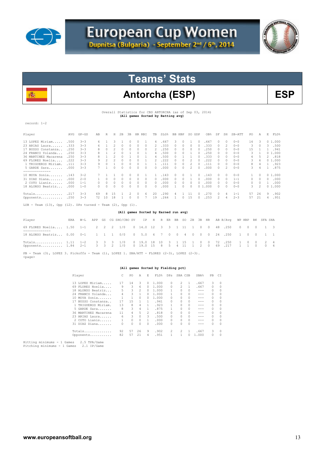



# Antorcha (ESP) BSP

Overall Statistics for CBS ANTORCHA (as of Sep 03, 2014) **(All games Sorted by Batting avg)** 

record: 1-2

Æ.

| Player                    | AVG  | $GP - GS$ | AB       | R  | Н  | 2B | 3B | HR. | RBI      | TB         | SLG% | BB | HBP      | SO.           | GDP            | OB%   | SF        | SH       | $SB-ATT$ | PO. | Α        | E             | FLD%   |
|---------------------------|------|-----------|----------|----|----|----|----|-----|----------|------------|------|----|----------|---------------|----------------|-------|-----------|----------|----------|-----|----------|---------------|--------|
| 13 LOPEZ Miriam           | .500 | $3 - 3$   | 6.       |    | 3  |    |    |     |          | 4          | 667  | 3. | $\Omega$ |               | 0              | .667  | $\bigcap$ | $\Omega$ | $0 - 0$  | 14  | 3        |               | 01.000 |
| 23 ARIAS Laura            | .333 | $3 - 3$   | 6.       |    |    |    |    | 0   | $\Omega$ | 2.         | .333 |    |          | 0             | $\bigcap$      | .333  | $\bigcap$ | 2        | $0 - 0$  | 3   | 0        | 3.            | .500   |
| 17 BUSSO Constanza        | .250 | $3 - 3$   | 8        |    |    |    |    | 0   | 0        | 2          | .250 |    |          | 0             | $\bigcap$      | .250  | $\Omega$  | n        | $0 - 0$  | 15  |          |               | .941   |
| 24 FRANCO Yolanda         | .250 | $3 - 3$   | 8        |    |    |    |    |     |          | 4          | .500 |    |          |               |                | .250  | $\bigcap$ | 0        | $0 - 0$  | २   |          |               | 01.000 |
| 36 MARTINEZ Macarena      | .250 | $3 - 3$   | 8        |    |    |    |    |     |          | 4          | .500 |    |          |               |                | .333  | $\bigcap$ | $\Omega$ | $0 - 0$  | 4   | 5        | 2.            | .818   |
| 69 FLORES Noelia          | .222 | $3 - 3$   | 9        |    |    |    |    |     |          |            | 222  |    |          |               |                | .222  | $\bigcap$ | n        | $0 - 0$  | 3.  | 6        |               | 01.000 |
| 1 TRIGUEROS Miriam.       |      | $3 - 3$   | 9        |    |    |    |    |     |          |            |      |    |          |               |                | . 111 | 0         | n        | $0 - 0$  | 8   |          |               | .923   |
| 5 GARDE Sara              | .000 | $3 - 3$   |          |    |    |    |    |     |          | $\Omega$   | .000 |    |          | $\mathcal{L}$ |                | .000  | O.        | 2        | $0 - 0$  | 3.  | 4        |               | .875   |
| . _ _ _ _ _ _ _ _ _ _ _ _ |      |           |          |    |    |    |    |     |          |            |      |    |          |               |                |       |           |          |          |     |          |               |        |
| 10 MOYA Sonia             | .143 | $3 - 2$   |          |    |    |    |    |     |          |            | .143 |    |          |               | $\Box$         | .143  | $\Box$    | $\Omega$ | $0 - 0$  |     | $\Omega$ |               | 01.000 |
| 31 DIAZ Diana             | .000 | $2 - 0$   |          | 0  |    |    | 0. | 0   | $\Omega$ | $^{\circ}$ | .000 | 0. |          |               | $\bigcap$      | .000  | $\bigcap$ | 0        | $1 - 1$  | 0   | $\Omega$ | $\mathcal{O}$ | .000   |
| 2 COTO Lianis.<br>.       | .000 | $1 - 1$   | $\Omega$ |    |    |    |    | 0   | 0        | 0          | .000 |    |          |               | 0              | .000  | 0         | 0        | $0 - 0$  | 0   | 0        |               | .000   |
| 18 ALONSO Beatriz         | .000 | 1-0       | 0        |    |    |    |    |     | 0        | 0          | .000 |    |          |               | 0 <sub>1</sub> | .000  | 0         | 0        | $0 - 0$  | 3   | 2        |               | 01.000 |
| Totals                    | .217 | $3 - 3$   | 69       | 8  | 15 |    |    |     | 6        | 20         | .290 |    |          | ⊥⊥            | $\Omega$       | .270  | $\bigcap$ | 4        | $1 - 1$  | 57  | 26       | 9             | .902   |
| Opponents                 | .250 | $3 - 3$   | 72       | 10 | 18 |    |    |     |          | 19         | .264 |    |          | 15            |                | .253  | 2         | 4        | $2 - 3$  | 57  | 21       | 4             | .951   |
|                           |      |           |          |    |    |    |    |     |          |            |      |    |          |               |                |       |           |          |          |     |          |               |        |

 $LOB - Team (13)$ , Opp  $(12)$ . DPs turned - Team  $(2)$ , Opp  $(1)$ .

#### **(All games Sorted by Earned run avg)**

| Player                                                                                                                                           | ERA W-L |  | APP GS CG SHO/CBO SV IP H R ER BB SO 2B 3B HR AB B/Avq WP HBP BK SFA SHA |  |  |  |  |  |  |  |  |  |
|--------------------------------------------------------------------------------------------------------------------------------------------------|---------|--|--------------------------------------------------------------------------|--|--|--|--|--|--|--|--|--|
| 69 FLORES Noelia 1.50 1-1 2 2 2 1/0 0 14.0 12 3 3 1 11 1 0 0 48 .250 0 0 0 1 3                                                                   |         |  |                                                                          |  |  |  |  |  |  |  |  |  |
| 18 ALONSO Beatriz 0.00 0-1 1 1 1 0/0 0 5.0 6 7 0 0 4 0 0 0 24 .250 1 0 0 1 1                                                                     |         |  |                                                                          |  |  |  |  |  |  |  |  |  |
| Totals 1.11 1-2 3 3 3 1/0 0 19.0 18 10 3 1 15 1 0 0 72 .250 1 0 0 2 4<br>Opponents 1.84 2-1 3 3 2 1/0 0 19.0 15 8 5 4 11 1 2 0 69 .217 1 1 0 0 4 |         |  |                                                                          |  |  |  |  |  |  |  |  |  |
|                                                                                                                                                  |         |  |                                                                          |  |  |  |  |  |  |  |  |  |

PB - Team (3), LOPEZ 3. Pickoffs - Team (1), LOPEZ 1. SBA/ATT - FLORES (2-3), LOPEZ (2-3). <page>

### **(All games Sorted by Fielding pct)**

| Player               |    | PO. | A             | E.           | FLD%  | DPs      | SBA CSB       |    | SBA%  | PB       | CT.      |
|----------------------|----|-----|---------------|--------------|-------|----------|---------------|----|-------|----------|----------|
| 13 LOPEZ Miriam      | 17 | 14  | 3             | 0            | 1,000 | $\Omega$ | 2             |    | .667  | 3        | 0        |
| 69 FLORES Noelia     | 9  | 3   | 6             | 0            | 1,000 | 0        | $\mathcal{L}$ | 1. | .667  | 0        | 0        |
| 18 ALONSO Beatriz    | 5. | 3   | $\mathcal{L}$ | 0            | 1,000 |          | 0             | 0  | ---   | $\Omega$ | $\Omega$ |
| 24 FRANCO Yolanda    | 4  | 3   | 1             | 0            | 1,000 |          | 0             | 0  | ---   | $\Omega$ | $\Omega$ |
| 10 MOYA Sonia        |    |     | $\Omega$      | 0            | 1,000 | O.       | O.            | 0  | ---   | $\Omega$ | $\Omega$ |
| 17 BUSSO Constanza   | 17 | 1.5 |               |              | .941  | 0        |               | 0  | ---   | $\Omega$ | $\Omega$ |
| 1 TRIGUEROS Miriam.  | 13 | 8   | 4             |              | .923  | 1        | 0             | 0  | ---   | $\Omega$ | $\Omega$ |
| 5 GARDE Sara         | 8  | 3   | 4             |              | .875  |          | 0             | 0  | ---   | $\Omega$ | 0        |
| 36 MARTINEZ Macarena | 11 | 4   | 5             | 2            | .818  | 0        | 0             | 0  | ---   | $\Omega$ | $\Omega$ |
| 23 ARIAS Laura       | 6  | 3   | $\Omega$      | 3            | .500  | 0        |               | 0  | ---   | $\Omega$ | $\Omega$ |
| 2 COTO Lianis        |    | 0   | $\Omega$      | $\mathbf{1}$ | .000  | 0        | 0             | 0  | ---   | $\Omega$ | $\Omega$ |
| 31 DIAZ Diana        | 0  | 0   | $\Omega$      | 0            | .000  | 0        | O.            | 0  | ---   | $\Omega$ | $\Omega$ |
| Totals               | 92 | 57  | 26            | 9            | .902  | 2        | 2             |    | .667  | 3        | $\Omega$ |
| Opponents            | 82 | 57  | 21            | 4            | .951  |          |               |    | 1.000 | 0        | $\Omega$ |

Hitting minimums - 1 Games 2.5 TPA/Game Pitching minimums - 1 Games 2.1 IP/Game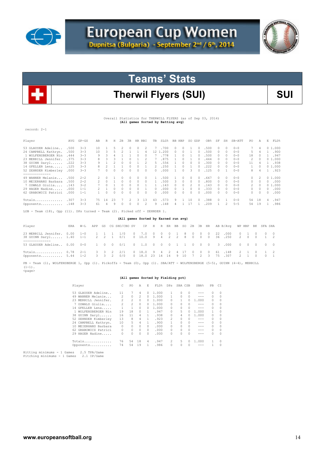



# Therwil Flyers (SUI) **SUI**

 Overall Statistics for THERWILL FLYERS (as of Sep 03, 2014)  **(All games Sorted by Batting avg)** 

record: 2-1

| Player               | AVG  | $GP - GS$ | AB | R  | Н  | 2B | 3B | HR.      | RBI      | TB.      | SLG%  | <b>BB</b> | HBP     | SO.      | GDP       | OB%  | SF            | SH       | $SB-ATT$ | PO.      | Α        | Е      | FLD%   |
|----------------------|------|-----------|----|----|----|----|----|----------|----------|----------|-------|-----------|---------|----------|-----------|------|---------------|----------|----------|----------|----------|--------|--------|
| 53 GLAUSER Adeline   | .500 | $3 - 3$   | 10 |    | 5  |    |    | $\Omega$ | 2        |          | .700  | 0         | $\circ$ |          | 0         | .500 | 0             | $\Omega$ | $0 - 0$  |          | 4        |        | 01.000 |
| 24 CAMPBELL Kathryn. | .500 | $3 - 3$   | 10 | 3  | ۰, |    |    |          | 4        | $\pm 2$  | .200  | 0.        | $\Box$  |          | 0         | .500 | 0             | 0        | $0 - 0$  | 5.       | 4        |        | .900   |
| 1 WOLFENSBERGER Nin  | .444 | $3 - 3$   | 9  | 3  |    |    |    |          |          |          | .778  |           | 0       |          |           | .500 | 0             | n        | $0 - 0$  | 18       |          |        | .947   |
| 23 MERRILL Jennifer. | .375 | $3 - 3$   |    |    |    |    |    |          |          |          | .875  |           |         |          |           | .444 | 0             |          | $0 - 0$  | 2        |          |        | 01.000 |
| 38 GUINN Daryl       | .222 | $3 - 3$   | 9  |    |    |    |    |          |          | 5.       | .556  |           |         | $\Omega$ |           | .300 | $\cap$        | $\cap$   | $0 - 0$  | 11       |          |        | .938   |
| 14 GFELLER Lena      | .125 | $3 - 3$   |    |    |    |    |    |          |          |          | .250  |           |         |          |           | .222 | $\cap$        | $\cap$   | $0 - 0$  |          |          |        | 01.000 |
| 52 ZEHNDER Kimberley | .000 | $3 - 3$   |    |    |    |    |    | $\Omega$ | $\cap$   | $\Omega$ | . 000 |           |         | 3.       |           | .125 | $\cap$        |          | $0 - 0$  | 8.       |          |        | .923   |
|                      |      |           |    |    |    |    |    |          |          |          |       |           |         |          |           |      |               |          |          |          |          |        |        |
| 49 WANNER Melanie    | .500 | $2 - 2$   |    |    |    |    |    |          | 0        |          | 500   |           |         |          |           | .667 | $\mathcal{O}$ | $\Omega$ | $0 - 0$  | $\Omega$ |          |        | 01.000 |
| 10 MEIERHANS Barbara | .500 | $2 - 2$   | 2  |    |    |    |    |          |          |          | 500   | ₹         |         |          |           | .800 | $\cap$        | n        | $0 - 0$  | 0        |          | 0      | .000   |
| 7 OSWALD Giulia      | .143 | $3 - 2$   |    |    |    |    |    |          |          |          | 143   |           |         |          |           | 143  |               |          | $0 - 0$  | 2.       |          |        | 01.000 |
| 29 HAGER Nadine      | .000 | $1 - 1$   | 2. |    |    |    |    |          |          | 0        | . 000 |           |         | $\cap$   |           | .333 | $\cap$        | n        | $0 - 0$  | $\Omega$ |          | 0      | .000   |
| 62 GRABOWICZ Patrici | .000 | $1 - 1$   |    |    | n  |    |    | n        | $\Omega$ | $\cap$   | .000  | O.        | $\cap$  | $\cap$   |           | .000 | $\cap$        | n        | $0 - 0$  | 0        | $\Omega$ | $\cap$ | .000   |
| Totals               | .307 | $3 - 3$   | 75 | 14 | 23 |    |    | 3        | 13       | 43       | 573   | 9.        |         | 10       | $\bigcap$ | .388 | $\Box$        |          | $0 - 0$  | 54       | 18       | 4      | .947   |
| Opponents            | .148 | $3 - 3$   | 61 | 4  | 9  |    |    | 0        | 2        | 9        | .148  | Δ         |         | 17       |           | .209 |               | 2        | $5 - 5$  | 54       | 19       |        | .986   |

LOB - Team (18), Opp (11). DPs turned - Team (2). Picked off - ZEHNDER 1.

## **(All games Sorted by Earned run avg)**

| Player                                                                                                                                                                             |  |  | ERA W-L APP GS CG SHO/CBO SV IP H R ER BB SO 2B 3B HR AB B/Avq WP HBP BK SFA SHA |  |  |  |  |  |  |  |  |  |
|------------------------------------------------------------------------------------------------------------------------------------------------------------------------------------|--|--|----------------------------------------------------------------------------------|--|--|--|--|--|--|--|--|--|
| 23 MERRILL Jennifer. 0.00 1-0 1 1 1 1/0 0 7.0 0 0 0 1 8 0 0 0 22 .000 0 1 0 0 0<br>38 GUINN Daryl 1.40 1-1  2  2  1  0/1  0  10.0  9  4  2  2  8  0  0  0  36  .250  2  0  0  1  2 |  |  |                                                                                  |  |  |  |  |  |  |  |  |  |
| 53 GLAUSER Adeline 0.00 0-0  1  0  0  0/1  0  1.0  0  0  0  1  1  0  0  0  3  000  0  0  0  0  0  0                                                                                |  |  |                                                                                  |  |  |  |  |  |  |  |  |  |
| Totals 0.78 2-1 3 3 2 2/1 0 18.0 9 4 2 4 17 0 0 0 61 148 2 1 0 1 2<br>Opponents 5.44 1-2 3 3 2 0/0 0 18.0 23 14 14 9 10 7 2 3 75 .307 2 1 0 0 1                                    |  |  |                                                                                  |  |  |  |  |  |  |  |  |  |

PB - Team (1), WOLFENSBERGE 1, Opp (1). Pickoffs - Team (0), Opp (1). SBA/ATT - WOLFENSBERGE (5-5), GUINN (4-4), MERRILL<br>(1-1). <page>

### **(All games Sorted by Fielding pct)**

|                   |                                                                                                                                                                                                                                                                   | PO             | A        | E.       | FLD%  | DPs            |          |               | SBA%    | PB            | СI       |
|-------------------|-------------------------------------------------------------------------------------------------------------------------------------------------------------------------------------------------------------------------------------------------------------------|----------------|----------|----------|-------|----------------|----------|---------------|---------|---------------|----------|
|                   | 11                                                                                                                                                                                                                                                                | 7              | 4        | 0        | 1,000 |                | 0        | $\Omega$      | ---     | 0             | 0        |
| WANNER Melanie    | 2                                                                                                                                                                                                                                                                 | 0              | 2        | 0        | 1,000 |                | $\Omega$ | $\mathcal{O}$ | ---     | $\Omega$      | $\Omega$ |
|                   | 2                                                                                                                                                                                                                                                                 | $\mathfrak{D}$ | $\Omega$ | 0        | 1,000 |                |          | 0             | 1,000   | $\mathcal{O}$ | 0        |
|                   | 2                                                                                                                                                                                                                                                                 | $\mathfrak{D}$ | $\Omega$ | 0        | 1,000 | 0              | 0        | 0             | ---     | 0             | 0        |
|                   |                                                                                                                                                                                                                                                                   |                | $\Omega$ | $\Omega$ | 1,000 | 0              | $\Omega$ | $\mathcal{O}$ | ---     | $\Omega$      | 0        |
|                   | 19                                                                                                                                                                                                                                                                | 18             | $\Omega$ | 1.       | .947  | 0              | 5        | $\Omega$      | 1.000   | 1.            | $\Omega$ |
|                   | 16                                                                                                                                                                                                                                                                | 11             | 4        |          | .938  | 0              | 4        | 0             | 1,000   | 0             | 0        |
|                   | 13                                                                                                                                                                                                                                                                | 8              | 4        |          | .923  | $\mathfrak{D}$ | $\Omega$ | 0             | ---     | $\Omega$      | $\Omega$ |
|                   | 10                                                                                                                                                                                                                                                                | 5              | 4        |          | .900  |                | $\Omega$ | $\Omega$      | ---     | 0             | 0        |
| MEIERHANS Barbara | 0                                                                                                                                                                                                                                                                 | 0              | $\Omega$ | $\cap$   | .000  | 0              | $\Omega$ | $\Omega$      | ---     | 0             | $\Omega$ |
|                   | 0                                                                                                                                                                                                                                                                 | 0              | $\Omega$ | $\Omega$ | .000  | O.             | $\Omega$ | $\Omega$      | ---     | 0             |          |
|                   |                                                                                                                                                                                                                                                                   | 0              | $\Omega$ | $\Omega$ | .000  | 0              | 0        | $\Omega$      |         | 0             | n        |
|                   | 76                                                                                                                                                                                                                                                                | 54             | 18       | 4        | .947  | 2              | 5        | 0             | 1,000   |               | 0        |
|                   | 74                                                                                                                                                                                                                                                                | 54             | 19       | 1.       | .986  | 0              | $\Omega$ | $\Omega$      |         |               | n        |
|                   | Player<br>53 GLAUSER Adeline<br>49<br>23 MERRILL Jennifer.<br>7 OSWALD Giulia<br>14 GFELLER Lena<br>1 WOLFENSBERGER Nin<br>38 GUINN Daryl<br>52 ZEHNDER Kimberley<br>24 CAMPBELL Kathryn.<br>10<br>62 GRABOWICZ Patrici<br>29 HAGER Nadine<br>Totals<br>Opponents |                |          |          |       |                |          |               | SBA CSB |               |          |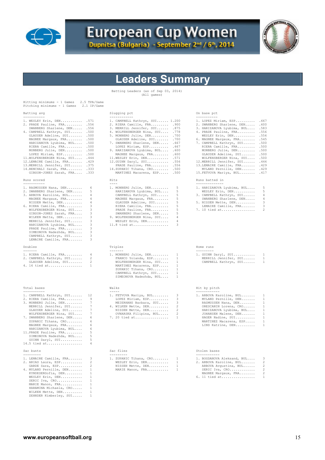

# European Cup Women



## **Leaders Summary**

Batting Leaders (as of Sep 03, 2014) (All games)

| Batting avg                                                                                                                                                                                                                                                                                                                                                                                                                                                                                                                                                                                                                                                                                                                                                                                                                                                                                                                                            | Slugging pct                                                                                                                                                                                                                                                                                                                                                                                                                                                                                                                                                                                                                                                                                                                                                                                                                                               | On base pct                                                                                                                                                                                                                                                                                                                                                                                                                                                                                                                                                                                                                                                                                                                                                                   |
|--------------------------------------------------------------------------------------------------------------------------------------------------------------------------------------------------------------------------------------------------------------------------------------------------------------------------------------------------------------------------------------------------------------------------------------------------------------------------------------------------------------------------------------------------------------------------------------------------------------------------------------------------------------------------------------------------------------------------------------------------------------------------------------------------------------------------------------------------------------------------------------------------------------------------------------------------------|------------------------------------------------------------------------------------------------------------------------------------------------------------------------------------------------------------------------------------------------------------------------------------------------------------------------------------------------------------------------------------------------------------------------------------------------------------------------------------------------------------------------------------------------------------------------------------------------------------------------------------------------------------------------------------------------------------------------------------------------------------------------------------------------------------------------------------------------------------|-------------------------------------------------------------------------------------------------------------------------------------------------------------------------------------------------------------------------------------------------------------------------------------------------------------------------------------------------------------------------------------------------------------------------------------------------------------------------------------------------------------------------------------------------------------------------------------------------------------------------------------------------------------------------------------------------------------------------------------------------------------------------------|
| -----------<br>1. WESLEY Erin, DEN .571<br>2. PRADE Pauline, FRA .556<br>SWANBERG Sharlene, DEN<br>.556<br>4. CAMPBELL Kathryn, SUI .500<br>GLAUSER Adeline, SUI .500<br>MAGNEE Margaux, FRA .500<br>HARIZANOVA Lyubima, BUL<br>.500<br>RIERA Camille, FRA .500<br>MONBERG Julie, DEN .500<br>LOPEZ Miriam, ESP .500<br>11. WOLFENSBERGER Nina, SUI . 444<br>12. LEMAIRE Camille, FRA . 429<br>13. MERRILL Jennifer, SUI . 375<br>14. BENCHALI Sarah, FRA . 333<br>GIBSON-JONES Sarah, FRA .333<br>Runs scored<br>1. RASMUSSEN Nana, DEN<br>6<br>5<br>2. SWANBERG Sharlene, DEN<br>3. ARBOVA Karoline, BUL<br>4<br>MAGNEE Margaux, FRA<br>4<br>NISSEN Mette, DEN<br>4<br>3<br>6. RIERA Camille, FRA<br>3<br>WOLFENSBERGER Nina, $SUI$<br>3<br>GIBSON-JONES Sarah, FRA<br>3<br>WILKEN Mette, DEN<br>3<br>MERRILL Jennifer, SUI<br>3<br>HARIZANOVA Lyubima, BUL<br>3<br>PRADE Pauline, FRA<br>3<br>SIMEONOVA Nadezhda, BUL<br>3<br>CAMPBELL Kathryn, SUI | ------------<br>1. CAMPBELL Kathryn, SUI 1.200<br>2. RIERA Camille, FRA .900<br>3. MERRILL Jennifer, SUI .875<br>4. WOLFENSBERGER Nina, SUI . 778<br>.700<br>5. MONBERG Julie, DEN<br>GLAUSER Adeline, SUI . 700<br>7. SWANBERG Sharlene, DEN<br>.667<br>LOPEZ Miriam, ESP .667<br>9. HARIZANOVA Lyubima, BUL . 600<br>MAGNEE Margaux, FRA .600<br>11. WESLEY Erin, DEN<br>.571<br>12. GUINN Daryl, SUI .556<br>PRADE Pauline, FRA .556<br>14.ZUPANIC Tihana, CRO<br>.500<br>MARTINEZ Macarena, ESP .500<br>Hits<br>1. MONBERG Julie, DEN<br>5<br>5<br>HARIZANOVA Lyubima, BUL<br>5<br>CAMPBELL Kathryn, SUI<br>MAGNEE Margaux, FRA<br>5<br>5<br>GLAUSER Adeline, SUI<br>5<br>RIERA Camille, FRA<br>5<br>PRADE Pauline, FRA<br>5<br>SWANBERG Sharlene, DEN<br>$\overline{4}$<br>9. WOLFENSBERGER Nina, SUI<br>4<br>WESLEY Erin, DEN<br>3<br>$11.8$ tied at | -----------<br>1. LOPEZ Miriam, ESP<br>.667<br>2. SWANBERG Sharlene, DEN .600<br>3. HARIZANOVA Lyubima, BUL<br>.583<br>4. PRADE Pauline, FRA<br>.556<br>.556<br>$WESLEY$ $Erin, DEN$<br>6. MAGNEE Margaux, FRA<br>.545<br>.500<br>7. CAMPBELL Kathryn, SUI<br>.500<br>RIERA Camille, FRA<br>MONBERG Julie, DEN<br>.500<br>GLAUSER Adeline, SUI<br>.500<br>WOLFENSBERGER Nina, SUI<br>.500<br>12.MERRILL Jennifer, SUI<br>.444<br>13. LEMAIRE Camille, FRA . 429<br>MYLAND Pernille, DEN<br>.429<br>15.FETVOVA Mariya, BUL<br>.417<br>Runs batted in<br>1. HARIZANOVA Lyubima, BUL<br>5<br>5<br>WESLEY Erin, DEN<br>3. CAMPBELL Kathryn, SUI<br>4<br>SWANBERG Sharlene, DEN<br>4<br>5. NISSEN Mette, DEN<br>3<br>3<br>LEMAIRE Camille, FRA<br>$\overline{2}$<br>$7.10$ tied at |
| 3<br>LEMAIRE Camille, FRA<br>Doubles                                                                                                                                                                                                                                                                                                                                                                                                                                                                                                                                                                                                                                                                                                                                                                                                                                                                                                                   | Triples                                                                                                                                                                                                                                                                                                                                                                                                                                                                                                                                                                                                                                                                                                                                                                                                                                                    | Home runs                                                                                                                                                                                                                                                                                                                                                                                                                                                                                                                                                                                                                                                                                                                                                                     |
| $\frac{1}{2} \left( \frac{1}{2} \right) \left( \frac{1}{2} \right) \left( \frac{1}{2} \right) \left( \frac{1}{2} \right) \left( \frac{1}{2} \right) \left( \frac{1}{2} \right) \left( \frac{1}{2} \right) \left( \frac{1}{2} \right) \left( \frac{1}{2} \right) \left( \frac{1}{2} \right) \left( \frac{1}{2} \right) \left( \frac{1}{2} \right) \left( \frac{1}{2} \right) \left( \frac{1}{2} \right) \left( \frac{1}{2} \right) \left( \frac{1}{2} \right) \left( \frac$<br>1. RIERA Camille, FRA<br>4<br>2<br>2. CAMPBELL Kathryn, SUI<br>2<br>GLAUSER Adeline, SUI<br>4. 16 tied at<br>$\mathbf{1}$                                                                                                                                                                                                                                                                                                                                                | -------<br>1. MONBERG Julie, DEN<br>1<br>FRANCO Yolanda, ESP<br>$\mathbf{1}$<br>WOLFENSBERGER Nina, SUI<br>1<br>$\overline{1}$<br>MARTINEZ Macarena, ESP<br>ZUPANIC Tihana, CRO<br>1<br>$\mathbf{1}$<br>CAMPBELL Kathryn, SUI<br>SIMEONOVA Nadezhda, BUL<br>1                                                                                                                                                                                                                                                                                                                                                                                                                                                                                                                                                                                              | ---------<br>1. GUINN Daryl, SUI<br>1<br>1<br>MERRILL Jennifer, SUI<br>CAMPBELL Kathryn, SUI<br>1                                                                                                                                                                                                                                                                                                                                                                                                                                                                                                                                                                                                                                                                             |
| Total bases                                                                                                                                                                                                                                                                                                                                                                                                                                                                                                                                                                                                                                                                                                                                                                                                                                                                                                                                            | Walks                                                                                                                                                                                                                                                                                                                                                                                                                                                                                                                                                                                                                                                                                                                                                                                                                                                      | Hit by pitch                                                                                                                                                                                                                                                                                                                                                                                                                                                                                                                                                                                                                                                                                                                                                                  |
| -----------<br>1. CAMPBELL Kathryn, SUI<br>12<br>9<br>2. RIERA Camille, FRA<br>$\tau$<br>3. MONBERG Julie, DEN<br>7<br>MERRILL Jennifer, SUI<br>$\tau$<br>GLAUSER Adeline, SUI<br>7<br>WOLFENSBERGER Nina, SUI<br>7. SWANBERG Sharlene, DEN<br>6<br>ZUPANIC Tihana, CRO<br>6<br>6<br>MAGNEE Margaux, FRA<br>6<br>HARIZANOVA Lyubima, BUL<br>5<br>11. PRADE Pauline, FRA<br>5<br>SIMEONOVA Nadezhda, BUL<br>GUINN Daryl, SUI<br>5<br>14.5 tied at<br>$\overline{4}$                                                                                                                                                                                                                                                                                                                                                                                                                                                                                     | $- - - - - -$<br>3<br>1. FETVOVA Mariya, BUL<br>3<br>LOPEZ Miriam, ESP<br>3<br>MEIERHANS Barbara, SUI<br>2<br>4. WILKEN Mette, DEN<br>$\overline{c}$<br>NISSEN Mette, DEN<br>2<br>OVNARSKA Filipina, BUL<br>7. 20 tied at<br>$\mathbf{1}$                                                                                                                                                                                                                                                                                                                                                                                                                                                                                                                                                                                                                  | ------------<br>1. ARBOVA Karoline, BUL<br>1<br>MYLAND Pernille, DEN<br>1<br>1<br>RASMUSSEN Nana, DEN<br>ORESCANIN Lorena, CRO<br>1<br>HARIZANOVA Lyubima, BUL<br>1<br>1<br>JOHANSEN Malene, DEN<br>1<br>HAGER Nadine, SUI<br>MARTINEZ Macarena, ESP<br>1<br>LIND Katrine, DEN<br>1                                                                                                                                                                                                                                                                                                                                                                                                                                                                                           |
| Sac bunts<br>---------                                                                                                                                                                                                                                                                                                                                                                                                                                                                                                                                                                                                                                                                                                                                                                                                                                                                                                                                 | Sac flies<br>---------                                                                                                                                                                                                                                                                                                                                                                                                                                                                                                                                                                                                                                                                                                                                                                                                                                     | Stolen bases                                                                                                                                                                                                                                                                                                                                                                                                                                                                                                                                                                                                                                                                                                                                                                  |
| 3<br>1. LEMAIRE Camille, FRA<br>2. ARIAS Laura, ESP<br>2<br>$\overline{c}$<br>GARDE Sara, ESP<br>4. MYLAND Pernille, DEN<br>1<br>KYNDESENSofia, DEN<br>1<br>WESLEY Erin, DEN<br>1<br>SERIC Iva, CRO<br>1<br>1<br>MARIE Manon, FRA<br>HARAMINA Michaela, CRO<br>1<br>WILKEN Mette, DEN<br>1<br>ZEHNDER Kimberley, SUI<br>$\mathbf{1}$                                                                                                                                                                                                                                                                                                                                                                                                                                                                                                                                                                                                                   | 1. ZUPANIC Tihana, CRO<br>1<br>WESLEY Erin, DEN<br>1<br>NISSEN Mette, DEN<br>1<br>MARIE Manon, FRA<br>1                                                                                                                                                                                                                                                                                                                                                                                                                                                                                                                                                                                                                                                                                                                                                    | 1. BOGDANOVA Aleksand, BUL<br>3<br>2. ARBOVA Karoline, BUL<br>2<br>2<br>ARBOVA Avgustina, BUL<br>2<br>SERIC Iva, CRO<br>2<br>MAGNEE Margaux, FRA<br>6. 11 tied at<br>1                                                                                                                                                                                                                                                                                                                                                                                                                                                                                                                                                                                                        |

| Slugging pct                                                                                                                                                                                                                                                                                                                                                                                        |                                                                                                               | On base pct<br>------------                                                                                                                                                                                     |
|-----------------------------------------------------------------------------------------------------------------------------------------------------------------------------------------------------------------------------------------------------------------------------------------------------------------------------------------------------------------------------------------------------|---------------------------------------------------------------------------------------------------------------|-----------------------------------------------------------------------------------------------------------------------------------------------------------------------------------------------------------------|
| 1. CAMPBELL Kathryn, SUI<br>2. RIERA Camille, FRA . 900<br>3. MERRILL Jennifer, SUI<br>4. WOLFENSBERGER Nina, SUI<br>5. MONBERG Julie, DEN<br>GLAUSER Adeline, SUI<br>7. SWANBERG Sharlene, DEN<br>LOPEZ Miriam, ESP<br>9. HARIZANOVA Lyubima, BUL<br>MAGNEE Margaux, FRA<br>11. WESLEY Erin, DEN<br>12. GUINN Daryl, SUI<br>PRADE Pauline, FRA<br>14.ZUPANIC Tihana, CRO<br>MARTINEZ Macarena, ESP | 1,200<br>.875<br>.778<br>.700<br>.700<br>.667<br>.667<br>.600<br>.600<br>.571<br>.556<br>.556<br>.500<br>.500 | 1. LOPEZ Mi<br>2. SWANBERG<br>3. HARIZANO<br>4. PRADE Pa<br>WESLEY E<br>6. MAGNEE M<br>7. CAMPBELL<br>RIERA Ca:<br>MONBERG<br>GLAUSER.<br><b>WOLFENSB</b><br>12.MERRILL<br>13.LEMAIRE<br>MYLAND P<br>15.FETVOVA |
| Hits<br>----<br>1. MONBERG Julie, DEN<br>HARIZANOVA Lyubima, BUL<br>CAMPBELL Kathryn, SUI<br>MAGNEE Margaux, FRA<br>GLAUSER Adeline, SUI<br>RIERA Camille, FRA<br>PRADE Pauline, FRA<br>SWANBERG Sharlene, DEN<br>9. WOLFENSBERGER Nina, SUI<br>WESLEY Erin, DEN<br>11.8 tied at                                                                                                                    | 5<br>5<br>5<br>5<br>5<br>5<br>5<br>5<br>4<br>4<br>3                                                           | Runs batted<br>-----------<br>1. HARIZANO<br>WESLEY E<br>3. CAMPBELL<br>SWANBERG<br>5. NISSEN M<br>LEMAIRE<br>7. 10 tied                                                                                        |
| Triples<br>بديد بديد بديد<br>1. MONBERG Julie, DEN<br>FRANCO Yolanda, ESP<br>WOLFENSBERGER Nina, SUI<br>MARTINEZ Macarena, ESP<br>ZUPANIC Tihana, CRO                                                                                                                                                                                                                                               | $\sim$ 1<br>1<br>1<br>1<br>1                                                                                  | Home runs<br>---------<br>1. GUINN Da<br>MERRILL<br>CAMPBELL                                                                                                                                                    |

| Walks                  |                         | Hit by pitch  |
|------------------------|-------------------------|---------------|
|                        |                         |               |
| 1. FETVOVA Mariya, BUL | $\overline{\mathbf{3}}$ | 1. ARBOVA Kai |
| LOPEZ Miriam, ESP      | 3                       | MYLAND Per    |
| MEIERHANS Barbara, SUI | 3                       | RASMUSSEN     |
| 4. WILKEN Mette, DEN   | $\mathcal{L}$           | ORESCANIN     |
| NISSEN Mette, DEN      | $\mathfrak{D}$          | HARIZANOVA    |
| OVNARSKA Filipina, BUL | 2                       | JOHANSEN N    |
| 7. 20 tied at          | 1                       | HAGER Nadi    |
|                        |                         |               |

| 1. ZUPANIC Tihana, CRO | -1-            |  |
|------------------------|----------------|--|
| WESLEY Erin, DEN       | -1.            |  |
| NISSEN Mette, DEN      | $\mathbf{1}$   |  |
| MARIE Manon, FRA       | $\overline{1}$ |  |
|                        |                |  |

| 1. LOPEZ Miriam, ESP       | .667 |
|----------------------------|------|
| 2. SWANBERG Sharlene, DEN  | .600 |
| 3. HARIZANOVA Lyubima, BUL | .583 |
| 4. PRADE Pauline, FRA      | .556 |
| WESLEY Erin, DEN           | .556 |
| 6. MAGNEE Margaux, FRA     | .545 |
| 7. CAMPBELL Kathryn, SUI   | .500 |
| RIERA Camille, FRA         | .500 |
| MONBERG Julie, DEN         | .500 |
| GLAUSER Adeline, SUI       | .500 |
| WOLFENSBERGER Nina, SUI    | .500 |
| 12.MERRILL Jennifer, SUI   | .444 |
| 13.LEMAIRE Camille, FRA    | .429 |
| MYLAND Pernille, DEN       | .429 |
| 15. FETVOVA Mariya, BUL    | .417 |
|                            |      |
| .                          |      |

| 1. HARIZANOVA Lyubima, BUL | h |
|----------------------------|---|
| WESLEY Erin, DEN           | 5 |
| 3. CAMPBELL Kathryn, SUI   | 4 |
| SWANBERG Sharlene, DEN     | 4 |
| 5. NISSEN Mette, DEN       | २ |
| LEMAIRE Camille, FRA       | २ |
| 7. 10 tied at              |   |

| Home runs             |    |
|-----------------------|----|
|                       |    |
| 1. GUINN Daryl, SUI   | 1  |
| MERRILL Jennifer, SUI | 1  |
| CAMPBELL Kathryn, SUI | -1 |
|                       |    |

| 1. ARBOVA Karoline, BUL | 1 |
|-------------------------|---|
| MYLAND Pernille, DEN    | 1 |
| RASMUSSEN Nana, DEN     | 1 |
| ORESCANIN Lorena, CRO   | 1 |
| HARIZANOVA Lyubima, BUL | 1 |
| JOHANSEN Malene, DEN    | 1 |
| HAGER Nadine, SUI       | 1 |
| MARTINEZ Macarena, ESP  | 1 |
| LIND Katrine, DEN       | 1 |
|                         |   |

## s Sac flies Stolen bases Stolen bases Stolen bases

| 2. ARBOVA Karoline, BUL | 2 |
|-------------------------|---|
| ARBOVA Avqustina, BUL   | 2 |
| SERIC Iva, CRO          | 2 |
| MAGNEE Margaux, FRA     | 2 |
| 6. 11 tied at           | 1 |
|                         |   |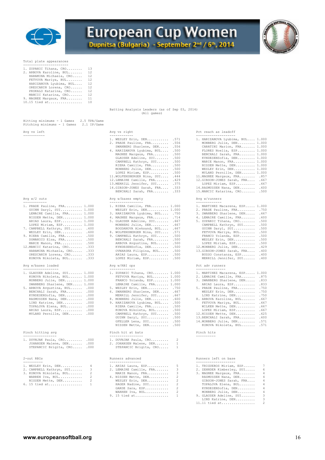

# European Cup Women



## Total plate appearances

| 1. ZUPANIC Tihana, CRO  | 13             |
|-------------------------|----------------|
| 2. ARBOVA Karoline, BUL | 12             |
| HARAMINA Michaela, CRO  | 12             |
| FETVOVA Mariya, BUL     | 12             |
| HARIZANOVA Lyubima, BUL | 12             |
| ORESCANIN Lorena, CRO   | 12             |
| PRSKALO Katarina, CRO   | 12             |
| MANCIC Katarina, CRO    | 12             |
| 9. MAGNEE Margaux, FRA  | 11             |
| 10.15 tied at           | 1 <sub>0</sub> |

|  | Batting Analysis Leaders (as of Sep 03, 2014) |             |  |  |  |
|--|-----------------------------------------------|-------------|--|--|--|
|  |                                               | (All games) |  |  |  |

| Hitting minimums - 1 Games 2.5 TPA/Game<br>Pitching minimums - 1 Games 2.1 IP/Game |                             |                                  |
|------------------------------------------------------------------------------------|-----------------------------|----------------------------------|
| Avg vs left                                                                        | Avg vs right                | Pct reach as leadoff             |
|                                                                                    |                             |                                  |
|                                                                                    | 1. WESLEY Erin, DEN .571    | 1. HARIZANOVA Lyubima, BUL 1.000 |
|                                                                                    | 2. PRADE Pauline, FRA .556  | MONBERG Julie, DEN 1.000         |
|                                                                                    | SWANBERG Sharlene, DEN .556 | CARATINI Marion, FRA 1.000       |
|                                                                                    |                             | $\blacksquare$                   |

| AV.O | . W/ . | דווה |
|------|--------|------|
|------|--------|------|

| 1. PRADE Pauline, FRA 1.000<br>GUINN Daryl, SUI 1.000<br>LEMAIRE Camille, FRA 1.000<br>NISSEN Mette, DEN 1.000<br>ARIAS Laura, ESP 1.000<br>LOPEZ Miriam, ESP 1.000 |      |
|---------------------------------------------------------------------------------------------------------------------------------------------------------------------|------|
| 7. CAMPBELL Kathryn, SUI . 600                                                                                                                                      |      |
| WESLEY Erin, DEN                                                                                                                                                    | .600 |
| 9. RIERA Camille, FRA                                                                                                                                               | .500 |
| DOMANICO Elsa, FRA                                                                                                                                                  | .500 |
| MARIE Manon, FRA                                                                                                                                                    | .500 |
| 12. MANCIC Katarina, CRO                                                                                                                                            | .333 |
| HARAMINA Michaela, CRO                                                                                                                                              | .333 |
| ORESCANIN Lorena, CRO .333                                                                                                                                          |      |
| KONOVA Nikoleta, BUL                                                                                                                                                | .333 |
| Avg w/bases loaded<br>--------------                                                                                                                                |      |
| 1. GLAUSER Adeline, SUI 1.000                                                                                                                                       |      |
| KONOVA Nikoleta, BUL 1.000                                                                                                                                          |      |
| MONBERG Julie, DEN 1.000                                                                                                                                            |      |
| SWANBERG Sharlene, DEN 1.000                                                                                                                                        |      |
| 5. ARBOVA Avgustina, BUL .000                                                                                                                                       |      |

| SWANBERG Sharlene, DEN 1.000 |      |
|------------------------------|------|
| 5. ARBOVA Avqustina, BUL     | .000 |
| BENCHALI Sarah, FRA          | .000 |
| KYNDESENSofia, DEN           | .000 |
| RASMUSSEN Nana, DEN          | .000 |
| LIND Katrine, DEN            | .000 |
| TOPALOVA Elena, BUL          | .000 |
| ARIAS Laura, ESP             | .000 |
| MYLAND Pernille, DEN         | .000 |

## Pinch hitting avg

| 1. DUVNJAK Paula, CRO .000  | 1. DUVNJAK Paula, CRO   |  |
|-----------------------------|-------------------------|--|
| JOHANSEN Malene, DEN .000   | 2. JOHANSEN Malene, DEN |  |
| STEPANCIC Brigita, CRO .000 | STEPANCIC Brigita, CRO  |  |

#### $2$ -out RRIs

| 1. WESLEY Erin, DEN      |  |  |  |  |  |
|--------------------------|--|--|--|--|--|
| 2. CAMPBELL Kathryn, SUI |  |  |  |  |  |
| 3. KONOVA Nikoleta, BUL  |  |  |  |  |  |
| WARREN Tva, BUL          |  |  |  |  |  |

|  | NISSEN Mette, DEN |  |  |  |  |  |  |  |  |
|--|-------------------|--|--|--|--|--|--|--|--|
|  | 6. 15 tied at     |  |  |  |  |  |  |  |  |

|                                                                                                                                                                                                                                                                                                                                                                                                                                                               | .                                                                                                                                                                                                                                                                                                                                                                                                                                                                                        | --------------------                                                                                                                                                                                                                                                                                                                                                                                                                                                                                |
|---------------------------------------------------------------------------------------------------------------------------------------------------------------------------------------------------------------------------------------------------------------------------------------------------------------------------------------------------------------------------------------------------------------------------------------------------------------|------------------------------------------------------------------------------------------------------------------------------------------------------------------------------------------------------------------------------------------------------------------------------------------------------------------------------------------------------------------------------------------------------------------------------------------------------------------------------------------|-----------------------------------------------------------------------------------------------------------------------------------------------------------------------------------------------------------------------------------------------------------------------------------------------------------------------------------------------------------------------------------------------------------------------------------------------------------------------------------------------------|
|                                                                                                                                                                                                                                                                                                                                                                                                                                                               | 1. WESLEY Erin, DEN .571<br>2. PRADE Pauline, FRA .556<br>SWANBERG Sharlene, DEN .556<br>4. HARIZANOVA Lyubima, BUL .500<br>MAGNEE Margaux, FRA .500<br>GLAUSER Adeline, SUI .500<br>CAMPBELL Kathryn, SUI .500<br>RIERA Camille, FRA<br>.500<br>MONBERG Julie, DEN .500<br>LOPEZ Miriam, ESP .500<br>11. WOLFENSBERGER Nina, SUI . 444<br>12.LEMAIRE Camille, FRA . 429<br>13.MERRILL Jennifer, SUI .375<br>14. GIBSON-JONES Sarah, FRA . 333<br>BENCHALI Sarah, FRA .333               | 1. HARIZANOVA Lyubima, BUL 1.000<br>MONBERG Julie, DEN 1.000<br>CARATINI Marion, FRA 1.000<br>FLORES Noelia, ESP 1.000<br>BENCHALI Sarah, FRA 1.000<br>KYNDESENSofia, DEN 1.000<br>MARIE Manon, FRA 1.000<br>NISSEN Mette, DEN 1.000<br>WESLEY Erin, DEN 1.000<br>MYLAND Pernille, DEN 1.000<br>11. MAGNEE Margaux, FRA . 857<br>12.GIBSON-JONES Sarah, FRA . 667<br>LOPEZ Miriam, ESP . 667<br>14. RASMUSSEN Nana, DEN . 600<br>15. MANCIC Katarina, CRO . 500                                     |
| Avq w/2 outs                                                                                                                                                                                                                                                                                                                                                                                                                                                  | Avg w/bases empty                                                                                                                                                                                                                                                                                                                                                                                                                                                                        | Avq w/runners                                                                                                                                                                                                                                                                                                                                                                                                                                                                                       |
| ------------<br>1. PRADE Pauline, FRA 1.000<br>GUINN Daryl, SUI 1.000<br>LEMAIRE Camille, FRA 1.000<br>NISSEN Mette, DEN 1.000<br>ARIAS Laura, ESP 1.000<br>LOPEZ Miriam, ESP 1.000<br>7. CAMPBELL Kathryn, SUI . 600<br>WESLEY Erin, DEN . 600<br>9. RIERA Camille, FRA .500<br>DOMANICO Elsa, FRA .500<br>MARIE Manon, FRA .500<br>12. MANCIC Katarina, CRO . 333<br>HARAMINA Michaela, CRO .333<br>ORESCANIN Lorena, CRO .333<br>KONOVA Nikoleta, BUL .333 | -----------------<br>1. RIERA Camille, FRA 1.000<br>WESLEY Erin, DEN 1.000<br>3. HARIZANOVA Lyubima, BUL .750<br>4. MAGNEE Margaux, FRA .714<br>5. GLAUSER Adeline, SUI . 667<br>MONBERG Julie, DEN . 667<br>BOGDANOVA Aleksand, BUL<br>.667<br>8. WOLFENSBERGER Nina, SUI . 571<br>9. CAMPBELL Kathryn, SUI .500<br>BENCHALI Sarah, FRA .500<br>ARBOVA Avgustina, BUL .500<br>KYNDESENSofia, DEN .500<br>OVNARSKA Filipina, BUL .500<br>ARIAS Laura, ESP .500<br>LOPEZ Miriam, ESP .500 | 1. MARTINEZ Macarena, ESP 1.000<br>2. PRADE Pauline, FRA<br>.750<br>3. SWANBERG Sharlene, DEN<br>.667<br>4. LEMAIRE Camille, FRA<br>.600<br>5. ZUPANIC Tihana, CRO<br>.500<br>CAMPBELL Kathryn, SUI<br>.500<br>GUINN Daryl, SUI<br>.500<br>FETVOVA Mariya, BUL<br>.500<br>FRANCO Yolanda, ESP<br>.500<br>WESLEY Erin, DEN<br>.500<br>LOPEZ Miriam, ESP<br>.500<br>12. MONBERG Julie, DEN<br>.429<br>13.GIBSON-JONES Sarah, FRA . 400<br>BUSSO Constanza, ESP<br>.400<br>MERRILL Jennifer, SUI . 400 |
| Avq w/bases loaded<br>------------------                                                                                                                                                                                                                                                                                                                                                                                                                      | Avg w/RBI ops<br>-------------                                                                                                                                                                                                                                                                                                                                                                                                                                                           | Pct adv runners<br>---------------                                                                                                                                                                                                                                                                                                                                                                                                                                                                  |
| 1. GLAUSER Adeline, SUI 1.000<br>KONOVA Nikoleta, BUL 1.000<br>MONBERG Julie, DEN 1.000<br>SWANBERG Sharlene, DEN 1.000<br>5. ARBOVA Avqustina, BUL . 000<br>BENCHALI Sarah, FRA .000<br>KYNDESENSofia, DEN . 000<br>RASMUSSEN Nana, DEN . 000<br>LIND Katrine, DEN .000<br>TOPALOVA Elena, BUL .000<br>ARIAS Laura, ESP .000                                                                                                                                 | 1. ZUPANIC Tihana, CRO 1.000<br>FETVOVA Mariya, BUL 1.000<br>FRANCO Yolanda, ESP 1.000<br>LEMAIRE Camille, FRA 1.000<br>5. WESLEY Erin, DEN .750<br>6. SWANBERG Sharlene, DEN . 667<br>MERRILL Jennifer, SUI . 667<br>8. MONBERG Julie, DEN<br>.600<br>9. HARIZANOVA Lyubima, BUL .500<br>RIERA Camille, FRA<br>.500<br>KONOVA Nikoleta, BUL .500                                                                                                                                        | 1. MARTINEZ Macarena, ESP 1.000<br>2. LEMAIRE Camille, FRA .875<br>3. SWANBERG Sharlene, DEN .833<br>ARIAS Laura, ESP<br>.833<br>5. PRADE Pauline, FRA<br>.750<br>WESLEY Erin, DEN<br>.750<br>LIND Katrine, DEN<br>.750<br>8. ARBOVA Karoline, BUL<br>.667<br>FETVOVA Mariya, BUL<br>.667<br>WILKEN Mette, DEN<br>.667<br>LOPEZ Miriam, ESP . 667                                                                                                                                                   |
| MYLAND Pernille, DEN .000                                                                                                                                                                                                                                                                                                                                                                                                                                     | CAMPBELL Kathryn, SUI .500                                                                                                                                                                                                                                                                                                                                                                                                                                                               | 12.NISSEN Mette, DEN . 625                                                                                                                                                                                                                                                                                                                                                                                                                                                                          |

#### Pinch hit at bats **Pinch hits** Pinch hits

| 1. DUVNJAK Paula, CRO .000 | 1. DUVNJAK Paula, CRO   |  |
|----------------------------|-------------------------|--|
| JOHANSEN Malene, DEN .000  | 2. JOHANSEN Malene, DEN |  |

| STEPANCIC Brigita, CRO |  |
|------------------------|--|
|                        |  |

|                            |  | 1. WESLEY Erin, DEN 4 1. ARIAS Laura, ESP 5 1. TRIGUEROS Miriam, |  |                       |
|----------------------------|--|------------------------------------------------------------------|--|-----------------------|
| 2. CAMPBELL Kathryn, SUI 3 |  | 2. LEMAIRE Camille, FRA 3                                        |  | 2. ZEHNDER Kimberley, |
| 3. KONOVA Nikoleta, BUL 2  |  | MARIE Manon, FRA 3                                               |  | 3. MAGNEE Margaux, FR |
| WARREN Iva, BUL 2          |  | 4. NISSEN Mette, DEN 2                                           |  | RASMUSSEN Nana, DE    |
| NISSEN Mette, DEN 2        |  | WESLEY Erin, DEN 2                                               |  | GIBSON-JONES Sarah    |
| 6. 15 tied at 1            |  | HAGER Nadine, SUI 2                                              |  | TOPALOVA Elena, BU    |
|                            |  | GARDE Sara, ESP 2                                                |  | KYNDESENSofia, DEN    |
|                            |  | WARREN Iva, BUL 2                                                |  | MONBERG Julie, DEN    |
|                            |  | 9. 15 tied at 1                                                  |  | 9. GLAUSER Adeline, S |

#### Avg vs right  $Pct$  reach as leadoff

| 1. HARIZANOVA Lyubima, BUL 1.000<br>MONBERG Julie, DEN 1.000<br>CARATINI Marion, FRA 1.000<br>FLORES Noelia, ESP<br>BENCHALI Sarah, FRA<br>KYNDESENSofia, DEN<br>MARIE Manon, FRA<br>NISSEN Mette, DEN<br>WESLEY Erin, DEN 1.000<br>MYLAND Pernille, DEN | 1,000<br>1,000<br>1,000<br>1,000<br>1,000<br>1,000 |
|----------------------------------------------------------------------------------------------------------------------------------------------------------------------------------------------------------------------------------------------------------|----------------------------------------------------|
| 11. MAGNEE Margaux, FRA . 857<br>12.GIBSON-JONES Sarah, FRA<br>LOPEZ Miriam, ESP<br>14. RASMUSSEN Nana, DEN<br>15. MANCIC Katarina, CRO                                                                                                                  | .667<br>.667<br>.600<br>.500                       |
| Avq w/runners                                                                                                                                                                                                                                            |                                                    |
| 1. MARTINEZ Macarena, ESP 1.000                                                                                                                                                                                                                          |                                                    |

| 4. FRADE FAULLHE, FRA      | - 7.333 |
|----------------------------|---------|
| 3. SWANBERG Sharlene, DEN  | .667    |
| 4. LEMAIRE Camille, FRA    | .600    |
| 5. ZUPANIC Tihana, CRO     | .500    |
| CAMPBELL Kathryn, SUI      | .500    |
| GUINN Daryl, SUI           | .500    |
| FETVOVA Mariya, BUL        | .500    |
| FRANCO Yolanda, ESP        | .500    |
| WESLEY Erin, DEN           | .500    |
| LOPEZ Miriam, ESP          | .500    |
| 12. MONBERG Julie, DEN     | .429    |
| 13.GIBSON-JONES Sarah, FRA | .400    |
| BUSSO Constanza, ESP       | .400    |
| MERRILL Jennifer, SUI      | .400    |
|                            |         |

## Pct adv runners

| 1. GLAUSER Adeline, SUI 1.000  | 1. ZUPANIC Tihana, CRO 1.000    | 1. MARTINEZ Macarena, ESP 1.000 |  |
|--------------------------------|---------------------------------|---------------------------------|--|
| KONOVA Nikoleta, BUL 1.000     | FETVOVA Mariya, BUL 1.000       | 2. LEMAIRE Camille, FRA .875    |  |
| MONBERG Julie, DEN 1.000       | FRANCO Yolanda, ESP 1.000       | 3. SWANBERG Sharlene, DEN .833  |  |
| SWANBERG Sharlene, DEN 1.000   | LEMAIRE Camille, FRA 1.000      | ARIAS Laura, ESP .833           |  |
| 5. ARBOVA Avgustina, BUL . 000 | 5. WESLEY Erin, DEN .750        | 5. PRADE Pauline, FRA .750      |  |
| BENCHALI Sarah, FRA .000       | 6. SWANBERG Sharlene, DEN . 667 | WESLEY Erin, DEN .750           |  |
| KYNDESENSofia, DEN .000        | MERRILL Jennifer, SUI . 667     | LIND Katrine, DEN .750          |  |
| RASMUSSEN Nana, DEN .000       | 8. MONBERG Julie, DEN . 600     | 8. ARBOVA Karoline, BUL . 667   |  |
| LIND Katrine, DEN .000         | 9. HARIZANOVA Lyubima, BUL .500 | FETVOVA Mariya, BUL 667         |  |
| TOPALOVA Elena, BUL .000       | RIERA Camille, FRA .500         | WILKEN Mette, DEN . 667         |  |
| ARIAS Laura, ESP .000          | KONOVA Nikoleta, BUL .500       | LOPEZ Miriam, ESP .667          |  |
| MYLAND Pernille, DEN .000      | CAMPBELL Kathryn, SUI .500      | 12.NISSEN Mette, DEN .625       |  |
|                                | GUINN Daryl, SUI .500           | 13. BENCHALI Sarah, FRA . 600   |  |
|                                | GFELLER Lena, SUI .500          | 14. MONBERG Julie, DEN . 571    |  |
|                                | NISSEN Mette, DEN .500          | KONOVA Nikoleta, BUL .571       |  |
|                                |                                 |                                 |  |

## Profile Runners advanced and research Runners left on base

| 1. WESLEY Erin, DEN 4      | 1. ARIAS Laura, ESP 5     | 1. TRIGUEROS Miriam, ESP 7  |  |
|----------------------------|---------------------------|-----------------------------|--|
| 2. CAMPBELL Kathryn, SUI 3 | 2. LEMAIRE Camille, FRA 3 | 2. ZEHNDER Kimberley, SUI 6 |  |
| 3. KONOVA Nikoleta, BUL 2  | MARIE Manon, FRA 3        | 3. MAGNEE Margaux, FRA 4    |  |
| WARREN Iva, BUL 2          | 4. NISSEN Mette, DEN 2    | RASMUSSEN Nana, DEN 4       |  |
| NISSEN Mette, DEN 2        | WESLEY Erin, DEN 2        | GIBSON-JONES Sarah, FRA 4   |  |
| 6. 15 tied at 1            | HAGER Nadine, SUI 2       | TOPALOVA Elena, BUL 4       |  |
|                            | GARDE Sara, ESP 2         | KYNDESENSofia, DEN 4        |  |
|                            | WARREN Iva, BUL 2         | MONBERG Julie, DEN 4        |  |
|                            | 9. 15 tied at 1           | 9. GLAUSER Adeline, SUI 3   |  |
|                            |                           | LIND Katrine, DEN 3         |  |
|                            |                           |                             |  |

11.11 tied at................. 2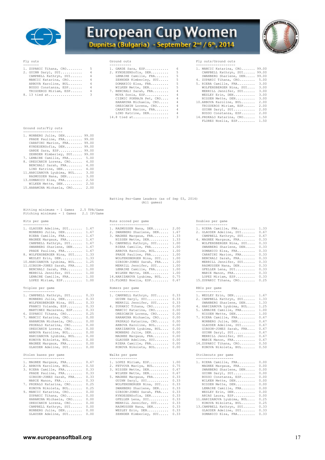



| 1. ZUPANIC Tihana, CRO  |   | 1. GARDE Sara, ESP     |   | 1. MANCIC Katarina, C |
|-------------------------|---|------------------------|---|-----------------------|
| 2. GUINN Daryl, SUI     | 4 | 2. KYNDESENSofia, DEN  |   | CAMPBELL Kathryn,     |
| CAMPBELL Kathryn, SUI   |   | LEMAIRE Camille, FRA   |   | SWANBERG Sharlene,    |
| MANCIC Katarina, CRO 4  |   | ZEHNDER Kimberley, SUI | 5 | 4. ZUPANIC Tihana, CR |
| ARBOVA Karoline, BUL 4  |   | DOMANICO Elsa, FRA     | 5 | 5. RIERA Camille, FRA |
| BUSSO Constanza, ESP    |   | WILKEN Mette, DEN      |   | WOLFENSBERGER Nina    |
| TRIGUEROS Miriam, ESP 4 |   | 7. BENCHALI Sarah, FRA |   | MERRILL Jennifer,     |
|                         |   |                        |   |                       |

| 1. ZUPANIC Tihana, CRO | $5 - 1$           | - 6<br>1. GARDE Sara, ESP                 |
|------------------------|-------------------|-------------------------------------------|
| 2. GUINN Daryl, SUI    | $4\degree$        | -5<br>2. KYNDESENSofia, DEN               |
| CAMPBELL Kathryn, SUI  | $4\qquad$         | -5<br>LEMAIRE Camille, FRA                |
| MANCIC Katarina, CRO   | $4\degree$        | 5<br>ZEHNDER Kimberley, SUI               |
| ARBOVA Karoline, BUL   | 4                 | 5<br>DOMANICO Elsa, FRA                   |
| BUSSO Constanza, ESP   | $4 -$             | -5<br>WILKEN Mette, DEN                   |
| TRIGUEROS Miriam, ESP  | $4 \qquad \qquad$ | $\overline{4}$<br>7. BENCHALI Sarah, FRA  |
| 8. 13 tied at          | $3^{\circ}$       | $\overline{4}$<br>MOYA Sonia, ESP         |
|                        |                   | $\overline{4}$<br>CIZMIC POKRAJA Pet, CRO |
|                        |                   | $\overline{4}$<br>HARAMINA Michaela, CRO  |
|                        |                   | $\overline{4}$<br>ORESCANIN Lorena, CRO   |
|                        |                   | $\frac{4}{3}$<br>CARATINI Marion, FRA     |
|                        |                   | 4<br>LIND Katrine, DEN                    |
|                        |                   | 3<br>$14.8$ tied at                       |
|                        |                   |                                           |

## Fly outs Ground outs Fly outs/Ground outs

| 1. ZUPANIC Tihana, CRO 5 |   | 1. GARDE Sara, ESP 6      | 1. MANCIC Katarina, CRO 99.00  |  |
|--------------------------|---|---------------------------|--------------------------------|--|
| 2. GUINN Daryl, SUI 4    |   | 2. KYNDESENSofia, DEN 5   | CAMPBELL Kathryn, SUI 99.00    |  |
| CAMPBELL Kathryn, SUI 4  |   | LEMAIRE Camille, FRA 5    | SWANBERG Sharlene, DEN 99.00   |  |
| MANCIC Katarina, CRO 4   |   | ZEHNDER Kimberley, SUI 5  | 4. ZUPANIC Tihana, CRO 5.00    |  |
| ARBOVA Karoline, BUL 4   |   | DOMANICO Elsa, FRA $5$    | 5. RIERA Camille, FRA 3.00     |  |
| BUSSO Constanza, ESP     | 4 | WILKEN Mette, DEN 5       | WOLFENSBERGER Nina, SUI 3.00   |  |
| TRIGUEROS Miriam, ESP 4  |   | 7. BENCHALI Sarah, FRA 4  | MERRILL Jennifer, SUI 3.00     |  |
| 8. 13 tied at 3          |   | MOYA Sonia, ESP 4         | WESLEY Erin, DEN 3.00          |  |
|                          |   | CIZMIC POKRAJA Pet, CRO 4 | NISSEN Mette, DEN 3.00         |  |
|                          |   | HARAMINA Michaela, CRO 4  | 10.ARBOVA Karoline, BUL 2.00   |  |
|                          |   | ORESCANIN Lorena, CRO 4   | TRIGUEROS Miriam, ESP 2.00     |  |
|                          |   | CARATINI Marion, FRA 4    | GUINN Daryl, SUI 2.00          |  |
|                          |   | LIND Katrine, DEN 4       | BUSSO Constanza, ESP 2.00      |  |
|                          |   | $14.8$ tied at 3          | 14. PRSKALO Katarina, CRO 1.50 |  |
|                          |   |                           |                                |  |

FLORES Noelia, ESP......... 1.50

## Ground outs/Fly outs

| 1. MONBERG Julie, DEN       | 99.00 |
|-----------------------------|-------|
| PRADE Pauline, FRA          | 99.00 |
| CARATINI Marion, FRA        | 99.00 |
| KYNDESENSofia, DEN          | 99.00 |
| GARDE Sara, ESP             | 99.00 |
| ZEHNDER Kimberley, SUI      | 99.00 |
| 7. LEMAIRE Camille, FRA     | 5.00  |
| 8. ORESCANIN Lorena, CRO    | 4.00  |
| BENCHALI Sarah, FRA         | 4.00  |
| LIND Katrine, DEN           | 4.00  |
| 11. HARIZANOVA Lyubima, BUL | 3.00  |
| RASMUSSEN Nana, DEN         | 3.00  |
| 13. DOMANICO Elsa, FRA      | 2.50  |
| WILKEN Mette, DEN           | 2.50  |
| 15. HARAMINA Michaela, CRO  | 2.00  |

| LJ.MARAMINA MICHAEIA, URV Z.UV |  |  |
|--------------------------------|--|--|
|                                |  |  |
|                                |  |  |

| Batting Per-Game Leaders (as of Sep 03, 2014)<br>(All games) |  |  |  |  |  |  |  |
|--------------------------------------------------------------|--|--|--|--|--|--|--|
|                                                              |  |  |  |  |  |  |  |

Hitting minimums - 1 Games 2.5 TPA/Game Pitching minimums - 1 Games 2.1 IP/Game

| 1. GLAUSER Adeline, SUI    | 1.67 |
|----------------------------|------|
|                            |      |
| MONBERG Julie, DEN         | 1.67 |
| RIERA Camille, FRA         | 1.67 |
| MAGNEE Margaux, FRA        | 1.67 |
| CAMPBELL Kathryn, SUI      | 1.67 |
| SWANBERG Sharlene, DEN     | 1.67 |
| PRADE Pauline, FRA         | 1.67 |
| 8. WOLFENSBERGER Nina, SUI | 1.33 |
| WESLEY Erin, DEN           | 1.33 |
| 10.HARIZANOVA Lyubima, BUL | 1.25 |
| 11.GIBSON-JONES Sarah, FRA | 1.00 |
| BENCHALI Sarah, FRA        | 1.00 |
| MERRILL Jennifer, SUI      | 1.00 |
| LEMAIRE Camille, FRA       | 1.00 |
| LOPEZ Miriam, ESP          | 1.00 |

## Triples per game

| 1. CAMPBELL Kathryn, SUI<br>MONBERG Julie, DEN<br>WOLFENSBERGER Nina, SUI<br>FRANCO Yolanda, ESP<br>MARTINEZ Macarena, ESP<br>6. ZUPANIC Tihana, CRO<br>7. MANCIC Katarina, CRO | 0.33<br>0.33<br>0.33<br>0.33<br>0.33<br>0.25<br>0.00 |
|---------------------------------------------------------------------------------------------------------------------------------------------------------------------------------|------------------------------------------------------|
| HARAMINA Michaela, CRO                                                                                                                                                          | 0.00                                                 |
| PRSKALO Katarina, CRO<br>ORESCANIN Lorena, CRO                                                                                                                                  | 0.00<br>0.00                                         |
| ARBOVA Karoline, BUL                                                                                                                                                            | 0.00                                                 |
| HARIZANOVA Lyubima, BUL                                                                                                                                                         | 0.00                                                 |
| KONOVA Nikoleta, BUL                                                                                                                                                            | 0.00                                                 |
| MAGNEE Margaux, FRA                                                                                                                                                             | 0.00                                                 |
| GLAUSER Adeline, SUI                                                                                                                                                            | 0.00                                                 |

| 1. MAGNEE Margaux, FRA 0.67   | 1. LOPEZ Miriam, ESP 1.00    | 1. RIERA Camille, FRA 0.00       |  |
|-------------------------------|------------------------------|----------------------------------|--|
| 2. ARBOVA Karoline, BUL 0.50  | 2. FETVOVA Mariya, BUL 0.75  | MAGNEE Margaux, FRA 0.00         |  |
| 3. RIERA Camille, FRA 0.33    | 3. NISSEN Mette, DEN 0.67    | SWANBERG Sharlene, DEN 0.00      |  |
| PRADE Pauline, FRA 0.33       | WILKEN Mette, DEN 0.67       | GUINN Daryl, SUI 0.00            |  |
| GIBSON-JONES Sarah, FRA 0.33  | 5. MAGNEE Margaux, FRA 0.33  | BUSSO Constanza, ESP 0.00        |  |
| MARIE Manon, FRA 0.33         | GUINN Daryl, SUI 0.33        | WILKEN Mette, DEN 0.00           |  |
| 7. PRSKALO Katarina, CRO 0.25 | WOLFENSBERGER Nina, SUI 0.33 | NISSEN Mette, DEN 0.00           |  |
| KONOVA Nikoleta, BUL 0.25     | SWANBERG Sharlene, DEN 0.33  | LEMAIRE Camille, FRA 0.00        |  |
| 9. MANCIC Katarina, CRO 0.00  | GIBSON-JONES Sarah, FRA 0.33 | WESLEY Erin, DEN 0.00            |  |
| ZUPANIC Tihana, CRO 0.00      | KYNDESENSofia, DEN 0.33      | ARIAS Laura, ESP 0.00            |  |
| HARAMINA Michaela, CRO 0.00   | GFELLER Lena, SUI 0.33       | 11. HARIZANOVA Lyubima, BUL 0.25 |  |
| ORESCANIN Lorena, CRO 0.00    | MERRILL Jennifer, SUI 0.33   | KONOVA Nikoleta, BUL 0.25        |  |
| CAMPBELL Kathryn, SUI 0.00    | RASMUSSEN Nana, DEN 0.33     | 13. CAMPBELL Kathryn, SUI 0.33   |  |
| MONBERG Julie, DEN 0.00       | WESLEY Erin, DEN 0.33        | GLAUSER Adeline, SUI 0.33        |  |
| GLAUSER Adeline, SUI 0.00     | ZEHNDER Kimberley, SUI 0.33  | DOMANICO Elsa, FRA 0.33          |  |
|                               |                              |                                  |  |

| 1. GLAUSER Adeline, SUI 1.67    | 1. RASMUSSEN Nana, DEN 2.00      | 1. RIERA Camille, FRA 1.33   |  |
|---------------------------------|----------------------------------|------------------------------|--|
| MONBERG Julie, DEN 1.67         | 2. SWANBERG Sharlene, DEN 1.67   | 2. GLAUSER Adeline, SUI 0.67 |  |
| RIERA Camille, FRA 1.67         | 3. MAGNEE Margaux, FRA 1.33      | CAMPBELL Kathryn, SUI 0.67   |  |
| MAGNEE Margaux, FRA 1.67        | NISSEN Mette, DEN 1.33           | 4. MAGNEE Margaux, FRA 0.33  |  |
| CAMPBELL Kathryn, SUI 1.67      | 5. CAMPBELL Kathryn, SUI 1.00    | WOLFENSBERGER Nina, SUI 0.33 |  |
| SWANBERG Sharlene, DEN 1.67     | RIERA Camille, FRA 1.00          | SWANBERG Sharlene, DEN 0.33  |  |
| PRADE Pauline, FRA 1.67         | ARBOVA Karoline, BUL 1.00        | DOMANICO Elsa, FRA 0.33      |  |
| 8. WOLFENSBERGER Nina, SUI 1.33 | PRADE Pauline, FRA 1.00          | CARATINI Marion, FRA 0.33    |  |
| WESLEY Erin, DEN 1.33           | WOLFENSBERGER Nina, SUI 1.00     | BENCHALI Sarah, FRA 0.33     |  |
| 10.HARIZANOVA Lyubima, BUL 1.25 | GIBSON-JONES Sarah, FRA 1.00     | MERRILL Jennifer, SUI 0.33   |  |
| 11.GIBSON-JONES Sarah, FRA 1.00 | MERRILL Jennifer, SUI 1.00       | RASMUSSEN Nana, DEN 0.33     |  |
| BENCHALI Sarah, FRA 1.00        | LEMAIRE Camille, FRA 1.00        | GFELLER Lena, SUI 0.33       |  |
| MERRILL Jennifer, SUI 1.00      | WILKEN Mette, DEN 1.00           | MARIE Manon, FRA 0.33        |  |
| LEMAIRE Camille, FRA 1.00       | 14. HARIZANOVA Lyubima, BUL 0.75 | LOPEZ Miriam, ESP 0.33       |  |
| LOPEZ Miriam, ESP 1.00          | 15. FLORES Noelia, ESP 0.67      | 15.ZUPANIC Tihana, CRO 0.25  |  |
|                                 |                                  |                              |  |

#### Homers per game

| 1. CAMPBELL Kathryn, SUI 0.33 |  | 1. CAMPBELL Kathryn, SUI 0.33 |  | 1. WESLEY Erin, DEN 1.67        |  |
|-------------------------------|--|-------------------------------|--|---------------------------------|--|
|                               |  |                               |  |                                 |  |
| MONBERG Julie, DEN 0.33       |  | GUINN Daryl, SUI 0.33         |  | 2. CAMPBELL Kathryn, SUI 1.33   |  |
| WOLFENSBERGER Nina, SUI 0.33  |  | MERRILL Jennifer, SUI 0.33    |  | SWANBERG Sharlene, DEN 1.33     |  |
| FRANCO Yolanda, ESP 0.33      |  | 4. ZUPANIC Tihana, CRO 0.00   |  | 4. HARIZANOVA Lyubima, BUL 1.25 |  |
| MARTINEZ Macarena, ESP 0.33   |  | MANCIC Katarina, CRO 0.00     |  | 5. LEMAIRE Camille, FRA 1.00    |  |
| 6. ZUPANIC Tihana, CRO 0.25   |  | ORESCANIN Lorena, CRO 0.00    |  | NISSEN Mette, DEN 1.00          |  |
| 7. MANCIC Katarina, CRO 0.00  |  | HARAMINA Michaela, CRO 0.00   |  | 7. RIERA Camille, FRA 0.67      |  |
| HARAMINA Michaela, CRO 0.00   |  | PRSKALO Katarina, CRO 0.00    |  | MONBERG Julie, DEN 0.67         |  |
| PRSKALO Katarina, CRO 0.00    |  | ARBOVA Karoline, BUL 0.00     |  | GLAUSER Adeline, SUI 0.67       |  |
| ORESCANIN Lorena, CRO 0.00    |  | HARIZANOVA Lyubima, BUL 0.00  |  | GIBSON-JONES Sarah, FRA 0.67    |  |
| ARBOVA Karoline, BUL 0.00     |  | MONBERG Julie, DEN 0.00       |  | GUINN Daryl, SUI 0.67           |  |
| HARIZANOVA Lyubima, BUL 0.00  |  | MAGNEE Margaux, FRA 0.00      |  | MERRILL Jennifer, SUI 0.67      |  |
| KONOVA Nikoleta, BUL 0.00     |  | GLAUSER Adeline, SUI 0.00     |  | MARIE Manon, FRA 0.67           |  |
| MAGNEE Margaux, FRA 0.00      |  | RIERA Camille, FRA 0.00       |  | 14.ZUPANIC Tihana, CRO 0.50     |  |
| GLAUSER Adeline, SUI 0.00     |  | KONOVA Nikoleta, BUL 0.00     |  | KONOVA Nikoleta, BUL 0.50       |  |
| Stolen bases per game         |  | Walks per game                |  | Strikeouts per game             |  |

|  |                                                                                                                                                                                                                                                                                                                                                                                                                                                            | 1. RIERA Camille, FRA 0.00                                                                                                                                                                                                                                                                                                                                                                                                                    |                                 |
|--|------------------------------------------------------------------------------------------------------------------------------------------------------------------------------------------------------------------------------------------------------------------------------------------------------------------------------------------------------------------------------------------------------------------------------------------------------------|-----------------------------------------------------------------------------------------------------------------------------------------------------------------------------------------------------------------------------------------------------------------------------------------------------------------------------------------------------------------------------------------------------------------------------------------------|---------------------------------|
|  |                                                                                                                                                                                                                                                                                                                                                                                                                                                            | MAGNEE Margaux, FRA 0.00                                                                                                                                                                                                                                                                                                                                                                                                                      |                                 |
|  |                                                                                                                                                                                                                                                                                                                                                                                                                                                            | SWANBERG Sharlene, DEN 0.00                                                                                                                                                                                                                                                                                                                                                                                                                   |                                 |
|  |                                                                                                                                                                                                                                                                                                                                                                                                                                                            | GUINN Daryl, SUI 0.00                                                                                                                                                                                                                                                                                                                                                                                                                         |                                 |
|  |                                                                                                                                                                                                                                                                                                                                                                                                                                                            | BUSSO Constanza, ESP 0.00                                                                                                                                                                                                                                                                                                                                                                                                                     |                                 |
|  |                                                                                                                                                                                                                                                                                                                                                                                                                                                            | WILKEN Mette, DEN 0.00                                                                                                                                                                                                                                                                                                                                                                                                                        |                                 |
|  |                                                                                                                                                                                                                                                                                                                                                                                                                                                            | NISSEN Mette, DEN 0.00                                                                                                                                                                                                                                                                                                                                                                                                                        |                                 |
|  |                                                                                                                                                                                                                                                                                                                                                                                                                                                            | LEMAIRE Camille, FRA 0.00                                                                                                                                                                                                                                                                                                                                                                                                                     |                                 |
|  |                                                                                                                                                                                                                                                                                                                                                                                                                                                            | WESLEY Erin, DEN 0.00                                                                                                                                                                                                                                                                                                                                                                                                                         |                                 |
|  |                                                                                                                                                                                                                                                                                                                                                                                                                                                            | ARIAS Laura, ESP 0.00                                                                                                                                                                                                                                                                                                                                                                                                                         |                                 |
|  |                                                                                                                                                                                                                                                                                                                                                                                                                                                            |                                                                                                                                                                                                                                                                                                                                                                                                                                               |                                 |
|  |                                                                                                                                                                                                                                                                                                                                                                                                                                                            | KONOVA Nikoleta, BUL 0.25                                                                                                                                                                                                                                                                                                                                                                                                                     |                                 |
|  |                                                                                                                                                                                                                                                                                                                                                                                                                                                            | 13. CAMPBELL Kathryn, SUI 0.33                                                                                                                                                                                                                                                                                                                                                                                                                |                                 |
|  |                                                                                                                                                                                                                                                                                                                                                                                                                                                            | GLAUSER Adeline, SUI 0.33                                                                                                                                                                                                                                                                                                                                                                                                                     |                                 |
|  |                                                                                                                                                                                                                                                                                                                                                                                                                                                            | DOMANICO Elsa, FRA 0.33                                                                                                                                                                                                                                                                                                                                                                                                                       |                                 |
|  | 1. MAGNEE Margaux, FRA 0.67<br>2. ARBOVA Karoline, BUL 0.50<br>3. RIERA Camille, FRA 0.33<br>PRADE Pauline, FRA 0.33<br>GIBSON-JONES Sarah, FRA 0.33<br>MARIE Manon, FRA 0.33<br>7. PRSKALO Katarina, CRO 0.25<br>KONOVA Nikoleta, BUL 0.25<br>9. MANCIC Katarina, CRO 0.00<br>ZUPANIC Tihana, CRO 0.00<br>HARAMINA Michaela, CRO 0.00<br>ORESCANIN Lorena, CRO 0.00<br>CAMPBELL Kathryn, SUI 0.00<br>MONBERG Julie, DEN 0.00<br>GLAUSER Adeline, SUI 0.00 | 1. LOPEZ Miriam, ESP 1.00<br>2. FETVOVA Mariya, BUL 0.75<br>3. NISSEN Mette, DEN 0.67<br>WILKEN Mette, DEN 0.67<br>5. MAGNEE Margaux, FRA 0.33<br>GUINN Daryl, SUI 0.33<br>WOLFENSBERGER Nina, SUI 0.33<br>SWANBERG Sharlene, DEN 0.33<br>GIBSON-JONES Sarah, FRA 0.33<br>KYNDESENSofia, DEN 0.33<br>GFELLER Lena, SUI 0.33<br>MERRILL Jennifer, SUI 0.33<br>RASMUSSEN Nana, DEN 0.33<br>WESLEY Erin, DEN 0.33<br>ZEHNDER Kimberley, SUI 0.33 | 11.HARIZANOVA Lyubima, BUL 0.25 |

## Hits per game and the second per game and the Doubles per game Doubles per game Doubles per game Doubles per game Doubles per game Doubles per game descriptions of the Doubles per game descriptions of the Doubles per game

| 1. GLAUSER Adeline, SUI 1.67         | 1. RASMUSSEN Nana, DEN $2.00$      | 1. RIERA Camille, FRA 1.33      |      |
|--------------------------------------|------------------------------------|---------------------------------|------|
| MONBERG Julie, DEN 1.67              | 2. SWANBERG Sharlene, DEN 1.67     | 2. GLAUSER Adeline, SUI 0.67    |      |
| RIERA Camille, FRA 1.67              | 3. MAGNEE Margaux, FRA 1.33        | CAMPBELL Kathryn, SUI           | 0.67 |
| MAGNEE Margaux, FRA 1.67             | NISSEN Mette, DEN 1.33             | 4. MAGNEE Margaux, FRA          | 0.33 |
| CAMPBELL Kathryn, SUI 1.67           | 5. CAMPBELL Kathryn, SUI 1.00      | WOLFENSBERGER Nina, SUI 0.33    |      |
| SWANBERG Sharlene, DEN 1.67          | RIERA Camille, FRA 1.00            | SWANBERG Sharlene, DEN 0.33     |      |
| PRADE Pauline, FRA 1.67              | ARBOVA Karoline, BUL 1.00          | DOMANICO Elsa, FRA 0.33         |      |
| 8. WOLFENSBERGER Nina, SUI 1.33      | PRADE Pauline, FRA 1.00            | CARATINI Marion, FRA 0.33       |      |
| WESLEY Erin, DEN 1.33                | WOLFENSBERGER Nina, SUI 1.00       | BENCHALI Sarah, FRA 0.33        |      |
| 10.HARIZANOVA Lyubima, BUL 1.25      | GIBSON-JONES Sarah, FRA 1.00       | MERRILL Jennifer, SUI           | 0.33 |
| 11.GIBSON-JONES Sarah, FRA 1.00      | MERRILL Jennifer, SUI 1.00         | RASMUSSEN Nana, DEN 0.33        |      |
| BENCHALI Sarah, FRA 1.00             | LEMAIRE Camille, FRA 1.00          | GFELLER Lena, SUI 0.33          |      |
| MERRILL Jennifer, SUI 1.00           | WILKEN Mette, DEN 1.00             | MARIE Manon, FRA 0.33           |      |
| LEMAIRE Camille, FRA 1.00            | 14.HARIZANOVA Lyubima, BUL 0.75    | LOPEZ Miriam, ESP 0.33          |      |
| LOPEZ Miriam, ESP 1.00               | 15. FLORES Noelia, ESP 0.67        | 15.ZUPANIC Tihana, CRO 0.25     |      |
| Triples per game<br>---------------- | Homers per game<br>_______________ | RBIs per game<br>-------------  |      |
| 1. CAMPBELL Kathryn, SUI 0.33        | 1. CAMPBELL Kathryn, SUI 0.33      | 1. WESLEY Erin, DEN 1.67        |      |
| MONBERG Julie, DEN 0.33              | GUINN Daryl, SUI 0.33              | 2. CAMPBELL Kathryn, SUI 1.33   |      |
| WOLFENSBERGER Nina, SUI 0.33         | MERRILL Jennifer, SUI 0.33         | SWANBERG Sharlene, DEN 1.33     |      |
| FRANCO Yolanda, ESP 0.33             | 4. ZUPANIC Tihana, CRO 0.00        | 4. HARIZANOVA Lyubima, BUL 1.25 |      |
| MARTINEZ Macarena, ESP 0.33          | MANCIC Katarina, CRO 0.00          | 5. LEMAIRE Camille, FRA 1.00    |      |
| 6. ZUPANIC Tihana, CRO 0.25          | ORESCANIN Lorena, CRO 0.00         | NISSEN Mette, DEN 1.00          |      |
| 7. MANCIC Katarina, CRO 0.00         | HARAMINA Michaela, CRO 0.00        | 7. RIERA Camille, FRA 0.67      |      |
| HARAMINA Michaela, CRO 0.00          | PRSKALO Katarina, CRO 0.00         | MONBERG Julie, DEN 0.67         |      |
|                                      |                                    |                                 |      |

| GLAUSER Adeline, SUI 0.67    |      |
|------------------------------|------|
| GIBSON-JONES Sarah, FRA 0.67 |      |
| GUINN Daryl, SUI             | 0.67 |
| MERRILL Jennifer, SUI 0.67   |      |
| MARIE Manon, FRA             | 0.67 |
| 14.ZUPANIC Tihana, CRO 0.50  |      |
| KONOVA Nikoleta, BUL 0.50    |      |

| _______________________       |                              |                                  |  |
|-------------------------------|------------------------------|----------------------------------|--|
| 1. MAGNEE Margaux, FRA 0.67   | 1. LOPEZ Miriam, ESP 1.00    | 1. RIERA Camille, FRA 0.00       |  |
| 2. ARBOVA Karoline, BUL 0.50  | 2. FETVOVA Mariya, BUL 0.75  | MAGNEE Margaux, FRA 0.00         |  |
| 3. RIERA Camille, FRA 0.33    | 3. NISSEN Mette, DEN 0.67    | SWANBERG Sharlene, DEN 0.00      |  |
| PRADE Pauline, FRA 0.33       | WILKEN Mette, DEN 0.67       | GUINN Daryl, SUI 0.00            |  |
| GIBSON-JONES Sarah, FRA 0.33  | 5. MAGNEE Margaux, FRA 0.33  | BUSSO Constanza, ESP 0.00        |  |
| MARIE Manon, FRA 0.33         | GUINN Daryl, SUI 0.33        | WILKEN Mette, DEN 0.00           |  |
| 7. PRSKALO Katarina, CRO 0.25 | WOLFENSBERGER Nina, SUI 0.33 | NISSEN Mette, DEN 0.00           |  |
| KONOVA Nikoleta, BUL 0.25     | SWANBERG Sharlene, DEN 0.33  | LEMAIRE Camille, FRA 0.00        |  |
| 9. MANCIC Katarina, CRO 0.00  | GIBSON-JONES Sarah, FRA 0.33 | WESLEY Erin, DEN 0.00            |  |
| ZUPANIC Tihana, CRO 0.00      | KYNDESENSofia, DEN 0.33      | ARIAS Laura, ESP 0.00            |  |
| HARAMINA Michaela, CRO 0.00   | GFELLER Lena, SUI 0.33       | 11. HARIZANOVA Lyubima, BUL 0.25 |  |
| ORESCANIN Lorena, CRO 0.00    | MERRILL Jennifer, SUI 0.33   | KONOVA Nikoleta, BUL 0.25        |  |
| CAMPBELL Kathryn, SUI 0.00    | RASMUSSEN Nana, DEN 0.33     | 13. CAMPBELL Kathryn, SUI 0.33   |  |
| MONBERG Julie, DEN 0.00       | WESLEY Erin, DEN 0.33        | GLAUSER Adeline, SUI 0.33        |  |
| GLAUSER Adeline, SUI 0.00     | ZEHNDER Kimberley, SUI 0.33  | DOMANICO Elsa, FRA 0.33          |  |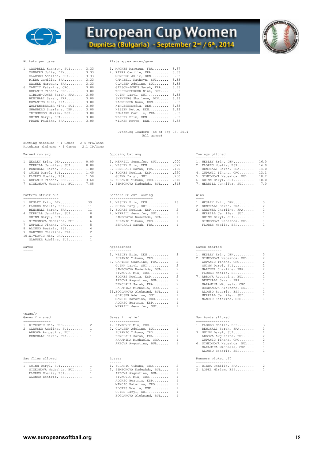



| 1. CAMPBELL Kathryn, SUI | 3.33 | 1. MAGNEE Margaux, FRA. |
|--------------------------|------|-------------------------|
| MONBERG Julie, DEN       | 3.33 | 2. RIERA Camille, FRA   |
| GLAUSER Adeline, SUI     | 3.33 | MONBERG Julie, DEN      |
| RIERA Camille, FRA       | 3.33 | CAMPBELL Kathryn, SU    |
| MAGNEE Margaux, FRA      | 3.33 | GLAUSER Adeline, SUI    |
| 6. MANCIC Katarina, CRO  | 3.00 | GIBSON-JONES Sarah,     |
| ZUPANIC Tihana, CRO      | 3.00 | WOLFENSBERGER Nina,     |
| GIBSON-JONES Sarah, FRA  | 3.00 | GUINN Daryl, SUI        |
| BENCHALI Sarah, FRA      | 3.00 | SWANBERG Sharlene, D    |
| DOMANICO Elsa, FRA       | 3.00 | RASMUSSEN Nana, DEN.    |
| WOLFENSBERGER Nina, SUI  | 3.00 | KYNDESENSofia, DEN      |
| SWANBERG Sharlene, DEN   | 3.00 | NISSEN Mette, DEN       |
| TRIGUEROS Miriam, ESP    | 3.00 | LEMAIRE Camille, FRA    |
| GUINN Daryl, SUI         | 3.00 | WESLEY Erin, DEN        |
| PRADE Pauline, FRA       | 3.00 | WILKEN Mette, DEN       |
|                          |      |                         |

## At bats per game<br>
Plate appearances/game

| 1. CAMPBELL Kathryn, SUI | 3.33 | 1. MAGNEE Margaux, FRA  | 3.67 |
|--------------------------|------|-------------------------|------|
| MONBERG Julie, DEN       | 3.33 | 2. RIERA Camille, FRA   | 3.33 |
| GLAUSER Adeline, SUI     | 3.33 | MONBERG Julie, DEN      | 3.33 |
| RIERA Camille, FRA       | 3.33 | CAMPBELL Kathryn, SUI   | 3.33 |
| MAGNEE Margaux, FRA      | 3.33 | GLAUSER Adeline, SUI    | 3.33 |
| 6. MANCIC Katarina, CRO  | 3.00 | GIBSON-JONES Sarah, FRA | 3.33 |
| ZUPANIC Tihana, CRO      | 3,00 | WOLFENSBERGER Nina, SUI | 3.33 |
| GIBSON-JONES Sarah, FRA  | 3,00 | GUINN Daryl, SUI        | 3.33 |
| BENCHALI Sarah, FRA      | 3,00 | SWANBERG Sharlene, DEN  | 3.33 |
| DOMANICO Elsa, FRA       | 3.00 | RASMUSSEN Nana, DEN     | 3.33 |
| WOLFENSBERGER Nina, SUI  | 3,00 | KYNDESENSofia, DEN      | 3.33 |
| SWANBERG Sharlene, DEN   | 3,00 | NISSEN Mette, DEN       | 3.33 |
| TRIGUEROS Miriam, ESP    | 3,00 | LEMAIRE Camille, FRA    | 3.33 |
| GUINN Daryl, SUI         | 3.00 | WESLEY Erin, DEN        | 3.33 |
| PRADE Pauline, FRA       | 3.00 | WILKEN Mette, DEN       | 3.33 |
|                          |      |                         |      |

 Pitching Leaders (as of Sep 03, 2014) (All games)

| Hitting minimums - 1 Games  |  |  | 2.5 TPA/Game |
|-----------------------------|--|--|--------------|
| Pitching minimums - 1 Games |  |  | 2.1 IP/Game  |

| 1. WESLEY Erin, DEN 0.00    |      |
|-----------------------------|------|
| MERRILL Jennifer, SUI 0.00  |      |
| 3. BENCHALI Sarah, FRA      | 1.00 |
| 4. GUINN Daryl, SUI         | 1.40 |
| 5. FLORES Noelia, ESP       | 1.50 |
| 6. ZUPANIC Tihana, CRO 3.68 |      |
|                             |      |

## Batters struck out

| 1. WESLEY Erin, DEN        | 39             |
|----------------------------|----------------|
| 2. FLORES Noelia, ESP      | 11             |
| BENCHALI Sarah, FRA        | 11             |
| 4. MERRILL Jennifer, SUI   | 8              |
| GUINN Daryl, SUI           | 8              |
| 6. SIMEONOVA Nadezhda, BUL | 6              |
| 7. ZUPANIC Tihana, CRO     | 5              |
| 8. ALONSO Beatriz, ESP     | 4              |
| 9. GARTNER Charline, FRA   | $\mathfrak{D}$ |
| 10.ZIVKOVIC Mia, CRO       | $\mathbf{1}$   |
| GLAUSER Adeline, SUI       | $\mathbf{1}$   |

## Saves

## <page/>

| 2. GARDOWN RUCILIC, SOI |  |
|-------------------------|--|
| ARBOVA Avqustina, BUL   |  |
| BENCHALI Sarah, FRA     |  |
|                         |  |

|  | Sac flies allowed | Losses | Runners picked off<br>. |  |
|--|-------------------|--------|-------------------------|--|
|  |                   |        |                         |  |

|  | 1. GUINN Daryl, SUI     |
|--|-------------------------|
|  | SIMEONOVA Nadezhda, BUL |
|  | FLORES Noelia, ESP      |
|  |                         |

| _______________       | -----------------          | ---------------      |
|-----------------------|----------------------------|----------------------|
| Earned run<br>run avo | Onnosina<br>: avo<br>- bat | Inninas pit<br>'∩hed |

| 1. WESLEY Erin, DEN 0.00        |  | 1. MERRILL Jennifer, SUI .000   |  | 1. WESLEY Erin, DEN 16.0        |  |
|---------------------------------|--|---------------------------------|--|---------------------------------|--|
| MERRILL Jennifer, SUI 0.00      |  | 2. WESLEY Erin, DEN .077        |  | 2. FLORES Noelia, ESP 14.0      |  |
| 3. BENCHALI Sarah, FRA 1.00     |  | 3. BENCHALI Sarah, FRA .130     |  | BENCHALI Sarah, FRA 14.0        |  |
| 4. GUINN Daryl, SUI 1.40        |  | 4. FLORES Noelia, ESP .250      |  | 4. ZUPANIC Tihana, CRO 13.1     |  |
| 5. FLORES Noelia, ESP 1.50      |  | GUINN Daryl, SUI .250           |  | 5. SIMEONOVA Nadezhda, BUL 10.2 |  |
| 6. ZUPANIC Tihana, CRO 3.68     |  | 6. ZUPANIC Tihana, CRO .310     |  | 6. GUINN Daryl, SUI 10.0        |  |
| 7. SIMEONOVA Nadezhda, BUL 7.88 |  | 7. SIMEONOVA Nadezhda, BUL .313 |  | 7. MERRILL Jennifer, SUI 7.0    |  |

## Batters struck out Batters SO out looking Wins

| 1. WESLEY Erin, DEN 39       | 1. WESLEY Erin, DEN 13     | 1. WESLEY Erin, DEN 3      |  |
|------------------------------|----------------------------|----------------------------|--|
| 2. FLORES Noelia, ESP 11     | 2. GUINN Daryl, SUI 3      | 2. BENCHALI Sarah, FRA 2   |  |
| BENCHALI Sarah, FRA 11       | 3. FLORES Noelia, ESP 2    | 3. GARTNER Charline, FRA 1 |  |
| 4. MERRILL Jennifer, SUI 8   | 4. MERRILL Jennifer, SUI 1 | MERRILL Jennifer, SUI 1    |  |
| GUINN Daryl, SUI 8           | SIMEONOVA Nadezhda, BUL 1  | GUINN Daryl, SUI 1         |  |
| 6. SIMEONOVA Nadezhda, BUL 6 | ZUPANIC Tihana, CRO 1      | SIMEONOVA Nadezhda, BUL 1  |  |
| 7. ZUPANIC Tihana, CRO 5     | BENCHALI Sarah, FRA 1      | FLORES Noelia, ESP 1       |  |

| 1. WESLEY Erin, DEN 3         | 1. WESLEY Erin |
|-------------------------------|----------------|
| ZUPANIC Tihana, CRO 3         | 2. SIMEONOVA N |
| 3. GARTNER Charline, FRA 2    | ZUPANIC Tih    |
| GUINN Daryl, SUI 2            | GUINN Daryl    |
| SIMEONOVA Nadezhda, BUL 2     | GARTNER Cha    |
| ZIVKOVIC Mia, CRO 2           | FLORES Noel    |
| FLORES Noelia, ESP 2          | 7. ARBOVA Avqu |
| ARBOVA Avqustina, BUL 2       | BENCHALI Sa    |
| BENCHALI Sarah, FRA 2         | HARAMINA Mi    |
| HARAMINA Michaela, CRO 2      | BOGDANOVA A    |
| 11. BOGDANOVA Aleksand, BUL 1 | ALONSO Beat    |
| GLAUSER Adeline, SUI 1        | MERRILL Jen    |
| MANCIC Katarina, CRO 1        | MANCIC Kata    |
| ALONSO Beatriz, ESP 1         |                |
| MERRILL Jennifer, SUI         |                |
|                               |                |
|                               |                |

| 1. ZIVKOVIC Mia, CRO    | 1. ZIVKOVIC Mia, CRO    | $\overline{2}$ |
|-------------------------|-------------------------|----------------|
| 2. GLAUSER Adeline, SUI | 2. GLAUSER Adeline, SUI | $\overline{1}$ |
| ARBOVA Avqustina, BUL   | ZUPANIC Tihana, CRO     | $\overline{1}$ |
| BENCHALI Sarah, FRA     | BENCHALI Sarah, FRA     | $\overline{1}$ |
|                         | HARAMINA Michaela, CRO  | $\overline{1}$ |
|                         | ARBOVA Avqustina, BUL   | $\overline{1}$ |
|                         |                         |                |

----------------- ------ ------------------ 1. GUINN Daryl, SUI........... 1 1. ZUPANIC Tihana, CRO........ 2 1. RIERA Camille, FRA......... 2 SIMEONOVA Nadezhda, BUL.... 1 2. SIMEONOVA Nadezhda, BUL.... 1 2. LOPEZ Miriam, ESP.......... 1 FLORES Noelia, ESP......... 1 ARBOVA Avgustina, BUL...... 1 ALONSO Beatriz, ESP........ 1 ZIVKOVIC Mia, CRO.......... 1 ALONSO Beatriz, ESP........ 1 MANCIC Katarina, CRO....... 1 FLORES Noelia, ESP......... 1 GUINN Daryl, SUI........... 1 BOGDANOVA Aleksand, BUL.... 1

| 1. WESLEY Erin, DEN          | 16.0 |
|------------------------------|------|
| 2. FLORES Noelia, ESP        | 14.0 |
| BENCHALI Sarah, FRA          | 14.0 |
| 4. ZUPANIC Tihana, CRO       | 13.1 |
| 5. SIMEONOVA Nadezhda, BUL   | 10.2 |
| 6. GUINN Daryl, SUI          | 10.0 |
| 7 MEDDITI Johnifox SUI (7.0) |      |

| 1. WESLEY Erin, DEN      | 3 |
|--------------------------|---|
| 2. BENCHALI Sarah, FRA   | 2 |
| 3. GARTNER Charline, FRA | 1 |
| MERRILL Jennifer, SUI    | 1 |
| GUINN Daryl, SUI         | 1 |
| SIMEONOVA Nadezhda, BUL  | 1 |
| FLORES Noelia, ESP       | 1 |
|                          |   |

## Appearances and the Camera Games started

| 1. WESLEY Erin, DEN          | $\mathbf{3}$ | 1. WESLEY Erin, DEN 3        |  |
|------------------------------|--------------|------------------------------|--|
| ZUPANIC Tihana, CRO 3        |              | 2. SIMEONOVA Nadezhda, BUL 2 |  |
| 3. GARTNER Charline, FRA 2   |              | ZUPANIC Tihana, CRO 2        |  |
| GUINN Daryl, SUI 2           |              | GUINN Daryl, SUI 2           |  |
| SIMEONOVA Nadezhda, BUL 2    |              | GARTNER Charline, FRA 2      |  |
| ZIVKOVIC Mia, CRO 2          |              | FLORES Noelia, ESP 2         |  |
| FLORES Noelia, ESP 2         |              | 7. ARBOVA Avqustina, BUL 1   |  |
| ARBOVA Avqustina, BUL 2      |              | BENCHALI Sarah, FRA 1        |  |
| BENCHALI Sarah, FRA 2        |              | HARAMINA Michaela, CRO 1     |  |
| HARAMINA Michaela, CRO 2     |              | BOGDANOVA Aleksand, BUL 1    |  |
| 11.BOGDANOVA Aleksand, BUL 1 |              | ALONSO Beatriz, ESP 1        |  |
| GLAUSER Adeline, SUI 1       |              | MERRILL Jennifer, SUI 1      |  |
| MANCIC Katarina, CRO 1       |              | MANCIC Katarina, CRO 1       |  |
|                              |              |                              |  |

## Games in relief Sac bunts allowed

| 1. ZIVKOVIC Mia, CRO 2    | 1. ZIVKOVIC Mia, CRO 2    | 1. FLORES Noelia, ESP 3      |  |
|---------------------------|---------------------------|------------------------------|--|
| 2. GLAUSER Adeline, SUI 1 | 2. GLAUSER Adeline, SUI 1 | BENCHALI Sarah, FRA 3        |  |
| ARBOVA Avqustina, BUL 1   | ZUPANIC Tihana, CRO 1     | 3. GUINN Daryl, SUI 2        |  |
| BENCHALI Sarah, FRA 1     | BENCHALI Sarah, FRA 1     | ARBOVA Avqustina, BUL 2      |  |
|                           | HARAMINA Michaela, CRO 1  | ZUPANIC Tihana, CRO 2        |  |
|                           | ARBOVA Avgustina, BUL 1   | 6. SIMEONOVA Nadezhda, BUL 1 |  |
|                           |                           | HARAMINA Michaela, CRO 1     |  |
|                           |                           | ALONSO Beatriz, ESP 1        |  |
| Sac flies allowed         | Losses                    | Runners picked off           |  |

|  | 1. RIERA Camille, FRA | 2 |
|--|-----------------------|---|
|  | 2. LOPEZ Miriam, ESP  |   |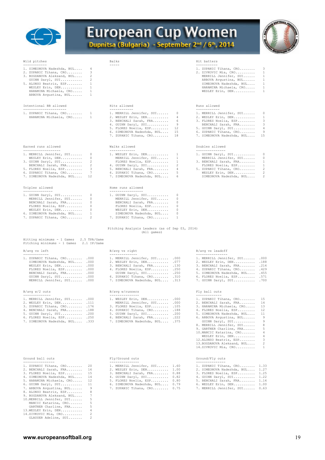

# European Cup Women



| Wild pitches                                                                                                                                                                                                                                                                 | Balks                                                                                                                                                                                                                               |                                                                       | Hit batters                                                                                                                                                                                                                                                                                                                                                                                                                                              |
|------------------------------------------------------------------------------------------------------------------------------------------------------------------------------------------------------------------------------------------------------------------------------|-------------------------------------------------------------------------------------------------------------------------------------------------------------------------------------------------------------------------------------|-----------------------------------------------------------------------|----------------------------------------------------------------------------------------------------------------------------------------------------------------------------------------------------------------------------------------------------------------------------------------------------------------------------------------------------------------------------------------------------------------------------------------------------------|
| ------------<br>1. SIMEONOVA Nadezhda, BUL<br>4<br>2. ZUPANIC Tihana, CRO<br>3<br>2<br>3. BOGDANOVA Aleksand, BUL<br>GUINN Daryl, SUI<br>2<br>5. ALONSO Beatriz, ESP<br>1<br>WESLEY Erin, DEN<br>1<br>1<br>HARAMINA Michaela, CRO<br>ARBOVA Avqustina, BUL<br>1              | -----                                                                                                                                                                                                                               |                                                                       | -----------<br>1. ZUPANIC Tihana, CRO<br>3<br>2. ZIVKOVIC Mia, CRO<br>1<br>$\mathbf{1}$<br>MERRILL Jennifer, SUI<br>1<br>ARBOVA Avgustina, BUL<br>$\mathbf{1}$<br>SIMEONOVA Nadezhda, BUL<br>HARAMINA Michaela, CRO<br>1<br>WESLEY Erin, DEN<br>1                                                                                                                                                                                                        |
| Intentional BB allowed<br>----------------------                                                                                                                                                                                                                             | Hits allowed                                                                                                                                                                                                                        |                                                                       | Runs allowed                                                                                                                                                                                                                                                                                                                                                                                                                                             |
| 1. ZUPANIC Tihana, CRO<br>1<br>$\mathbf{1}$<br>HARAMINA Michaela, CRO                                                                                                                                                                                                        | ------------<br>1. MERRILL Jennifer, SUI<br>2. WESLEY Erin, DEN<br>3. BENCHALI Sarah, FRA<br>4. GUINN Daryl, SUI<br>5. FLORES Noelia, ESP<br>6. SIMEONOVA Nadezhda, BUL<br>7. ZUPANIC Tihana, CRO                                   | 0<br>4<br>- 6<br>-9<br>12<br>15<br>18                                 | ------------<br>1. MERRILL Jennifer, SUI<br>0<br>$\mathbf{1}$<br>2. WESLEY Erin, DEN<br>3<br>3. FLORES Noelia, ESP<br>3<br>BENCHALI Sarah, FRA<br>5. GUINN Daryl, SUI<br>4<br>9<br>6. ZUPANIC Tihana, CRO<br>15<br>7. SIMEONOVA Nadezhda, BUL                                                                                                                                                                                                            |
| Earned runs allowed                                                                                                                                                                                                                                                          | Walks allowed                                                                                                                                                                                                                       |                                                                       | Doubles allowed                                                                                                                                                                                                                                                                                                                                                                                                                                          |
| -------------------<br>1. MERRILL Jennifer, SUI<br>$\overline{0}$<br>WESLEY Erin, DEN<br>$\circ$<br>2<br>3. GUINN Daryl, SUI<br>2<br>BENCHALI Sarah, FRA<br>3<br>5. FLORES Noelia, ESP<br>7<br>6. ZUPANIC Tihana, CRO<br>7. SIMEONOVA Nadezhda, BUL<br>12<br>Triples allowed | -------------<br>1. WESLEY Erin, DEN<br>MERRILL Jennifer, SUI<br>FLORES Noelia, ESP<br>4. GUINN Daryl, SUI<br>5. BENCHALI Sarah, FRA<br>6. ZUPANIC Tihana, CRO<br>7. SIMEONOVA Nadezhda, BUL<br>Home runs allowed                   | $\overline{1}$<br>1<br>$\mathbf{1}$<br>2<br>$\frac{4}{3}$<br>-5<br>-6 | ---------------<br>1. GUINN Daryl, SUI<br>0<br>MERRILL Jennifer, SUI<br>0<br>$\mathbf{1}$<br>3. BENCHALI Sarah, FRA<br>$\mathbf{1}$<br>FLORES Noelia, ESP<br>$\sqrt{2}$<br>5. ZUPANIC Tihana, CRO<br>$\overline{c}$<br>WESLEY Erin, DEN<br>$\overline{c}$<br>SIMEONOVA Nadezhda, BUL                                                                                                                                                                     |
| ---------------                                                                                                                                                                                                                                                              | -----------------                                                                                                                                                                                                                   |                                                                       |                                                                                                                                                                                                                                                                                                                                                                                                                                                          |
| 1. GUINN Daryl, SUI<br>0<br>MERRILL Jennifer, SUI<br>0<br>$\circ$<br>BENCHALI Sarah, FRA<br>$\circ$<br>FLORES Noelia, ESP<br>$\circ$<br>WESLEY Erin, DEN<br>6. SIMEONOVA Nadezhda, BUL<br>$\mathbf{1}$<br>2<br>7. ZUPANIC Tihana, CRO                                        | 1. GUINN Daryl, SUI<br>MERRILL Jennifer, SUI<br>BENCHALI Sarah, FRA<br>FLORES Noelia, ESP<br>WESLEY Erin, DEN<br>SIMEONOVA Nadezhda, BUL<br>7. ZUPANIC Tihana, CRO<br>Pitching Analysis Leaders (as of Sep 03, 2014)<br>(All games) | 0<br>0<br>$\circ$<br>0<br>$\circ$<br>0<br>1                           |                                                                                                                                                                                                                                                                                                                                                                                                                                                          |
| Hitting minimums - 1 Games<br>2.5 TPA/Game<br>Pitching minimums - 1 Games 2.1 IP/Game                                                                                                                                                                                        |                                                                                                                                                                                                                                     |                                                                       |                                                                                                                                                                                                                                                                                                                                                                                                                                                          |
| B/avg vs left<br>-------------                                                                                                                                                                                                                                               | B/avg vs right<br>--------------                                                                                                                                                                                                    |                                                                       | B/avg vs leadoff<br>----------------                                                                                                                                                                                                                                                                                                                                                                                                                     |
| 1. ZUPANIC Tihana, CRO .000<br>SIMEONOVA Nadezhda, BUL . 000<br>WESLEY Erin, DEN .000<br>FLORES Noelia, ESP .000<br>BENCHALI Sarah, FRA .000<br>GUINN Daryl, SUI .000<br>MERRILL Jennifer, SUI .000                                                                          | 1. MERRILL Jennifer, SUI .000<br>2. WESLEY Erin, DEN .077<br>3. BENCHALI Sarah, FRA . 130<br>4. FLORES Noelia, ESP .250<br>GUINN Daryl, SUI .250<br>6. ZUPANIC Tihana, CRO .310<br>7. SIMEONOVA Nadezhda, BUL .313                  |                                                                       | 1. MERRILL Jennifer, SUI .000<br>2. WESLEY Erin, DEN .188<br>3. BENCHALI Sarah, FRA .214<br>4. ZUPANIC Tihana, CRO<br>.429<br>5. SIMEONOVA Nadezhda, BUL . 455<br>6. FLORES Noelia, ESP . 571<br>7. GUINN Daryl, SUI .700                                                                                                                                                                                                                                |
| $B/avg$ $W/2$ outs<br>--------------                                                                                                                                                                                                                                         | B/avg w/runners<br>---------------                                                                                                                                                                                                  |                                                                       | Fly ball outs<br>-------------                                                                                                                                                                                                                                                                                                                                                                                                                           |
| 1. MERRILL Jennifer, SUI .000<br>2. WESLEY Erin, DEN .111<br>3. ZUPANIC Tihana, CRO . 176<br>4. BENCHALI Sarah, FRA . 188<br>5. GUINN Daryl, SUI . 200<br>6. FLORES Noelia, ESP .250<br>7. SIMEONOVA Nadezhda, BUL .333                                                      | 1. WESLEY Erin, DEN .000<br>MERRILL Jennifer, SUI<br>3. FLORES Noelia, ESP<br>4. ZUPANIC Tihana, CRO<br>5. GUINN Daryl, SUI .200<br>6. BENCHALI Sarah, FRA .222<br>7. SIMEONOVA Nadezhda, BUL .375                                  | .000<br>.105<br>.188                                                  | 1. ZUPANIC Tihana, CRO<br>15<br>14<br>2. BENCHALI Sarah, FRA<br>3. HARAMINA Michaela, CRO<br>13<br>12<br>4. FLORES Noelia, ESP<br>5. SIMEONOVA Nadezhda, BUL<br>11<br>9<br>6. ARBOVA Avqustina, BUL<br>GUINN Daryl, SUI<br>9<br>8. MERRILL Jennifer, SUI<br>8<br>5<br>9. GARTNER Charline, FRA<br>10. MANCIC Katarina, CRO<br>4<br>WESLEY Erin, DEN<br>4<br>3<br>12.ALONSO Beatriz, ESP<br>2<br>13. BOGDANOVA Aleksand, BUL<br>14.ZIVKOVIC Mia, CRO<br>1 |
| Ground ball outs                                                                                                                                                                                                                                                             | Fly/Ground outs                                                                                                                                                                                                                     |                                                                       | Ground/Fly outs                                                                                                                                                                                                                                                                                                                                                                                                                                          |

| 1. ZUPANIC Tihana, CRO |  |
|------------------------|--|
| 0 DOMOHATT 0----- DDA  |  |

| 2. BENCHALI Sarah, FRA |  |
|------------------------|--|
| R ETAPEC Moolis FCD    |  |

- 
- 
- 
- 
- 
- 
- 8. ALONSO Beatriz, ESP........ 8<br>
9. BOGDANOVA Aleksand, BUL.... 7<br>
10.MERRILL Jennifer, SUI...... 5<br>
MANCIC Katarina, CRO........ 5<br>
GARTNER Charline, FRA....... 5<br>
13.WESLEY Erin, DEN.................... 4<br>
14.ZIVKOVIC M
- 

| ilu bail vuts                | LIA GTOMMA ONLS                 | GLOUIK/FIY OULS                 |  |
|------------------------------|---------------------------------|---------------------------------|--|
| ------------                 |                                 |                                 |  |
| UPANIC Tihana, CRO 20        | 1. MERRILL Jennifer, SUI 1.60   | 1. ZUPANIC Tihana, CRO 1.33     |  |
| ENCHALI Sarah, FRA 16        | 2. WESLEY Erin, DEN 1.00        | 2. SIMEONOVA Nadezhda, BUL 1.27 |  |
| LORES Noelia, ESP 15         | 3. BENCHALI Sarah, FRA 0.88     | 3. FLORES Noelia, ESP 1.25      |  |
| IMEONOVA Nadezhda, BUL 14    | 4. GUINN Daryl, SUI 0.82        | 4. GUINN Daryl, SUI 1.22        |  |
| ARAMINA Michaela, CRO 12     | 5. FLORES Noelia, ESP 0.80      | 5. BENCHALI Sarah, FRA 1.14     |  |
| UINN Daryl, SUI 11           | 6. SIMEONOVA Nadezhda, BUL 0.79 | 6. WESLEY Erin, DEN 1.00        |  |
| RBOVA Avqustina, BUL 9       | 7. ZUPANIC Tihana, CRO 0.75     | 7. MERRILL Jennifer, SUI 0.63   |  |
| LONSO Beatriz, ESP 8         |                                 |                                 |  |
| OGDANOVA Aleksand, BUL     7 |                                 |                                 |  |
| ERRILL Jennifer, SUI         |                                 |                                 |  |

| 1. ZUPANIC Tihana, CRO 20     | 1. MERRILL Jennifer, SUI 1.60   | 1. ZUPANIC Tihana, CRO 1.33     |  |
|-------------------------------|---------------------------------|---------------------------------|--|
| 2. BENCHALI Sarah, FRA 16     | 2. WESLEY Erin, DEN 1.00        | 2. SIMEONOVA Nadezhda, BUL 1.27 |  |
| 3. FLORES Noelia, ESP 15      | 3. BENCHALI Sarah, FRA 0.88     | 3. FLORES Noelia, ESP 1.25      |  |
| 4. SIMEONOVA Nadezhda, BUL 14 | 4. GUINN Daryl, SUI 0.82        | 4. GUINN Daryl, SUI 1.22        |  |
| 5. HARAMINA Michaela, CRO 12  | 5. FLORES Noelia, ESP 0.80      | 5. BENCHALI Sarah, FRA 1.14     |  |
| 6. GUINN Daryl, SUI 11        | 6. SIMEONOVA Nadezhda, BUL 0.79 | 6. WESLEY Erin, DEN 1.00        |  |
| 2 appoint arounting put       | 7 SUDANIC Bibono CDO A 75       | 7 MEDDITI John Fox CUT ( C)     |  |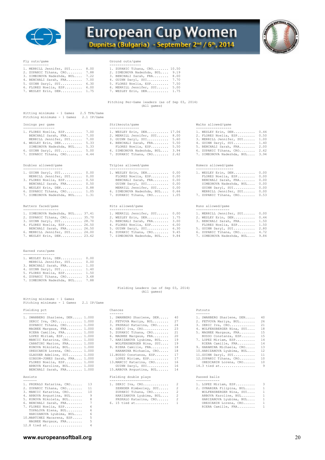



## Fly outs/game Ground outs/game

| 1. MERRILL Jennifer, SUI 8.00   | 1. ZUPANIC Tihana, CRO 10.50    |
|---------------------------------|---------------------------------|
| 2. ZUPANIC Tihana, CRO 7.88     | 2. SIMEONOVA Nadezhda, BUL 9.19 |
| 3. SIMEONOVA Nadezhda, BUL 7.22 | 3. BENCHALI Sarah, FRA 8.00     |
| 4. BENCHALI Sarah, FRA 7.00     | 4. GUINN Daryl, SUI 7.70        |
| 5. GUINN Daryl, SUI 6.30        | 5. FLORES Noelia, ESP 7.50      |
| 6. FLORES Noelia, ESP 6.00      | 6. MERRILL Jennifer, SUI 5.00   |
| 7. WESLEY Erin, DEN 1.75        | 7. WESLEY Erin, DEN 1.75        |

- 
- 
- 
- 

Pitching Per-Game leaders (as of Sep 03, 2014) (All games)

| Hitting minimums - 1 Games<br>2.5 TPA/Game<br>Pitching minimums - 1 Games 2.1 IP/Game                                                                                                                                                                                                                                                                                                                                                                     |                                                                                                                                                                                                                                                                                                                                                                                                                                                                                               |                                                                                                                                                                                                                                                                                                                                                                                                                                                    |
|-----------------------------------------------------------------------------------------------------------------------------------------------------------------------------------------------------------------------------------------------------------------------------------------------------------------------------------------------------------------------------------------------------------------------------------------------------------|-----------------------------------------------------------------------------------------------------------------------------------------------------------------------------------------------------------------------------------------------------------------------------------------------------------------------------------------------------------------------------------------------------------------------------------------------------------------------------------------------|----------------------------------------------------------------------------------------------------------------------------------------------------------------------------------------------------------------------------------------------------------------------------------------------------------------------------------------------------------------------------------------------------------------------------------------------------|
| Innings per game                                                                                                                                                                                                                                                                                                                                                                                                                                          | Strikeouts/game                                                                                                                                                                                                                                                                                                                                                                                                                                                                               | Walks allowed/game                                                                                                                                                                                                                                                                                                                                                                                                                                 |
| ---------------<br>1. FLORES Noelia, ESP 7.00<br>BENCHALI Sarah, FRA 7.00<br>MERRILL Jennifer, SUI 7.00<br>4. WESLEY Erin, DEN 5.33<br>SIMEONOVA Nadezhda, BUL 5.33<br>6. GUINN Daryl, SUI 5.00<br>7. ZUPANIC Tihana, CRO 4.44                                                                                                                                                                                                                            | ----------------<br>1. WESLEY Erin, DEN 17.06<br>2. MERRILL Jennifer, SUI 8.00<br>3. GUINN Daryl, SUI 5.60<br>4. BENCHALI Sarah, FRA 5.50<br>FLORES Noelia, ESP 5.50<br>6. SIMEONOVA Nadezhda, BUL 3.94<br>7. ZUPANIC Tihana, CRO 2.62                                                                                                                                                                                                                                                        | -----------------<br>1. WESLEY Erin, DEN 0.44<br>2. FLORES Noelia, ESP 0.50<br>3. MERRILL Jennifer, SUI 1.00<br>4. GUINN Daryl, SUI 1.40<br>5. BENCHALI Sarah, FRA 2.00<br>6. ZUPANIC Tihana, CRO 2.62<br>7. SIMEONOVA Nadezhda, BUL 3.94                                                                                                                                                                                                          |
| Doubles allowed/game                                                                                                                                                                                                                                                                                                                                                                                                                                      | Triples allowed/game<br>--------------------                                                                                                                                                                                                                                                                                                                                                                                                                                                  | Homers allowed/game<br>-------------------                                                                                                                                                                                                                                                                                                                                                                                                         |
| --------------------<br>1. GUINN Daryl, SUI 0.00<br>MERRILL Jennifer, SUI 0.00<br>3. FLORES Noelia, ESP 0.50<br>BENCHALI Sarah, FRA 0.50<br>5. WESLEY Erin, DEN 0.88<br>6. ZUPANIC Tihana, $CRO$ 1.05<br>7. SIMEONOVA Nadezhda, BUL 1.31                                                                                                                                                                                                                  | 1. WESLEY Erin, DEN 0.00<br>FLORES Noelia, ESP 0.00<br>BENCHALI Sarah, FRA<br>0.00<br>GUINN Daryl, SUI<br>0.00<br>MERRILL Jennifer, SUI 0.00<br>6. SIMEONOVA Nadezhda, BUL 0.66<br>7. ZUPANIC Tihana, CRO 1.05                                                                                                                                                                                                                                                                                | 1. WESLEY Erin, DEN 0.00<br>FLORES Noelia, ESP 0.00<br>BENCHALI Sarah, FRA 0.00<br>SIMEONOVA Nadezhda, BUL 0.00<br>GUINN Daryl, SUI 0.00<br>MERRILL Jennifer, SUI 0.00<br>7. ZUPANIC Tihana, CRO 0.53                                                                                                                                                                                                                                              |
| Batters faced/game<br>------------------                                                                                                                                                                                                                                                                                                                                                                                                                  | Hits allowed/game<br>-----------------                                                                                                                                                                                                                                                                                                                                                                                                                                                        | Runs allowed/game<br>-----------------                                                                                                                                                                                                                                                                                                                                                                                                             |
| 1. SIMEONOVA Nadezhda, BUL 37.41<br>2. ZUPANIC Tihana, CRO 35.70<br>3. GUINN Daryl, SUI 28.70<br>4. FLORES Noelia, ESP 26.50<br>BENCHALI Sarah, FRA 26.50<br>6. MERRILL Jennifer, SUI 24.00<br>7. WESLEY Erin, DEN 23.62                                                                                                                                                                                                                                  | 1. MERRILL Jennifer, SUI 0.00<br>2. WESLEY Erin, DEN 1.75<br>3. BENCHALI Sarah, FRA 3.00<br>4. FLORES Noelia, ESP 6.00<br>5. GUINN Daryl, SUI 6.30<br>6. ZUPANIC Tihana, CRO 9.45<br>7. SIMEONOVA Nadezhda, BUL 9.84                                                                                                                                                                                                                                                                          | 1. MERRILL Jennifer, SUI 0.00<br>2. WESLEY Erin, DEN 0.44<br>3. BENCHALI Sarah, FRA 1.50<br>FLORES Noelia, ESP 1.50<br>5. GUINN Daryl, SUI 2.80<br>6. ZUPANIC Tihana, CRO 4.72<br>7. SIMEONOVA Nadezhda, BUL 9.84                                                                                                                                                                                                                                  |
| Earned runs/game<br>---------------                                                                                                                                                                                                                                                                                                                                                                                                                       |                                                                                                                                                                                                                                                                                                                                                                                                                                                                                               |                                                                                                                                                                                                                                                                                                                                                                                                                                                    |
| 1. WESLEY Erin, DEN 0.00<br>MERRILL Jennifer, SUI 0.00<br>3. BENCHALI Sarah, FRA 1.00<br>4. GUINN Daryl, SUI 1.40<br>5. FLORES Noelia, ESP 1.50<br>6. ZUPANIC Tihana, CRO 3.68<br>7. SIMEONOVA Nadezhda, BUL 7.88                                                                                                                                                                                                                                         |                                                                                                                                                                                                                                                                                                                                                                                                                                                                                               |                                                                                                                                                                                                                                                                                                                                                                                                                                                    |
|                                                                                                                                                                                                                                                                                                                                                                                                                                                           | Fielding Leaders (as of Sep 03, 2014)<br>(All games)                                                                                                                                                                                                                                                                                                                                                                                                                                          |                                                                                                                                                                                                                                                                                                                                                                                                                                                    |
| Hitting minimums - 1 Games<br>Pitching minimums - 1 Games<br>2.1 IP/Game                                                                                                                                                                                                                                                                                                                                                                                  |                                                                                                                                                                                                                                                                                                                                                                                                                                                                                               |                                                                                                                                                                                                                                                                                                                                                                                                                                                    |
| Fielding pct<br>------------                                                                                                                                                                                                                                                                                                                                                                                                                              | Chances<br>-------                                                                                                                                                                                                                                                                                                                                                                                                                                                                            | Putouts                                                                                                                                                                                                                                                                                                                                                                                                                                            |
| 1. SWANBERG Sharlene, DEN 1.000<br>SERIC Iva, $CR0$ 1.000<br>ZUPANIC Tihana, CRO 1.000<br>MAGNEE Margaux, FRA 1.000<br>RIERA Camille, FRA 1.000<br>LOPEZ Miriam, ESP 1.000<br>MANCIC Katarina, CRO 1.000<br>CARATINI Marion, FRA 1.000<br>KONOVA Nikoleta, BUL 1.000<br>ORESCANIN Lorena, CRO 1.000<br>GLAUSER Adeline, SUI 1.000<br>GIBSON-JONES Sarah, FRA 1.000<br>FLORES Noelia, ESP 1.000<br>ARBOVA Karoline, BUL 1.000<br>BENCHALI Sarah, FRA 1.000 | 1. SWANBERG Sharlene, DEN<br>40<br>27<br>2. FETVOVA Mariya, BUL<br>24<br>3. PRSKALO Katarina, CRO<br>23<br>4. SERIC Iva, $CRO$<br>5. ZUPANIC Tihana, CRO<br>21<br>6. MAGNEE Margaux, FRA<br>20<br>7. HARIZANOVA Lyubima, BUL<br>19<br>19<br>WOLFENSBERGER Nina, SUI<br>9. RIERA Camille, FRA<br>18<br>18<br>HARAMINA Michaela, CRO<br>17<br>11.BUSSO Constanza, ESP<br>17<br>LOPEZ Miriam, ESP<br>13. MANCIC Katarina, CRO<br>16<br>16<br>GUINN Daryl, SUI<br>15. ARBOVA Avgustina, BUL<br>14 | 1. SWANBERG Sharlene, DEN<br>40<br>2. FETVOVA Mariya, BUL<br>26<br>21<br>$3.$ SERIC Iva, CRO<br>18<br>4. WOLFENSBERGER Nina, SUI<br>5. MAGNEE Margaux, FRA<br>15<br>15<br>BUSSO Constanza, ESP<br>7. LOPEZ Miriam, ESP<br>14<br>RIERA Camille, FRA<br>14<br>9. HARAMINA Michaela, CRO<br>13<br>10.HARIZANOVA Lyubima, BUL<br>12<br>11<br>11.GUINN Daryl, SUI<br>12.ZUPANIC Tihana, CRO<br>10<br>ORESCANIN Lorena, CRO<br>10<br>$14.3$ tied at<br>9 |
| Assists<br>-------                                                                                                                                                                                                                                                                                                                                                                                                                                        | Fielding double plays<br>---------------------                                                                                                                                                                                                                                                                                                                                                                                                                                                | Passed balls<br>------------                                                                                                                                                                                                                                                                                                                                                                                                                       |
| 1. PRSKALO Katarina, CRO<br>13<br>2. ZUPANIC Tihana, CRO<br>11<br>3. MANCIC Katarina, CRO<br>10<br>4. ARBOVA Avgustina, BUL<br>9<br>8<br>5. KONOVA Nikoleta, BUL<br>7<br>6. BENCHALI Sarah, FRA<br>7. FLORES Noelia, ESP<br>6<br>TOPALOVA Elena, BUL<br>6<br>6<br>HARIZANOVA Lyubima, BUL<br>5<br>10. MARTINEZ Macarena, ESP                                                                                                                              | 2<br>1. SERIC Iva, CRO<br>ZEHNDER Kimberley, SUI<br>2<br>2<br>ZUPANIC Tihana, CRO<br>HARIZANOVA Lyubima, BUL<br>2<br>2<br>PRSKALO Katarina, CRO<br>6. 15 tied at<br>1                                                                                                                                                                                                                                                                                                                         | 1. LOPEZ Miriam, ESP<br>3<br>2. OVNARSKA Filipina, BUL<br>1<br>WOLFENSBERGER Nina, SUI<br>1<br>ARBOVA Karoline, BUL<br>1<br>1<br>HARIZANOVA Lyubima, BUL<br>ORESCANIN Lorena, CRO<br>1<br>1<br>RIERA Camille, FRA                                                                                                                                                                                                                                  |

| 1. WESLEY Erin, DEN 0.44      |  |
|-------------------------------|--|
| 2. FLORES Noelia, ESP 0.50    |  |
| 3. MERRILL Jennifer, SUI 1.00 |  |
| 4. GUINN Daryl, SUI 1.40      |  |
| 5. BENCHALI Sarah, FRA 2.00   |  |
| 6 ZUPANTO Tibana, ORO 262     |  |

| 1. WESLEY Erin, DEN     | 0.00 |
|-------------------------|------|
| FLORES Noelia, ESP      | 0.00 |
| BENCHALI Sarah, FRA     | 0.00 |
| SIMEONOVA Nadezhda, BUL | 0.00 |
| GUINN Daryl, SUI        | 0.00 |
| MERRILL Jennifer, SUI   | 0.00 |
| 7. ZUPANIC Tihana, CRO  | 0.53 |

| 1. MERRILL Jennifer, SUI 0.00 |      |
|-------------------------------|------|
| 2. WESLEY Erin, DEN 0.44      |      |
| 3. BENCHALI Sarah, FRA 1.50   |      |
| FLORES Noelia, ESP 1.50       |      |
| 5. GUINN Daryl, SUI           | 2.80 |
| 6. ZUPANIC Tihana, CRO 4.72   |      |
| 7 SIMFONOVA Nadezhda BIII.    | 9.84 |

## 12.8 tied at.................. 4

## **www.europeansoftball.org** 20

10.MARTINEZ Macarena, ESP..... 5 MAGNEE Margaux, FRA........ 5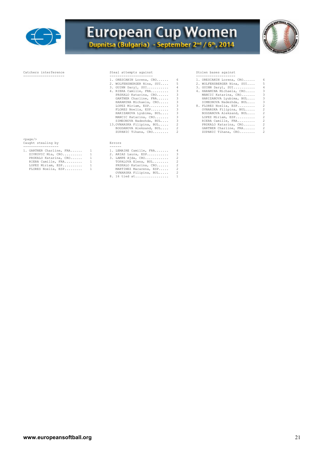



## Catchers interference and Steal attempts against and Stolen bases against Stolen bases against Stolen bases against

| $\bot$ . URESCANIN BULENC, CRU |                           | $\bot$ . UNESCANIN BULEHA, CNV |                |
|--------------------------------|---------------------------|--------------------------------|----------------|
| 2. WOLFENSBERGER Nina, SUI 5   |                           | 2. WOLFENSBERGER Nina, SUI 5   |                |
| 3. GUINN Daryl, SUI 4          |                           | 3. GUINN Daryl, SUI            | 4              |
| 4. RIERA Camille, FRA 3        |                           | 4. HARAMINA Michaela, CRO 3    |                |
| PRSKALO Katarina, CRO 3        |                           | MANCIC Katarina, CRO 3         |                |
| GARTNER Charline, FRA 3        |                           | HARIZANOVA Lyubima, BUL 3      |                |
| HARAMINA Michaela, CRO 3       |                           | SIMEONOVA Nadezhda, BUL 3      |                |
| LOPEZ Miriam, ESP 3            |                           | 8. FLORES Noelia, ESP 2        |                |
| FLORES Noelia, ESP 3           |                           | OVNARSKA Filipina, BUL         | $\overline{2}$ |
| HARIZANOVA Lyubima, BUL 3      |                           | BOGDANOVA Aleksand, BUL        | $\overline{2}$ |
| MANCIC Katarina, CRO 3         |                           | LOPEZ Miriam, ESP              | $\overline{2}$ |
| SIMEONOVA Nadezhda, BUL 3      |                           | RIERA Camille, FRA 2           |                |
| 13. OVNARSKA Filipina, BUL 2   |                           | PRSKALO Katarina, CRO          | $\overline{2}$ |
|                                | BOGDANOVA Aleksand, BUL 2 | GARTNER Charline, FRA          | $\overline{2}$ |
|                                |                           |                                |                |

- 
- BOGDANOVA Aleksand, BUL.... 2 GARTNER Charline, FRA...... 2<br>ZUPANIC Tihana, CRO........ 2 ZUPANIC Tihana, CRO........ 2

| 1. ORESCANIN Lorena, CRO                                                                                                                                                                                                                                                                                                                                    | 6        | 1. ORESCANIN Lorena, CRO     | 6                        |
|-------------------------------------------------------------------------------------------------------------------------------------------------------------------------------------------------------------------------------------------------------------------------------------------------------------------------------------------------------------|----------|------------------------------|--------------------------|
| 2. WOLFENSBERGER Nina, SUI 5                                                                                                                                                                                                                                                                                                                                |          | 2. WOLFENSBERGER Nina, SUI 5 |                          |
| 3. GUINN Daryl, SUI                                                                                                                                                                                                                                                                                                                                         | $\sim$ 4 | 3. GUINN Daryl, SUI          | 4                        |
| 4. RIERA Camille, FRA 3                                                                                                                                                                                                                                                                                                                                     |          | 4. HARAMINA Michaela, CRO    | $\overline{\phantom{a}}$ |
| PRSKALO Katarina, CRO 3                                                                                                                                                                                                                                                                                                                                     |          | MANCIC Katarina, CRO 3       |                          |
| GARTNER Charline, FRA 3                                                                                                                                                                                                                                                                                                                                     |          | HARIZANOVA Lyubima, BUL      | $\overline{\phantom{a}}$ |
| HARAMINA Michaela, CRO 3                                                                                                                                                                                                                                                                                                                                    |          | SIMEONOVA Nadezhda, BUL      | $\overline{\phantom{a}}$ |
| LOPEZ Miriam, ESP 3                                                                                                                                                                                                                                                                                                                                         |          | 8. FLORES Noelia, ESP        | 2                        |
| FLORES Noelia, ESP 3                                                                                                                                                                                                                                                                                                                                        |          | OVNARSKA Filipina, BUL       | $\overline{2}$           |
| HARIZANOVA Lyubima, BUL 3                                                                                                                                                                                                                                                                                                                                   |          | BOGDANOVA Aleksand, BUL      | $\overline{2}$           |
| MANCIC Katarina, CRO 3                                                                                                                                                                                                                                                                                                                                      |          | LOPEZ Miriam, ESP            | $\overline{2}$           |
| SIMEONOVA Nadezhda, BUL 3                                                                                                                                                                                                                                                                                                                                   |          | RIERA Camille, FRA           | 2                        |
| 13. OVNARSKA Filipina, BUL 2                                                                                                                                                                                                                                                                                                                                |          | PRSKALO Katarina, CRO        | $\overline{2}$           |
| BOGDANOVA Aleksand, BUL 2                                                                                                                                                                                                                                                                                                                                   |          | GARTNER Charline, FRA        | $\overline{2}$           |
| $\mathcal{L}$ $\mathcal{L}$ $\mathcal{L}$ $\mathcal{L}$ $\mathcal{L}$ $\mathcal{L}$ $\mathcal{L}$ $\mathcal{L}$ $\mathcal{L}$ $\mathcal{L}$ $\mathcal{L}$ $\mathcal{L}$ $\mathcal{L}$ $\mathcal{L}$ $\mathcal{L}$ $\mathcal{L}$ $\mathcal{L}$ $\mathcal{L}$ $\mathcal{L}$ $\mathcal{L}$ $\mathcal{L}$ $\mathcal{L}$ $\mathcal{L}$ $\mathcal{L}$ $\mathcal{$ |          |                              |                          |

<page/> Caught stealing by Errors

| 1. GARTNER Charline, FRA |   | 1. LEMAIRE Camille, FRA<br>4  |  |
|--------------------------|---|-------------------------------|--|
| ZIVKOVIC Mia, CRO        | 1 | ₹<br>2. ARIAS Laura, ESP      |  |
| PRSKALO Katarina, CRO    |   | 3. LAMPE Ajda, CRO            |  |
| RIERA Camille, FRA       |   | TOPALOVA Elena, BUL           |  |
| LOPEZ Miriam, ESP        |   | PRSKALO Katarina, CRO         |  |
| FLORES Noelia, ESP       |   | 2<br>MARTINEZ Macarena, ESP   |  |
|                          |   | OVNARSKA Filipina, BUL<br>-2. |  |
|                          |   | 8. 16 tied at 1               |  |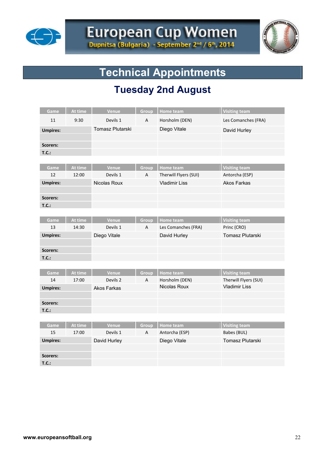



# **Technical Appointments**

# **Tuesday 2nd August**

| Game            | At time | Venue              | Group      | <b>Home team</b>                        | <b>Visiting team</b>                |
|-----------------|---------|--------------------|------------|-----------------------------------------|-------------------------------------|
| 11              | 9:30    | Devils 1           | А          | Horsholm (DEN)                          | Les Comanches (FRA)                 |
| <b>Umpires:</b> |         | Tomasz Plutarski   |            | Diego Vitale                            | David Hurley                        |
|                 |         |                    |            |                                         |                                     |
| Scorers:        |         |                    |            |                                         |                                     |
| T.C.:           |         |                    |            |                                         |                                     |
|                 |         |                    |            |                                         |                                     |
| Game            | At time | Venue              | Group      | Home team                               | <b>Visiting team</b>                |
| 12              | 12:00   | Devils 1           | А          | Therwill Flyers (SUI)                   | Antorcha (ESP)                      |
| <b>Umpires:</b> |         | Nicolas Roux       |            | <b>Vladimir Liss</b>                    | <b>Akos Farkas</b>                  |
|                 |         |                    |            |                                         |                                     |
| <b>Scorers:</b> |         |                    |            |                                         |                                     |
| T.C.:           |         |                    |            |                                         |                                     |
|                 | At time |                    |            |                                         |                                     |
| Game<br>13      | 14:30   | Venue<br>Devils 1  | Group<br>A | <b>Home team</b><br>Les Comanches (FRA) | <b>Visiting team</b><br>Princ (CRO) |
| <b>Umpires:</b> |         |                    |            |                                         | Tomasz Plutarski                    |
|                 |         | Diego Vitale       |            | David Hurley                            |                                     |
| <b>Scorers:</b> |         |                    |            |                                         |                                     |
| T.C.:           |         |                    |            |                                         |                                     |
|                 |         |                    |            |                                         |                                     |
| Game            | At time | Venue              | Group      | <b>Home team</b>                        | <b>Visiting team</b>                |
| 14              | 17:00   | Devils 2           | Α          | Horsholm (DEN)                          | Therwill Flyers (SUI)               |
| <b>Umpires:</b> |         | <b>Akos Farkas</b> |            | Nicolas Roux                            | <b>Vladimir Liss</b>                |
|                 |         |                    |            |                                         |                                     |
| <b>Scorers:</b> |         |                    |            |                                         |                                     |
| T.C.:           |         |                    |            |                                         |                                     |
|                 |         |                    |            |                                         |                                     |
| Game            | At time | Venue              | Group      | <b>Home team</b>                        | <b>Visiting team</b>                |
| 15              | 17:00   | Devils 1           | А          | Antorcha (ESP)                          | Babes (BUL)                         |
| <b>Umpires:</b> |         | David Hurley       |            | Diego Vitale                            | Tomasz Plutarski                    |
|                 |         |                    |            |                                         |                                     |
| <b>Scorers:</b> |         |                    |            |                                         |                                     |
| T.C.:           |         |                    |            |                                         |                                     |